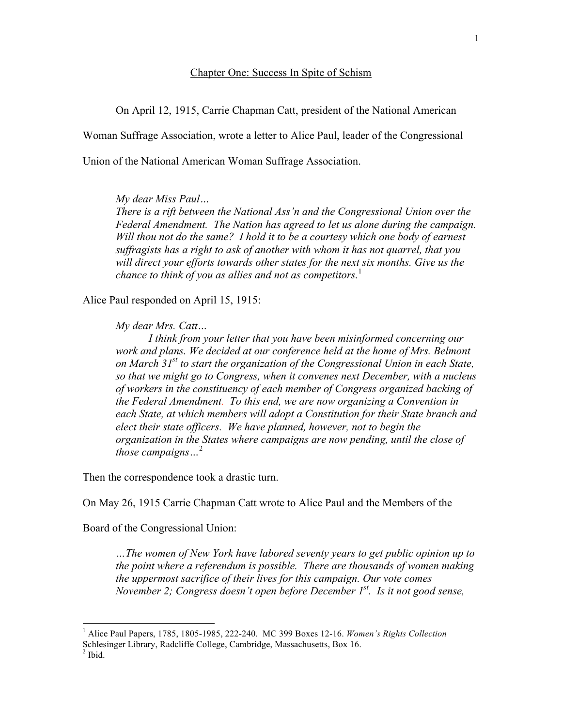## Chapter One: Success In Spite of Schism

On April 12, 1915, Carrie Chapman Catt, president of the National American

Woman Suffrage Association, wrote a letter to Alice Paul, leader of the Congressional

Union of the National American Woman Suffrage Association.

*My dear Miss Paul…*

*There is a rift between the National Ass'n and the Congressional Union over the Federal Amendment. The Nation has agreed to let us alone during the campaign. Will thou not do the same? I hold it to be a courtesy which one body of earnest suffragists has a right to ask of another with whom it has not quarrel, that you*  will direct your efforts towards other states for the next six months. Give us the *chance to think of you as allies and not as competitors.*<sup>1</sup>

Alice Paul responded on April 15, 1915:

*My dear Mrs. Catt…*

*I think from your letter that you have been misinformed concerning our*  work and plans. We decided at our conference held at the home of Mrs. Belmont *on March 31st to start the organization of the Congressional Union in each State, so that we might go to Congress, when it convenes next December, with a nucleus of workers in the constituency of each member of Congress organized backing of the Federal Amendment. To this end, we are now organizing a Convention in each State, at which members will adopt a Constitution for their State branch and elect their state officers. We have planned, however, not to begin the organization in the States where campaigns are now pending, until the close of those campaigns…*<sup>2</sup>

Then the correspondence took a drastic turn.

On May 26, 1915 Carrie Chapman Catt wrote to Alice Paul and the Members of the

Board of the Congressional Union:

*…The women of New York have labored seventy years to get public opinion up to the point where a referendum is possible. There are thousands of women making the uppermost sacrifice of their lives for this campaign. Our vote comes November 2; Congress doesn't open before December 1st . Is it not good sense,* 

 <sup>1</sup> Alice Paul Papers, 1785, 1805-1985, 222-240. MC <sup>399</sup> Boxes 12-16. *Women's Rights Collection* Schlesinger Library, Radcliffe College, Cambridge, Massachusetts, Box 16.<sup>2</sup> Ibid.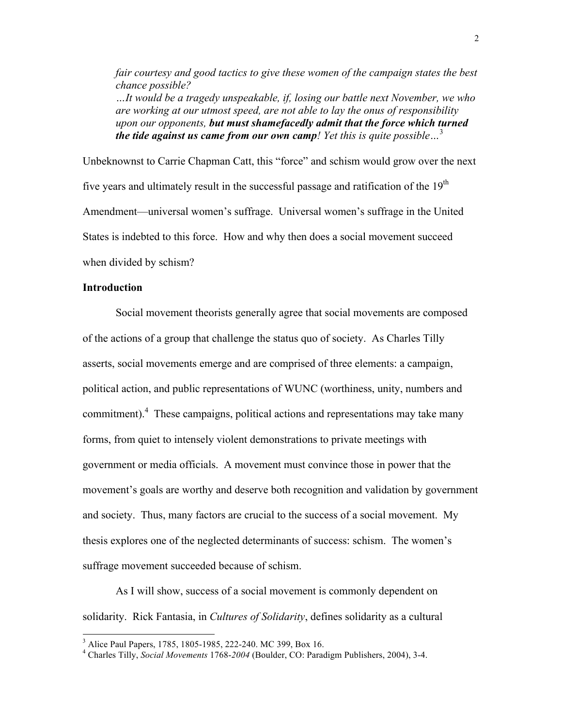*fair courtesy and good tactics to give these women of the campaign states the best chance possible?*

*…It would be a tragedy unspeakable, if, losing our battle next November, we who are working at our utmost speed, are not able to lay the onus of responsibility upon our opponents, but must shamefacedly admit that the force which turned the tide against us came from our own camp! Yet this is quite possible…*<sup>3</sup>

Unbeknownst to Carrie Chapman Catt, this "force" and schism would grow over the next five years and ultimately result in the successful passage and ratification of the  $19<sup>th</sup>$ Amendment—universal women's suffrage. Universal women's suffrage in the United States is indebted to this force. How and why then does a social movement succeed when divided by schism?

# **Introduction**

Social movement theorists generally agree that social movements are composed of the actions of a group that challenge the status quo of society. As Charles Tilly asserts, social movements emerge and are comprised of three elements: a campaign, political action, and public representations of WUNC (worthiness, unity, numbers and commitment).<sup>4</sup> These campaigns, political actions and representations may take many forms, from quiet to intensely violent demonstrations to private meetings with government or media officials. A movement must convince those in power that the movement's goals are worthy and deserve both recognition and validation by government and society. Thus, many factors are crucial to the success of a social movement. My thesis explores one of the neglected determinants of success: schism. The women's suffrage movement succeeded because of schism.

As I will show, success of a social movement is commonly dependent on solidarity. Rick Fantasia, in *Cultures of Solidarity*, defines solidarity as a cultural

 <sup>3</sup> Alice Paul Papers, 1785, 1805-1985, 222-240. MC 399, Box 16. <sup>4</sup> Charles Tilly, *Social Movements* 1768-*<sup>2004</sup>* (Boulder, CO: Paradigm Publishers, 2004), 3-4.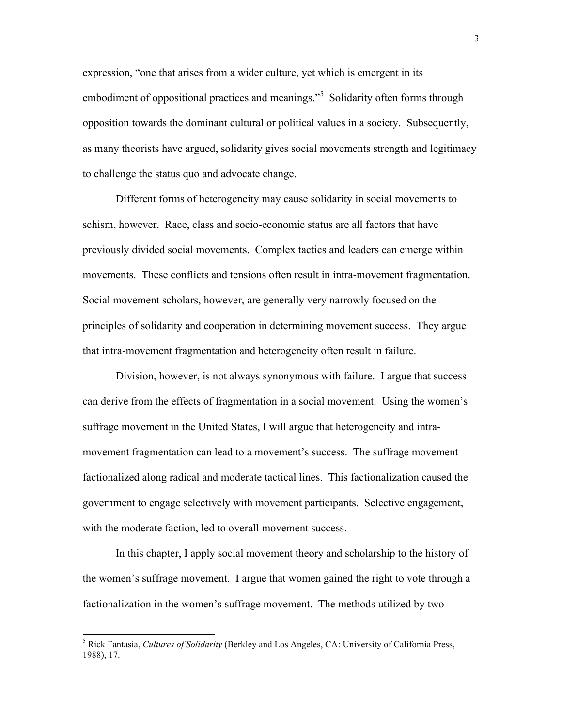expression, "one that arises from a wider culture, yet which is emergent in its embodiment of oppositional practices and meanings."<sup>5</sup> Solidarity often forms through opposition towards the dominant cultural or political values in a society. Subsequently, as many theorists have argued, solidarity gives social movements strength and legitimacy to challenge the status quo and advocate change.

Different forms of heterogeneity may cause solidarity in social movements to schism, however. Race, class and socio-economic status are all factors that have previously divided social movements. Complex tactics and leaders can emerge within movements. These conflicts and tensions often result in intra-movement fragmentation. Social movement scholars, however, are generally very narrowly focused on the principles of solidarity and cooperation in determining movement success. They argue that intra-movement fragmentation and heterogeneity often result in failure.

Division, however, is not always synonymous with failure. I argue that success can derive from the effects of fragmentation in a social movement. Using the women's suffrage movement in the United States, I will argue that heterogeneity and intramovement fragmentation can lead to a movement's success. The suffrage movement factionalized along radical and moderate tactical lines. This factionalization caused the government to engage selectively with movement participants. Selective engagement, with the moderate faction, led to overall movement success.

In this chapter, I apply social movement theory and scholarship to the history of the women's suffrage movement. I argue that women gained the right to vote through a factionalization in the women's suffrage movement. The methods utilized by two

 <sup>5</sup> Rick Fantasia, *Cultures of Solidarity* (Berkley and Los Angeles, CA: University of California Press, 1988), 17.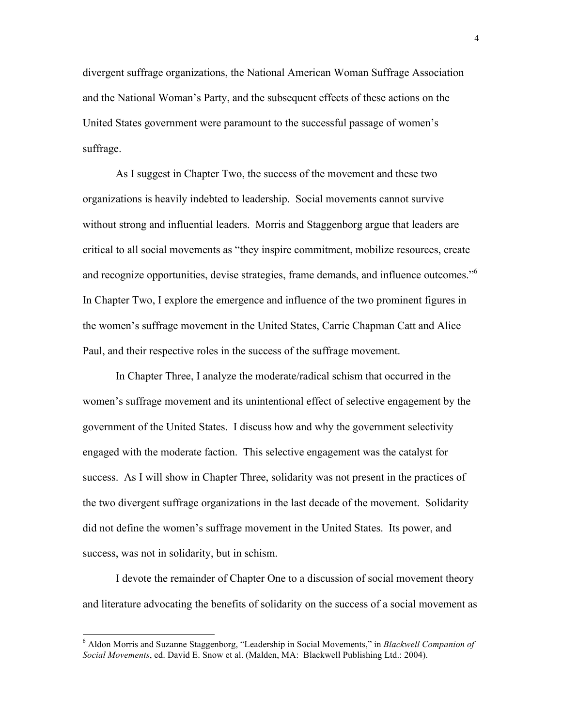divergent suffrage organizations, the National American Woman Suffrage Association and the National Woman's Party, and the subsequent effects of these actions on the United States government were paramount to the successful passage of women's suffrage.

As I suggest in Chapter Two, the success of the movement and these two organizations is heavily indebted to leadership. Social movements cannot survive without strong and influential leaders. Morris and Staggenborg argue that leaders are critical to all social movements as "they inspire commitment, mobilize resources, create and recognize opportunities, devise strategies, frame demands, and influence outcomes."<sup>6</sup> In Chapter Two, I explore the emergence and influence of the two prominent figures in the women's suffrage movement in the United States, Carrie Chapman Catt and Alice Paul, and their respective roles in the success of the suffrage movement.

In Chapter Three, I analyze the moderate/radical schism that occurred in the women's suffrage movement and its unintentional effect of selective engagement by the government of the United States. I discuss how and why the government selectivity engaged with the moderate faction. This selective engagement was the catalyst for success. As I will show in Chapter Three, solidarity was not present in the practices of the two divergent suffrage organizations in the last decade of the movement. Solidarity did not define the women's suffrage movement in the United States. Its power, and success, was not in solidarity, but in schism.

I devote the remainder of Chapter One to a discussion of social movement theory and literature advocating the benefits of solidarity on the success of a social movement as

 <sup>6</sup> Aldon Morris and Suzanne Staggenborg, "Leadership in Social Movements," in *Blackwell Companion of Social Movements*, ed. David E. Snow et al. (Malden, MA: Blackwell Publishing Ltd.: 2004).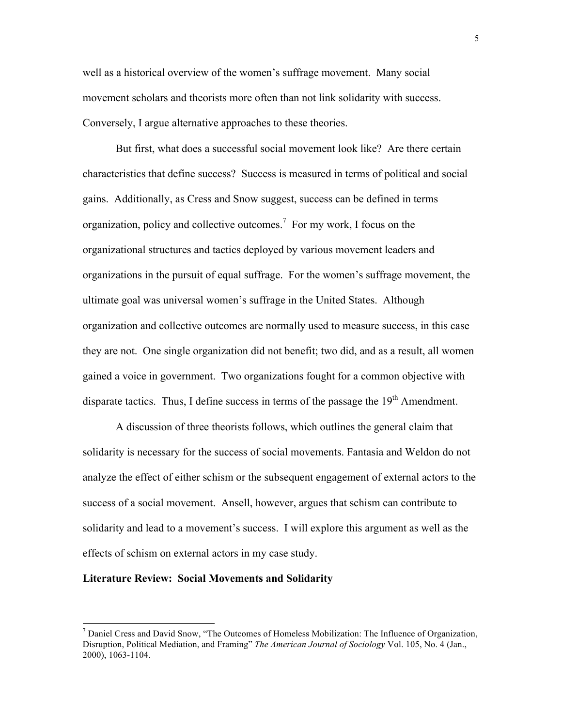well as a historical overview of the women's suffrage movement. Many social movement scholars and theorists more often than not link solidarity with success. Conversely, I argue alternative approaches to these theories.

But first, what does a successful social movement look like? Are there certain characteristics that define success? Success is measured in terms of political and social gains. Additionally, as Cress and Snow suggest, success can be defined in terms organization, policy and collective outcomes.<sup>7</sup> For my work, I focus on the organizational structures and tactics deployed by various movement leaders and organizations in the pursuit of equal suffrage. For the women's suffrage movement, the ultimate goal was universal women's suffrage in the United States. Although organization and collective outcomes are normally used to measure success, in this case they are not. One single organization did not benefit; two did, and as a result, all women gained a voice in government. Two organizations fought for a common objective with disparate tactics. Thus, I define success in terms of the passage the  $19<sup>th</sup>$  Amendment.

A discussion of three theorists follows, which outlines the general claim that solidarity is necessary for the success of social movements. Fantasia and Weldon do not analyze the effect of either schism or the subsequent engagement of external actors to the success of a social movement. Ansell, however, argues that schism can contribute to solidarity and lead to a movement's success. I will explore this argument as well as the effects of schism on external actors in my case study.

#### **Literature Review: Social Movements and Solidarity**

 $<sup>7</sup>$  Daniel Cress and David Snow, "The Outcomes of Homeless Mobilization: The Influence of Organization,</sup> Disruption, Political Mediation, and Framing" *The American Journal of Sociology* Vol. 105, No. 4 (Jan., 2000), 1063-1104.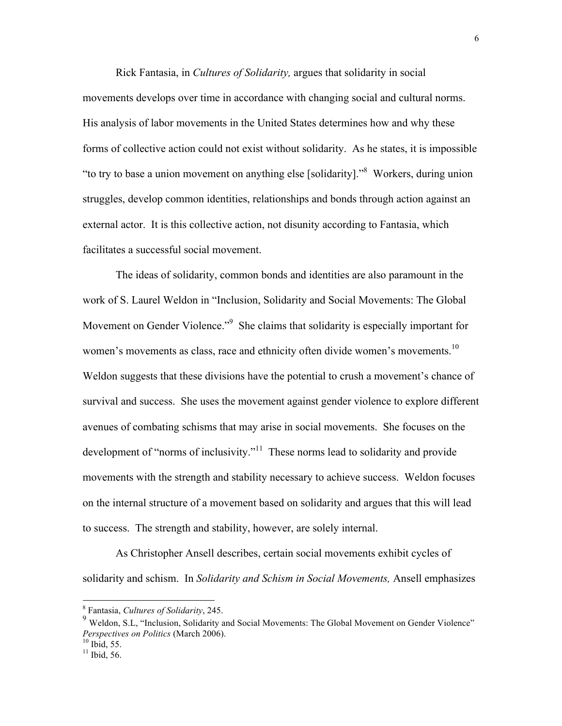Rick Fantasia, in *Cultures of Solidarity,* argues that solidarity in social movements develops over time in accordance with changing social and cultural norms. His analysis of labor movements in the United States determines how and why these forms of collective action could not exist without solidarity. As he states, it is impossible "to try to base a union movement on anything else [solidarity]."<sup>8</sup> Workers, during union struggles, develop common identities, relationships and bonds through action against an external actor. It is this collective action, not disunity according to Fantasia, which facilitates a successful social movement.

The ideas of solidarity, common bonds and identities are also paramount in the work of S. Laurel Weldon in "Inclusion, Solidarity and Social Movements: The Global Movement on Gender Violence."<sup>9</sup> She claims that solidarity is especially important for women's movements as class, race and ethnicity often divide women's movements.<sup>10</sup> Weldon suggests that these divisions have the potential to crush a movement's chance of survival and success. She uses the movement against gender violence to explore different avenues of combating schisms that may arise in social movements. She focuses on the development of "norms of inclusivity."<sup>11</sup> These norms lead to solidarity and provide movements with the strength and stability necessary to achieve success. Weldon focuses on the internal structure of a movement based on solidarity and argues that this will lead to success. The strength and stability, however, are solely internal.

As Christopher Ansell describes, certain social movements exhibit cycles of solidarity and schism. In *Solidarity and Schism in Social Movements,* Ansell emphasizes

<sup>&</sup>lt;sup>8</sup> Fantasia, *Cultures of Solidarity*, 245.<br><sup>9</sup> Weldon, S.L, "Inclusion, Solidarity and Social Movements: The Global Movement on Gender Violence" *Perspectives on Politics* (March 2006).<br><sup>10</sup> Ibid, 55.<br><sup>11</sup> Ibid, 56.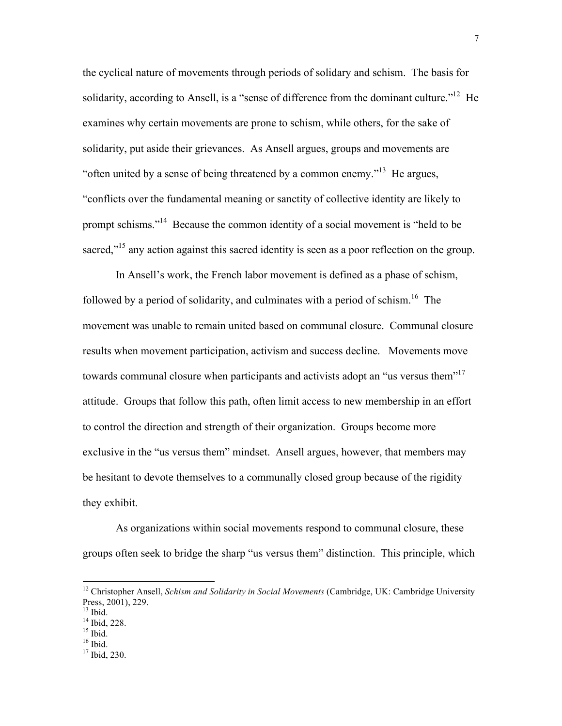the cyclical nature of movements through periods of solidary and schism. The basis for solidarity, according to Ansell, is a "sense of difference from the dominant culture."<sup>12</sup> He examines why certain movements are prone to schism, while others, for the sake of solidarity, put aside their grievances. As Ansell argues, groups and movements are "often united by a sense of being threatened by a common enemy."<sup>13</sup> He argues, "conflicts over the fundamental meaning or sanctity of collective identity are likely to prompt schisms."<sup>14</sup> Because the common identity of a social movement is "held to be sacred,"<sup>15</sup> any action against this sacred identity is seen as a poor reflection on the group.

In Ansell's work, the French labor movement is defined as a phase of schism, followed by a period of solidarity, and culminates with a period of schism.<sup>16</sup> The movement was unable to remain united based on communal closure. Communal closure results when movement participation, activism and success decline. Movements move towards communal closure when participants and activists adopt an "us versus them"<sup>17</sup> attitude. Groups that follow this path, often limit access to new membership in an effort to control the direction and strength of their organization. Groups become more exclusive in the "us versus them" mindset. Ansell argues, however, that members may be hesitant to devote themselves to a communally closed group because of the rigidity they exhibit.

As organizations within social movements respond to communal closure, these groups often seek to bridge the sharp "us versus them" distinction. This principle, which

- 
- 

 <sup>12</sup> Christopher Ansell, *Schism and Solidarity in Social Movements* (Cambridge, UK: Cambridge University Press, 2001), 229.<br><sup>13</sup> Ibid.<br><sup>14</sup> Ibid, 228.<br><sup>15</sup> Ibid. <sup>16</sup> Ibid. <sup>17</sup> Ibid. 230.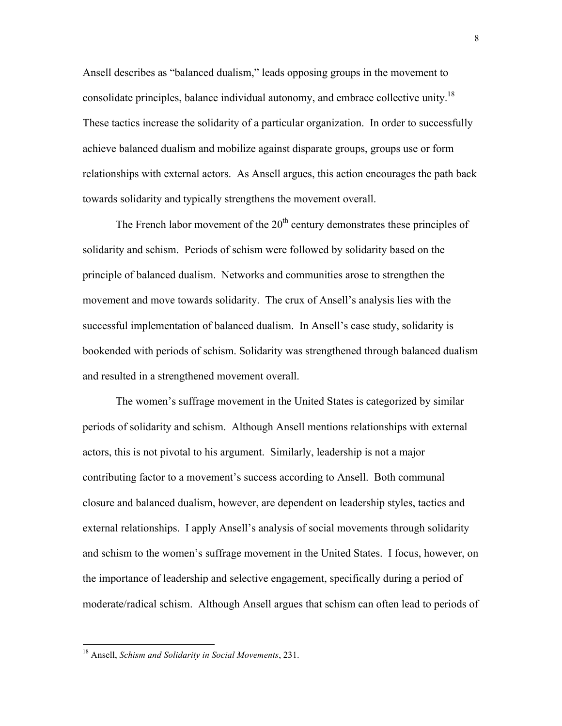Ansell describes as "balanced dualism," leads opposing groups in the movement to consolidate principles, balance individual autonomy, and embrace collective unity.18 These tactics increase the solidarity of a particular organization. In order to successfully achieve balanced dualism and mobilize against disparate groups, groups use or form relationships with external actors. As Ansell argues, this action encourages the path back towards solidarity and typically strengthens the movement overall.

The French labor movement of the  $20<sup>th</sup>$  century demonstrates these principles of solidarity and schism. Periods of schism were followed by solidarity based on the principle of balanced dualism. Networks and communities arose to strengthen the movement and move towards solidarity. The crux of Ansell's analysis lies with the successful implementation of balanced dualism. In Ansell's case study, solidarity is bookended with periods of schism. Solidarity was strengthened through balanced dualism and resulted in a strengthened movement overall.

The women's suffrage movement in the United States is categorized by similar periods of solidarity and schism. Although Ansell mentions relationships with external actors, this is not pivotal to his argument. Similarly, leadership is not a major contributing factor to a movement's success according to Ansell. Both communal closure and balanced dualism, however, are dependent on leadership styles, tactics and external relationships. I apply Ansell's analysis of social movements through solidarity and schism to the women's suffrage movement in the United States. I focus, however, on the importance of leadership and selective engagement, specifically during a period of moderate/radical schism. Although Ansell argues that schism can often lead to periods of

 <sup>18</sup> Ansell, *Schism and Solidarity in Social Movements*, 231.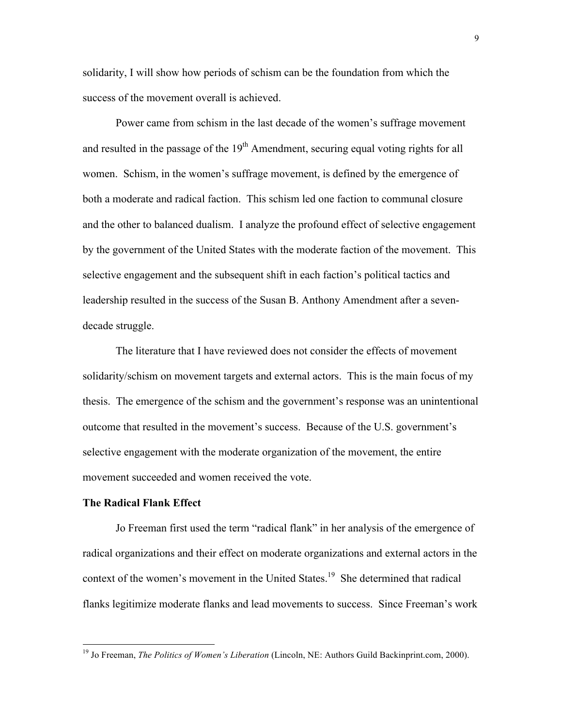solidarity, I will show how periods of schism can be the foundation from which the success of the movement overall is achieved.

Power came from schism in the last decade of the women's suffrage movement and resulted in the passage of the  $19<sup>th</sup>$  Amendment, securing equal voting rights for all women. Schism, in the women's suffrage movement, is defined by the emergence of both a moderate and radical faction. This schism led one faction to communal closure and the other to balanced dualism. I analyze the profound effect of selective engagement by the government of the United States with the moderate faction of the movement. This selective engagement and the subsequent shift in each faction's political tactics and leadership resulted in the success of the Susan B. Anthony Amendment after a sevendecade struggle.

The literature that I have reviewed does not consider the effects of movement solidarity/schism on movement targets and external actors. This is the main focus of my thesis. The emergence of the schism and the government's response was an unintentional outcome that resulted in the movement's success. Because of the U.S. government's selective engagement with the moderate organization of the movement, the entire movement succeeded and women received the vote.

### **The Radical Flank Effect**

Jo Freeman first used the term "radical flank" in her analysis of the emergence of radical organizations and their effect on moderate organizations and external actors in the context of the women's movement in the United States.<sup>19</sup> She determined that radical flanks legitimize moderate flanks and lead movements to success. Since Freeman's work

 <sup>19</sup> Jo Freeman, *The Politics of Women's Liberation* (Lincoln, NE: Authors Guild Backinprint.com, 2000).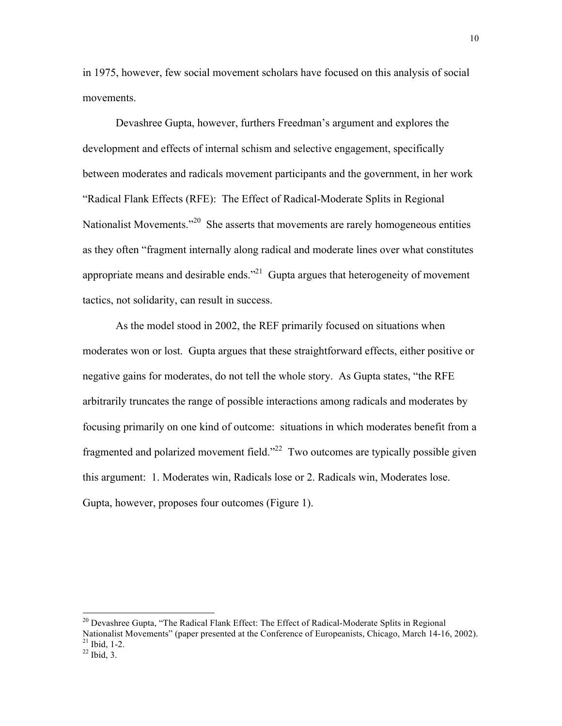in 1975, however, few social movement scholars have focused on this analysis of social movements.

Devashree Gupta, however, furthers Freedman's argument and explores the development and effects of internal schism and selective engagement, specifically between moderates and radicals movement participants and the government, in her work "Radical Flank Effects (RFE): The Effect of Radical-Moderate Splits in Regional Nationalist Movements."<sup>20</sup> She asserts that movements are rarely homogeneous entities as they often "fragment internally along radical and moderate lines over what constitutes appropriate means and desirable ends.<sup>321</sup> Gupta argues that heterogeneity of movement tactics, not solidarity, can result in success.

As the model stood in 2002, the REF primarily focused on situations when moderates won or lost. Gupta argues that these straightforward effects, either positive or negative gains for moderates, do not tell the whole story. As Gupta states, "the RFE arbitrarily truncates the range of possible interactions among radicals and moderates by focusing primarily on one kind of outcome: situations in which moderates benefit from a fragmented and polarized movement field.<sup> $22$ </sup> Two outcomes are typically possible given this argument: 1. Moderates win, Radicals lose or 2. Radicals win, Moderates lose. Gupta, however, proposes four outcomes (Figure 1).

 $^{20}$  Devashree Gupta, "The Radical Flank Effect: The Effect of Radical-Moderate Splits in Regional

Nationalist Movements" (paper presented at the Conference of Europeanists, Chicago, March 14-16, 2002).<br><sup>21</sup> Ibid, 1-2.<br><sup>22</sup> Ibid, 3.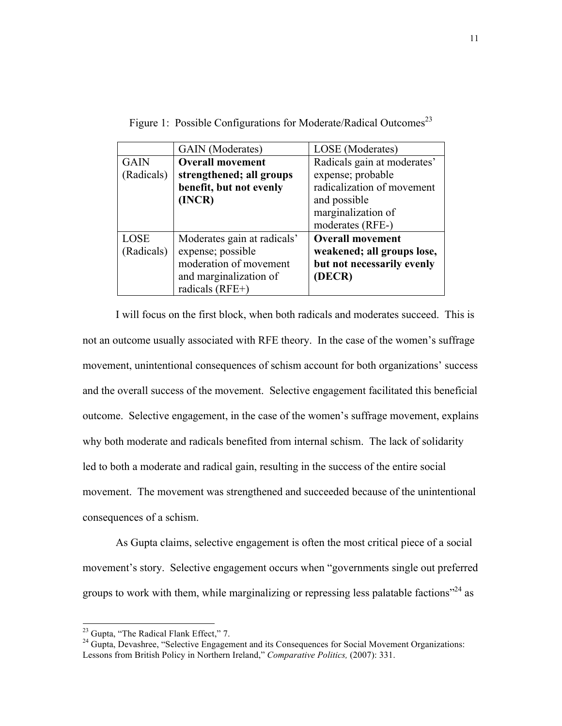| Radicals gain at moderates' |
|-----------------------------|
|                             |
| radicalization of movement  |
|                             |
|                             |
|                             |
|                             |
| weakened; all groups lose,  |
| but not necessarily evenly  |
|                             |
|                             |
|                             |

Figure 1: Possible Configurations for Moderate/Radical Outcomes<sup>23</sup>

I will focus on the first block, when both radicals and moderates succeed. This is not an outcome usually associated with RFE theory. In the case of the women's suffrage movement, unintentional consequences of schism account for both organizations' success and the overall success of the movement. Selective engagement facilitated this beneficial outcome. Selective engagement, in the case of the women's suffrage movement, explains why both moderate and radicals benefited from internal schism. The lack of solidarity led to both a moderate and radical gain, resulting in the success of the entire social movement. The movement was strengthened and succeeded because of the unintentional consequences of a schism.

As Gupta claims, selective engagement is often the most critical piece of a social movement's story. Selective engagement occurs when "governments single out preferred groups to work with them, while marginalizing or repressing less palatable factions<sup> $24$ </sup> as

<sup>&</sup>lt;sup>23</sup> Gupta, "The Radical Flank Effect," 7.<br><sup>24</sup> Gupta, Devashree, "Selective Engagement and its Consequences for Social Movement Organizations: Lessons from British Policy in Northern Ireland," *Comparative Politics,* (2007): 331.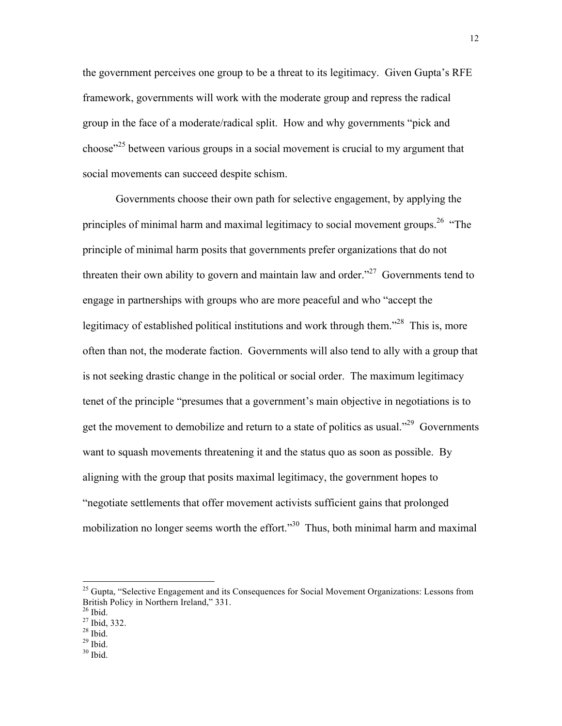the government perceives one group to be a threat to its legitimacy. Given Gupta's RFE framework, governments will work with the moderate group and repress the radical group in the face of a moderate/radical split. How and why governments "pick and choose<sup>325</sup> between various groups in a social movement is crucial to my argument that social movements can succeed despite schism.

Governments choose their own path for selective engagement, by applying the principles of minimal harm and maximal legitimacy to social movement groups.<sup>26</sup> "The principle of minimal harm posits that governments prefer organizations that do not threaten their own ability to govern and maintain law and order.<sup> $27$ </sup> Governments tend to engage in partnerships with groups who are more peaceful and who "accept the legitimacy of established political institutions and work through them.<sup> $28$ </sup> This is, more often than not, the moderate faction. Governments will also tend to ally with a group that is not seeking drastic change in the political or social order. The maximum legitimacy tenet of the principle "presumes that a government's main objective in negotiations is to get the movement to demobilize and return to a state of politics as usual."<sup>29</sup> Governments want to squash movements threatening it and the status quo as soon as possible. By aligning with the group that posits maximal legitimacy, the government hopes to "negotiate settlements that offer movement activists sufficient gains that prolonged mobilization no longer seems worth the effort."<sup>30</sup> Thus, both minimal harm and maximal

- 
- 

 $^{25}$  Gupta, "Selective Engagement and its Consequences for Social Movement Organizations: Lessons from British Policy in Northern Ireland," 331.<br><sup>26</sup> Ibid.<br><sup>27</sup> Ibid. 332.<br><sup>28</sup> Ibid. <sup>29</sup> Ibid. <sup>30</sup> Ibid.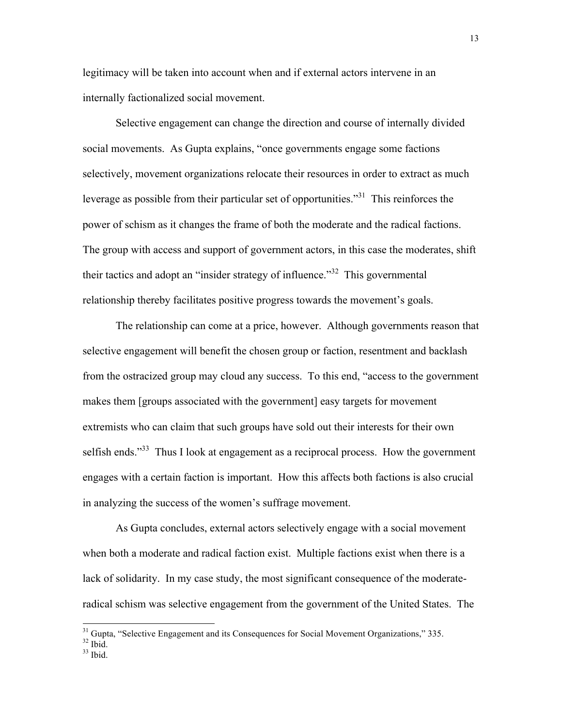legitimacy will be taken into account when and if external actors intervene in an internally factionalized social movement.

Selective engagement can change the direction and course of internally divided social movements. As Gupta explains, "once governments engage some factions selectively, movement organizations relocate their resources in order to extract as much leverage as possible from their particular set of opportunities.<sup>331</sup> This reinforces the power of schism as it changes the frame of both the moderate and the radical factions. The group with access and support of government actors, in this case the moderates, shift their tactics and adopt an "insider strategy of influence."<sup>32</sup> This governmental relationship thereby facilitates positive progress towards the movement's goals.

The relationship can come at a price, however. Although governments reason that selective engagement will benefit the chosen group or faction, resentment and backlash from the ostracized group may cloud any success. To this end, "access to the government makes them [groups associated with the government] easy targets for movement extremists who can claim that such groups have sold out their interests for their own selfish ends. $1$ <sup>33</sup> Thus I look at engagement as a reciprocal process. How the government engages with a certain faction is important. How this affects both factions is also crucial in analyzing the success of the women's suffrage movement.

As Gupta concludes, external actors selectively engage with a social movement when both a moderate and radical faction exist. Multiple factions exist when there is a lack of solidarity. In my case study, the most significant consequence of the moderateradical schism was selective engagement from the government of the United States. The

<sup>&</sup>lt;sup>31</sup> Gupta, "Selective Engagement and its Consequences for Social Movement Organizations," 335. <sup>32</sup> Ibid. <sup>33</sup> Ibid.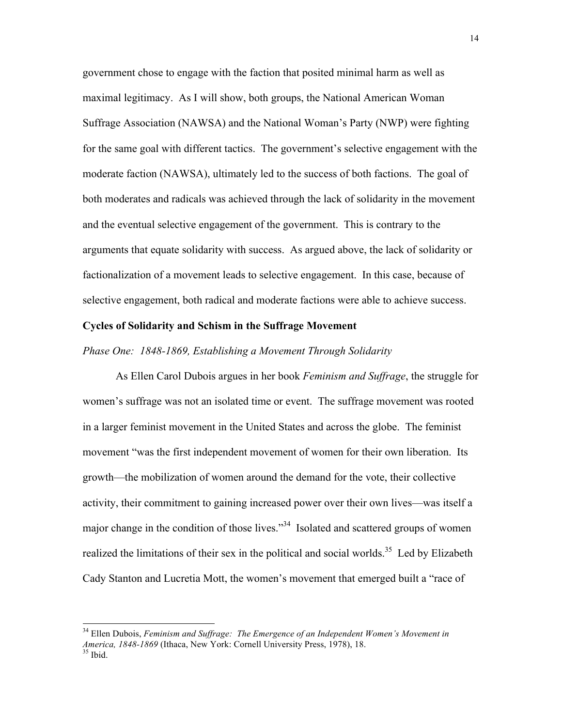government chose to engage with the faction that posited minimal harm as well as maximal legitimacy. As I will show, both groups, the National American Woman Suffrage Association (NAWSA) and the National Woman's Party (NWP) were fighting for the same goal with different tactics. The government's selective engagement with the moderate faction (NAWSA), ultimately led to the success of both factions. The goal of both moderates and radicals was achieved through the lack of solidarity in the movement and the eventual selective engagement of the government. This is contrary to the arguments that equate solidarity with success. As argued above, the lack of solidarity or factionalization of a movement leads to selective engagement. In this case, because of selective engagement, both radical and moderate factions were able to achieve success.

#### **Cycles of Solidarity and Schism in the Suffrage Movement**

#### *Phase One: 1848-1869, Establishing a Movement Through Solidarity*

As Ellen Carol Dubois argues in her book *Feminism and Suffrage*, the struggle for women's suffrage was not an isolated time or event. The suffrage movement was rooted in a larger feminist movement in the United States and across the globe. The feminist movement "was the first independent movement of women for their own liberation. Its growth—the mobilization of women around the demand for the vote, their collective activity, their commitment to gaining increased power over their own lives—was itself a major change in the condition of those lives."<sup>34</sup> Isolated and scattered groups of women realized the limitations of their sex in the political and social worlds.<sup>35</sup> Led by Elizabeth Cady Stanton and Lucretia Mott, the women's movement that emerged built a "race of

 <sup>34</sup> Ellen Dubois, *Feminism and Suffrage: The Emergence of an Independent Women's Movement in America, 1848-1869* (Ithaca, New York: Cornell University Press, 1978), 18. <sup>35</sup> Ibid.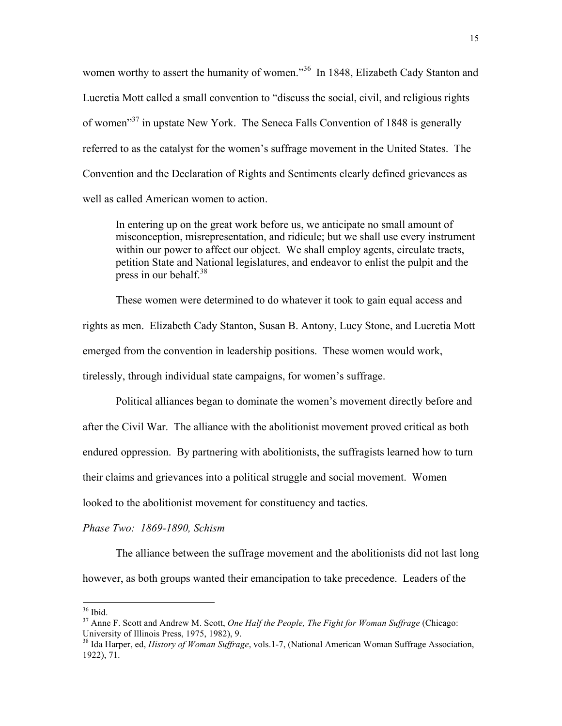women worthy to assert the humanity of women."<sup>36</sup> In 1848, Elizabeth Cady Stanton and Lucretia Mott called a small convention to "discuss the social, civil, and religious rights of women<sup>37</sup> in upstate New York. The Seneca Falls Convention of 1848 is generally referred to as the catalyst for the women's suffrage movement in the United States. The Convention and the Declaration of Rights and Sentiments clearly defined grievances as well as called American women to action.

In entering up on the great work before us, we anticipate no small amount of misconception, misrepresentation, and ridicule; but we shall use every instrument within our power to affect our object. We shall employ agents, circulate tracts, petition State and National legislatures, and endeavor to enlist the pulpit and the press in our behalf. $38$ 

These women were determined to do whatever it took to gain equal access and rights as men. Elizabeth Cady Stanton, Susan B. Antony, Lucy Stone, and Lucretia Mott emerged from the convention in leadership positions. These women would work, tirelessly, through individual state campaigns, for women's suffrage.

Political alliances began to dominate the women's movement directly before and after the Civil War. The alliance with the abolitionist movement proved critical as both endured oppression. By partnering with abolitionists, the suffragists learned how to turn their claims and grievances into a political struggle and social movement. Women looked to the abolitionist movement for constituency and tactics.

*Phase Two: 1869-1890, Schism*

The alliance between the suffrage movement and the abolitionists did not last long however, as both groups wanted their emancipation to take precedence. Leaders of the

 <sup>36</sup> Ibid. <sup>37</sup> Anne F. Scott and Andrew M. Scott, *One Half the People, The Fight for Woman Suffrage* (Chicago: University of Illinois Press, 1975, 1982), 9.<br><sup>38</sup> Ida Harper, ed, *History of Woman Suffrage*, vols.1-7, (National American Woman Suffrage Association,

<sup>1922),</sup> 71.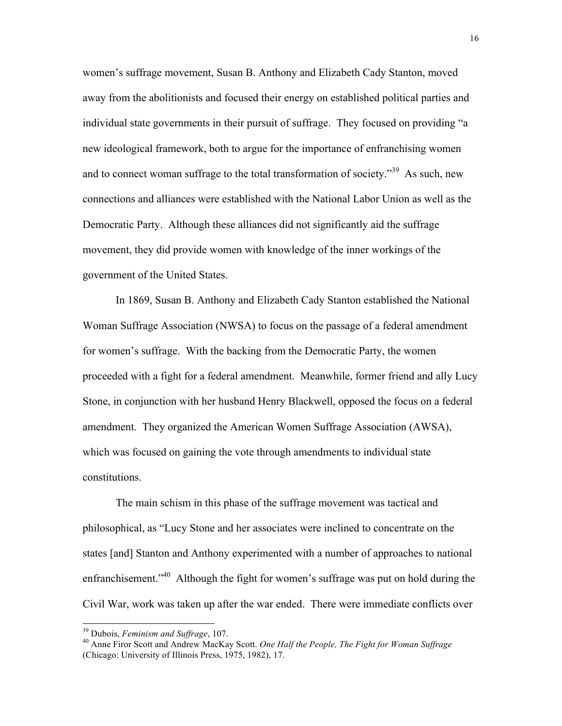women's suffrage movement, Susan B. Anthony and Elizabeth Cady Stanton, moved away from the abolitionists and focused their energy on established political parties and individual state governments in their pursuit of suffrage. They focused on providing "a new ideological framework, both to argue for the importance of enfranchising women and to connect woman suffrage to the total transformation of society."<sup>39</sup> As such, new connections and alliances were established with the National Labor Union as well as the Democratic Party. Although these alliances did not significantly aid the suffrage movement, they did provide women with knowledge of the inner workings of the government of the United States.

In 1869, Susan B. Anthony and Elizabeth Cady Stanton established the National Woman Suffrage Association (NWSA) to focus on the passage of a federal amendment for women's suffrage. With the backing from the Democratic Party, the women proceeded with a fight for a federal amendment. Meanwhile, former friend and ally Lucy Stone, in conjunction with her husband Henry Blackwell, opposed the focus on a federal amendment. They organized the American Women Suffrage Association (AWSA), which was focused on gaining the vote through amendments to individual state constitutions.

The main schism in this phase of the suffrage movement was tactical and philosophical, as "Lucy Stone and her associates were inclined to concentrate on the states [and] Stanton and Anthony experimented with a number of approaches to national enfranchisement."<sup>40</sup> Although the fight for women's suffrage was put on hold during the Civil War, work was taken up after the war ended. There were immediate conflicts over

 <sup>39</sup> Dubois, *Feminism and Suffrage*, 107. <sup>40</sup> Anne Firor Scott and Andrew MacKay Scott. *One Half the People, The Fight for Woman Suffrage* (Chicago: University of Illinois Press, 1975, 1982), 17.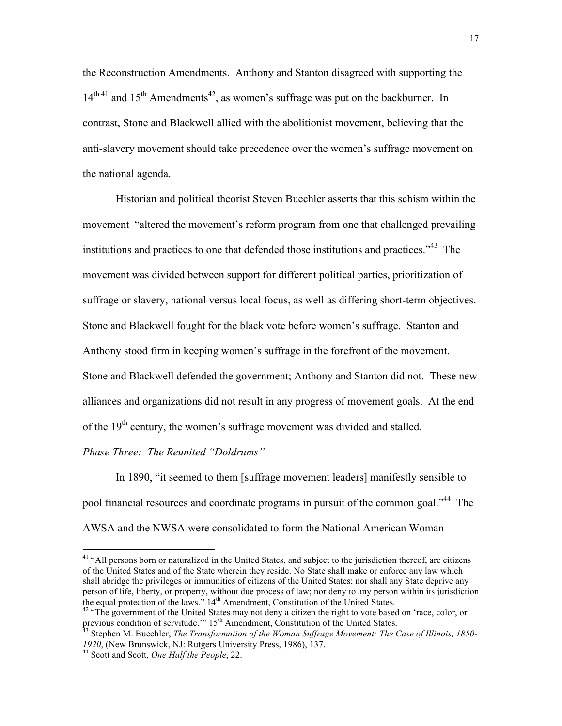the Reconstruction Amendments. Anthony and Stanton disagreed with supporting the  $14<sup>th 41</sup>$  and  $15<sup>th</sup>$  Amendments<sup>42</sup>, as women's suffrage was put on the backburner. In contrast, Stone and Blackwell allied with the abolitionist movement, believing that the anti-slavery movement should take precedence over the women's suffrage movement on the national agenda.

Historian and political theorist Steven Buechler asserts that this schism within the movement "altered the movement's reform program from one that challenged prevailing institutions and practices to one that defended those institutions and practices."<sup>43</sup> The movement was divided between support for different political parties, prioritization of suffrage or slavery, national versus local focus, as well as differing short-term objectives. Stone and Blackwell fought for the black vote before women's suffrage. Stanton and Anthony stood firm in keeping women's suffrage in the forefront of the movement. Stone and Blackwell defended the government; Anthony and Stanton did not. These new alliances and organizations did not result in any progress of movement goals. At the end of the  $19<sup>th</sup>$  century, the women's suffrage movement was divided and stalled.

## *Phase Three: The Reunited "Doldrums"*

In 1890, "it seemed to them [suffrage movement leaders] manifestly sensible to pool financial resources and coordinate programs in pursuit of the common goal."<sup>44</sup> The AWSA and the NWSA were consolidated to form the National American Woman

<sup>&</sup>lt;sup>41</sup> "All persons born or naturalized in the United States, and subject to the jurisdiction thereof, are citizens of the United States and of the State wherein they reside. No State shall make or enforce any law which shall abridge the privileges or immunities of citizens of the United States; nor shall any State deprive any person of life, liberty, or property, without due process of law; nor deny to any person within its jurisdiction<br>the equal protection of the laws." 14<sup>th</sup> Amendment, Constitution of the United States.

 $\frac{42}{12}$  "The government of the United States may not deny a citizen the right to vote based on 'race, color, or previous condition of servitude." 15<sup>th</sup> Amendment, Constitution of the United States.<br><sup>43</sup> Stephen M. Buechler, *The Transformation of the Woman Suffrage Movement: The Case of Illinois, 1850-*

*<sup>1920</sup>*, (New Brunswick, NJ: Rutgers University Press, 1986), 137. <sup>44</sup> Scott and Scott, *One Half the People*, 22.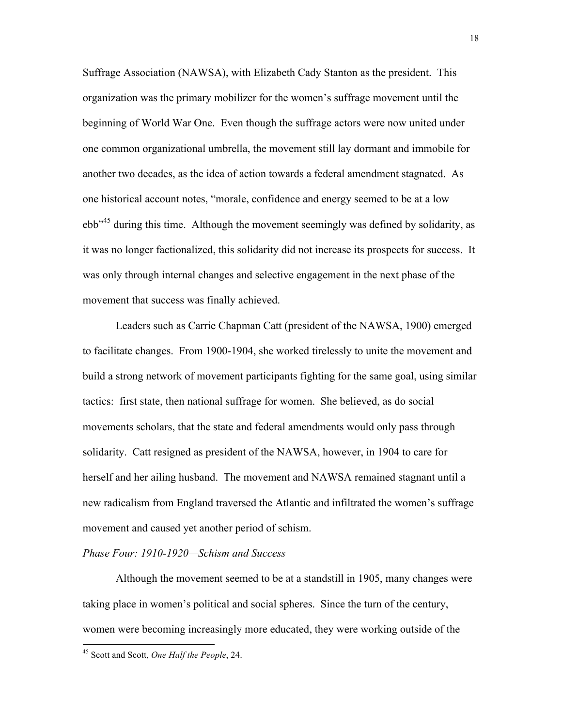Suffrage Association (NAWSA), with Elizabeth Cady Stanton as the president. This organization was the primary mobilizer for the women's suffrage movement until the beginning of World War One. Even though the suffrage actors were now united under one common organizational umbrella, the movement still lay dormant and immobile for another two decades, as the idea of action towards a federal amendment stagnated. As one historical account notes, "morale, confidence and energy seemed to be at a low ebb<sup>345</sup> during this time. Although the movement seemingly was defined by solidarity, as it was no longer factionalized, this solidarity did not increase its prospects for success. It was only through internal changes and selective engagement in the next phase of the movement that success was finally achieved.

Leaders such as Carrie Chapman Catt (president of the NAWSA, 1900) emerged to facilitate changes. From 1900-1904, she worked tirelessly to unite the movement and build a strong network of movement participants fighting for the same goal, using similar tactics: first state, then national suffrage for women. She believed, as do social movements scholars, that the state and federal amendments would only pass through solidarity. Catt resigned as president of the NAWSA, however, in 1904 to care for herself and her ailing husband. The movement and NAWSA remained stagnant until a new radicalism from England traversed the Atlantic and infiltrated the women's suffrage movement and caused yet another period of schism.

## *Phase Four: 1910-1920—Schism and Success*

Although the movement seemed to be at a standstill in 1905, many changes were taking place in women's political and social spheres. Since the turn of the century, women were becoming increasingly more educated, they were working outside of the

 <sup>45</sup> Scott and Scott, *One Half the People*, 24.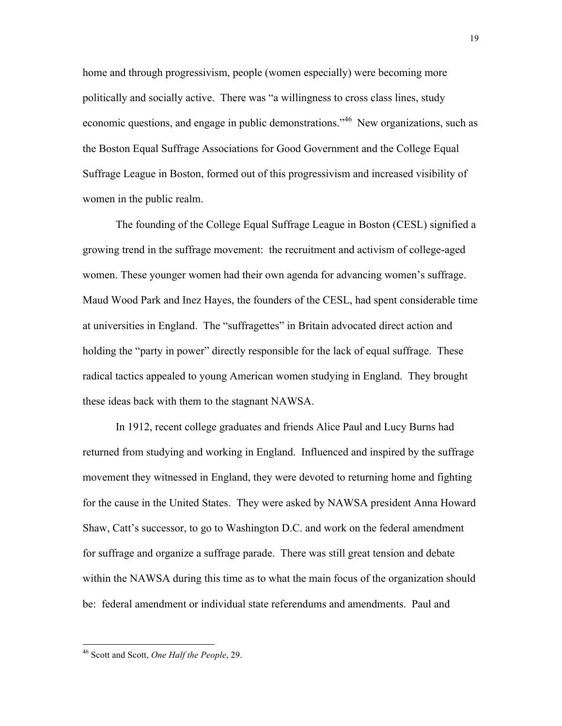home and through progressivism, people (women especially) were becoming more politically and socially active. There was "a willingness to cross class lines, study economic questions, and engage in public demonstrations."<sup>46</sup> New organizations, such as the Boston Equal Suffrage Associations for Good Government and the College Equal Suffrage League in Boston, formed out of this progressivism and increased visibility of women in the public realm.

The founding of the College Equal Suffrage League in Boston (CESL) signified a growing trend in the suffrage movement: the recruitment and activism of college-aged women. These younger women had their own agenda for advancing women's suffrage. Maud Wood Park and Inez Hayes, the founders of the CESL, had spent considerable time at universities in England. The "suffragettes" in Britain advocated direct action and holding the "party in power" directly responsible for the lack of equal suffrage. These radical tactics appealed to young American women studying in England. They brought these ideas back with them to the stagnant NAWSA.

In 1912, recent college graduates and friends Alice Paul and Lucy Burns had returned from studying and working in England. Influenced and inspired by the suffrage movement they witnessed in England, they were devoted to returning home and fighting for the cause in the United States. They were asked by NAWSA president Anna Howard Shaw, Catt's successor, to go to Washington D.C. and work on the federal amendment for suffrage and organize a suffrage parade. There was still great tension and debate within the NAWSA during this time as to what the main focus of the organization should be: federal amendment or individual state referendums and amendments. Paul and

 <sup>46</sup> Scott and Scott, *One Half the People*, 29.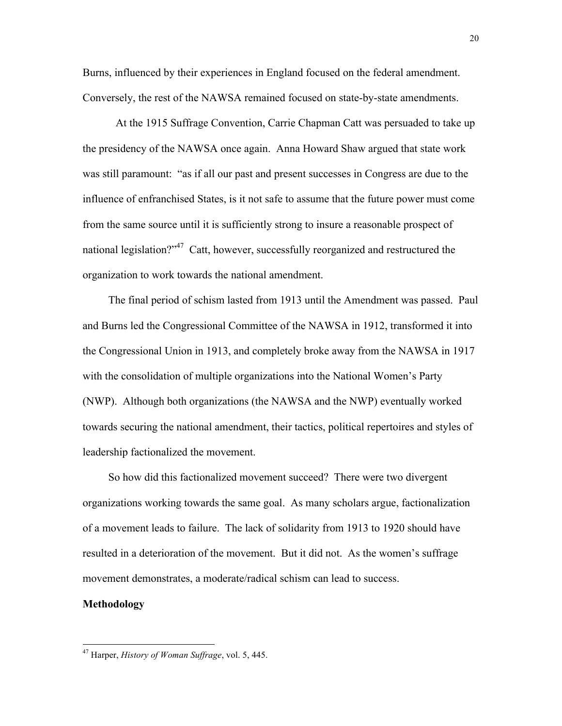Burns, influenced by their experiences in England focused on the federal amendment. Conversely, the rest of the NAWSA remained focused on state-by-state amendments.

At the 1915 Suffrage Convention, Carrie Chapman Catt was persuaded to take up the presidency of the NAWSA once again. Anna Howard Shaw argued that state work was still paramount: "as if all our past and present successes in Congress are due to the influence of enfranchised States, is it not safe to assume that the future power must come from the same source until it is sufficiently strong to insure a reasonable prospect of national legislation?"<sup>47</sup> Catt, however, successfully reorganized and restructured the organization to work towards the national amendment.

The final period of schism lasted from 1913 until the Amendment was passed. Paul and Burns led the Congressional Committee of the NAWSA in 1912, transformed it into the Congressional Union in 1913, and completely broke away from the NAWSA in 1917 with the consolidation of multiple organizations into the National Women's Party (NWP). Although both organizations (the NAWSA and the NWP) eventually worked towards securing the national amendment, their tactics, political repertoires and styles of leadership factionalized the movement.

So how did this factionalized movement succeed? There were two divergent organizations working towards the same goal. As many scholars argue, factionalization of a movement leads to failure. The lack of solidarity from 1913 to 1920 should have resulted in a deterioration of the movement. But it did not. As the women's suffrage movement demonstrates, a moderate/radical schism can lead to success.

# **Methodology**

 <sup>47</sup> Harper, *History of Woman Suffrage*, vol. 5, 445.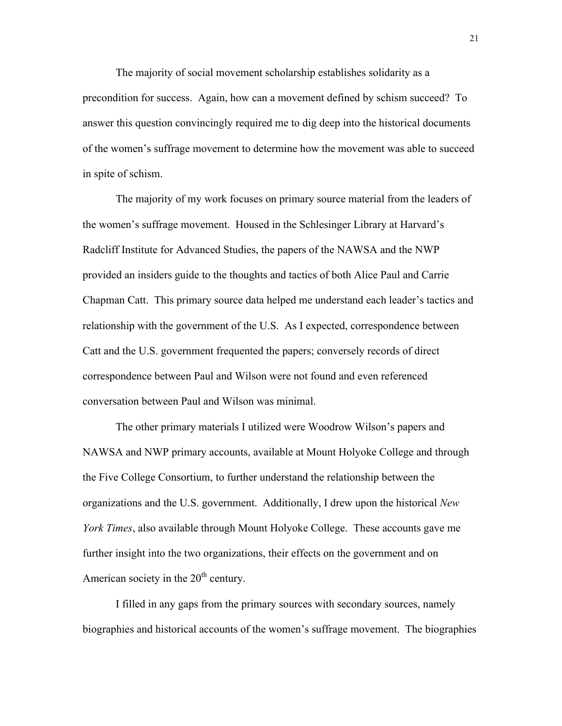The majority of social movement scholarship establishes solidarity as a precondition for success. Again, how can a movement defined by schism succeed? To answer this question convincingly required me to dig deep into the historical documents of the women's suffrage movement to determine how the movement was able to succeed in spite of schism.

The majority of my work focuses on primary source material from the leaders of the women's suffrage movement. Housed in the Schlesinger Library at Harvard's Radcliff Institute for Advanced Studies, the papers of the NAWSA and the NWP provided an insiders guide to the thoughts and tactics of both Alice Paul and Carrie Chapman Catt. This primary source data helped me understand each leader's tactics and relationship with the government of the U.S. As I expected, correspondence between Catt and the U.S. government frequented the papers; conversely records of direct correspondence between Paul and Wilson were not found and even referenced conversation between Paul and Wilson was minimal.

The other primary materials I utilized were Woodrow Wilson's papers and NAWSA and NWP primary accounts, available at Mount Holyoke College and through the Five College Consortium, to further understand the relationship between the organizations and the U.S. government. Additionally, I drew upon the historical *New York Times*, also available through Mount Holyoke College. These accounts gave me further insight into the two organizations, their effects on the government and on American society in the  $20<sup>th</sup>$  century.

I filled in any gaps from the primary sources with secondary sources, namely biographies and historical accounts of the women's suffrage movement. The biographies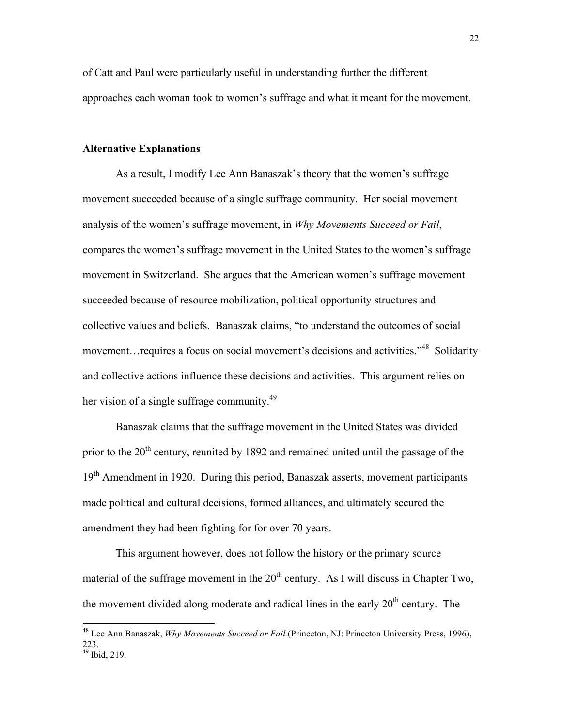of Catt and Paul were particularly useful in understanding further the different approaches each woman took to women's suffrage and what it meant for the movement.

## **Alternative Explanations**

As a result, I modify Lee Ann Banaszak's theory that the women's suffrage movement succeeded because of a single suffrage community. Her social movement analysis of the women's suffrage movement, in *Why Movements Succeed or Fail*, compares the women's suffrage movement in the United States to the women's suffrage movement in Switzerland. She argues that the American women's suffrage movement succeeded because of resource mobilization, political opportunity structures and collective values and beliefs. Banaszak claims, "to understand the outcomes of social movement... requires a focus on social movement's decisions and activities."<sup>48</sup> Solidarity and collective actions influence these decisions and activities. This argument relies on her vision of a single suffrage community.<sup>49</sup>

Banaszak claims that the suffrage movement in the United States was divided prior to the  $20<sup>th</sup>$  century, reunited by 1892 and remained united until the passage of the 19<sup>th</sup> Amendment in 1920. During this period, Banaszak asserts, movement participants made political and cultural decisions, formed alliances, and ultimately secured the amendment they had been fighting for for over 70 years.

This argument however, does not follow the history or the primary source material of the suffrage movement in the  $20<sup>th</sup>$  century. As I will discuss in Chapter Two, the movement divided along moderate and radical lines in the early  $20<sup>th</sup>$  century. The

 <sup>48</sup> Lee Ann Banaszak, *Why Movements Succeed or Fail* (Princeton, NJ: Princeton University Press, 1996), 223. <sup>49</sup> Ibid, 219.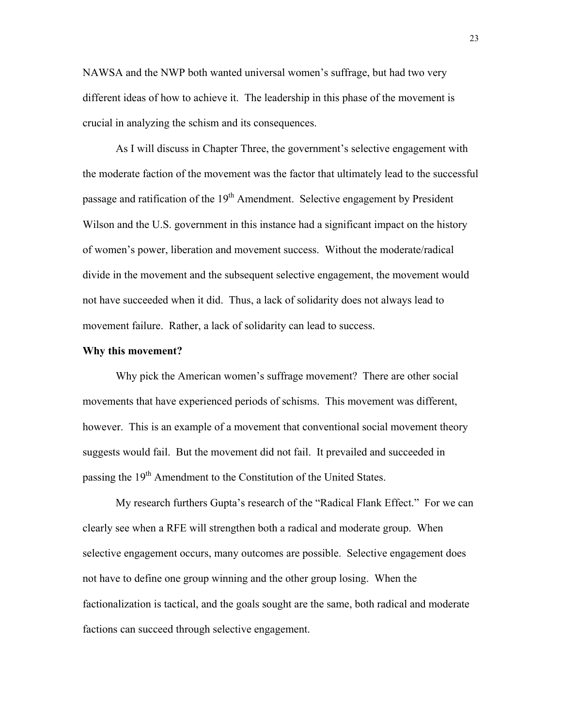NAWSA and the NWP both wanted universal women's suffrage, but had two very different ideas of how to achieve it. The leadership in this phase of the movement is crucial in analyzing the schism and its consequences.

As I will discuss in Chapter Three, the government's selective engagement with the moderate faction of the movement was the factor that ultimately lead to the successful passage and ratification of the  $19<sup>th</sup>$  Amendment. Selective engagement by President Wilson and the U.S. government in this instance had a significant impact on the history of women's power, liberation and movement success. Without the moderate/radical divide in the movement and the subsequent selective engagement, the movement would not have succeeded when it did. Thus, a lack of solidarity does not always lead to movement failure. Rather, a lack of solidarity can lead to success.

#### **Why this movement?**

Why pick the American women's suffrage movement? There are other social movements that have experienced periods of schisms. This movement was different, however. This is an example of a movement that conventional social movement theory suggests would fail. But the movement did not fail. It prevailed and succeeded in passing the 19<sup>th</sup> Amendment to the Constitution of the United States.

My research furthers Gupta's research of the "Radical Flank Effect." For we can clearly see when a RFE will strengthen both a radical and moderate group. When selective engagement occurs, many outcomes are possible. Selective engagement does not have to define one group winning and the other group losing. When the factionalization is tactical, and the goals sought are the same, both radical and moderate factions can succeed through selective engagement.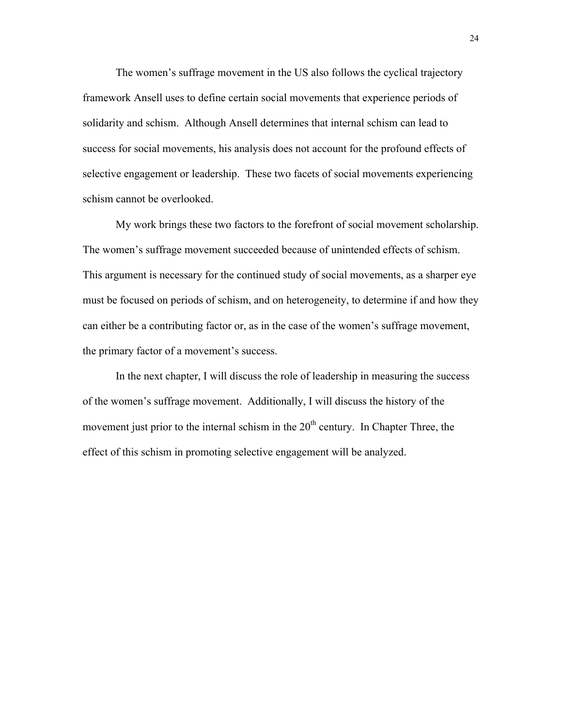The women's suffrage movement in the US also follows the cyclical trajectory framework Ansell uses to define certain social movements that experience periods of solidarity and schism. Although Ansell determines that internal schism can lead to success for social movements, his analysis does not account for the profound effects of selective engagement or leadership. These two facets of social movements experiencing schism cannot be overlooked.

My work brings these two factors to the forefront of social movement scholarship. The women's suffrage movement succeeded because of unintended effects of schism. This argument is necessary for the continued study of social movements, as a sharper eye must be focused on periods of schism, and on heterogeneity, to determine if and how they can either be a contributing factor or, as in the case of the women's suffrage movement, the primary factor of a movement's success.

In the next chapter, I will discuss the role of leadership in measuring the success of the women's suffrage movement. Additionally, I will discuss the history of the movement just prior to the internal schism in the  $20<sup>th</sup>$  century. In Chapter Three, the effect of this schism in promoting selective engagement will be analyzed.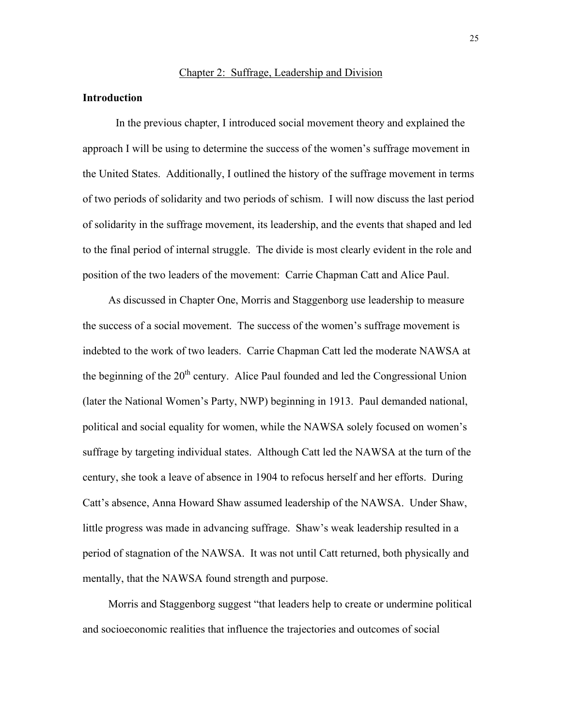### Chapter 2: Suffrage, Leadership and Division

### **Introduction**

In the previous chapter, I introduced social movement theory and explained the approach I will be using to determine the success of the women's suffrage movement in the United States. Additionally, I outlined the history of the suffrage movement in terms of two periods of solidarity and two periods of schism. I will now discuss the last period of solidarity in the suffrage movement, its leadership, and the events that shaped and led to the final period of internal struggle. The divide is most clearly evident in the role and position of the two leaders of the movement: Carrie Chapman Catt and Alice Paul.

As discussed in Chapter One, Morris and Staggenborg use leadership to measure the success of a social movement. The success of the women's suffrage movement is indebted to the work of two leaders. Carrie Chapman Catt led the moderate NAWSA at the beginning of the  $20<sup>th</sup>$  century. Alice Paul founded and led the Congressional Union (later the National Women's Party, NWP) beginning in 1913. Paul demanded national, political and social equality for women, while the NAWSA solely focused on women's suffrage by targeting individual states. Although Catt led the NAWSA at the turn of the century, she took a leave of absence in 1904 to refocus herself and her efforts. During Catt's absence, Anna Howard Shaw assumed leadership of the NAWSA. Under Shaw, little progress was made in advancing suffrage. Shaw's weak leadership resulted in a period of stagnation of the NAWSA. It was not until Catt returned, both physically and mentally, that the NAWSA found strength and purpose.

Morris and Staggenborg suggest "that leaders help to create or undermine political and socioeconomic realities that influence the trajectories and outcomes of social

25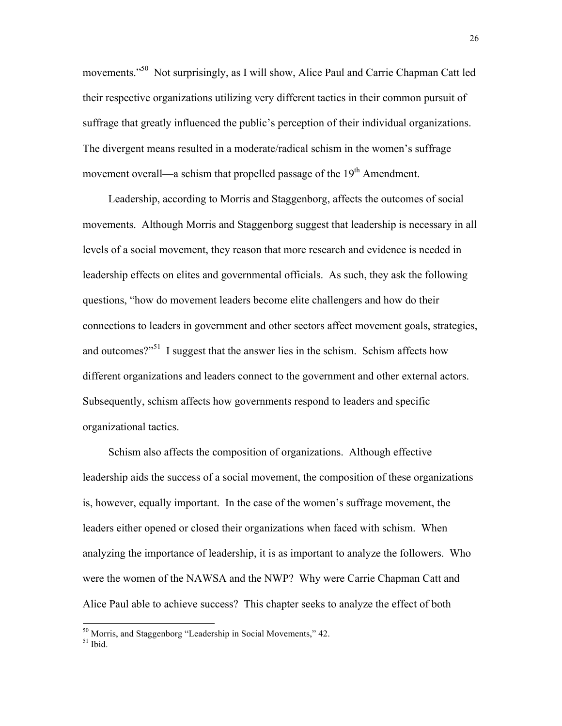movements."<sup>50</sup> Not surprisingly, as I will show, Alice Paul and Carrie Chapman Catt led their respective organizations utilizing very different tactics in their common pursuit of suffrage that greatly influenced the public's perception of their individual organizations. The divergent means resulted in a moderate/radical schism in the women's suffrage movement overall—a schism that propelled passage of the  $19<sup>th</sup>$  Amendment.

Leadership, according to Morris and Staggenborg, affects the outcomes of social movements. Although Morris and Staggenborg suggest that leadership is necessary in all levels of a social movement, they reason that more research and evidence is needed in leadership effects on elites and governmental officials. As such, they ask the following questions, "how do movement leaders become elite challengers and how do their connections to leaders in government and other sectors affect movement goals, strategies, and outcomes?"<sup>51</sup> I suggest that the answer lies in the schism. Schism affects how different organizations and leaders connect to the government and other external actors. Subsequently, schism affects how governments respond to leaders and specific organizational tactics.

Schism also affects the composition of organizations. Although effective leadership aids the success of a social movement, the composition of these organizations is, however, equally important. In the case of the women's suffrage movement, the leaders either opened or closed their organizations when faced with schism. When analyzing the importance of leadership, it is as important to analyze the followers. Who were the women of the NAWSA and the NWP? Why were Carrie Chapman Catt and Alice Paul able to achieve success? This chapter seeks to analyze the effect of both

 $50$  Morris, and Staggenborg "Leadership in Social Movements," 42.  $51$  Ibid.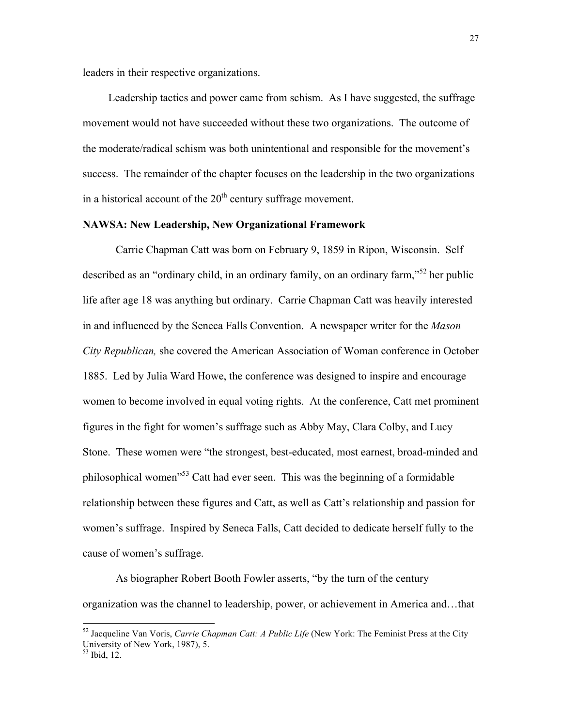leaders in their respective organizations.

Leadership tactics and power came from schism. As I have suggested, the suffrage movement would not have succeeded without these two organizations. The outcome of the moderate/radical schism was both unintentional and responsible for the movement's success. The remainder of the chapter focuses on the leadership in the two organizations in a historical account of the  $20<sup>th</sup>$  century suffrage movement.

# **NAWSA: New Leadership, New Organizational Framework**

Carrie Chapman Catt was born on February 9, 1859 in Ripon, Wisconsin. Self described as an "ordinary child, in an ordinary family, on an ordinary farm,"<sup>52</sup> her public life after age 18 was anything but ordinary. Carrie Chapman Catt was heavily interested in and influenced by the Seneca Falls Convention. A newspaper writer for the *Mason City Republican,* she covered the American Association of Woman conference in October 1885. Led by Julia Ward Howe, the conference was designed to inspire and encourage women to become involved in equal voting rights. At the conference, Catt met prominent figures in the fight for women's suffrage such as Abby May, Clara Colby, and Lucy Stone. These women were "the strongest, best-educated, most earnest, broad-minded and philosophical women<sup>153</sup> Catt had ever seen. This was the beginning of a formidable relationship between these figures and Catt, as well as Catt's relationship and passion for women's suffrage. Inspired by Seneca Falls, Catt decided to dedicate herself fully to the cause of women's suffrage.

As biographer Robert Booth Fowler asserts, "by the turn of the century organization was the channel to leadership, power, or achievement in America and…that

 <sup>52</sup> Jacqueline Van Voris, *Carrie Chapman Catt: <sup>A</sup> Public Life* (New York: The Feminist Press at the City University of New York, 1987), 5.<br><sup>53</sup> Ibid, 12.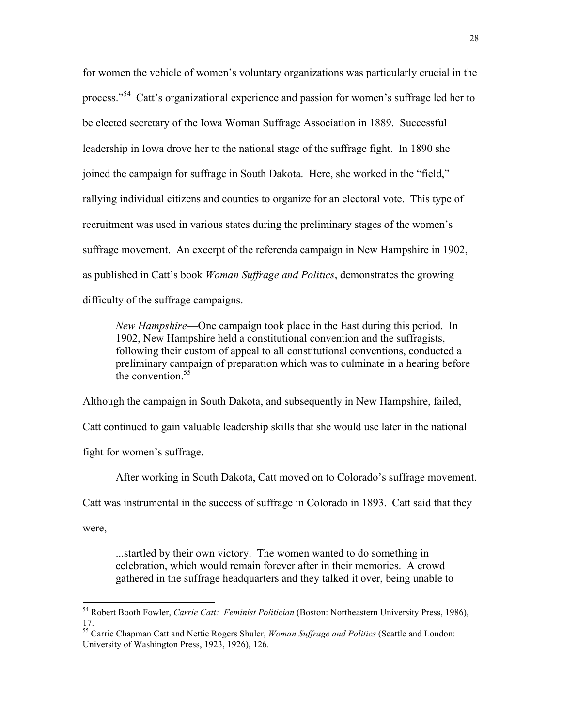for women the vehicle of women's voluntary organizations was particularly crucial in the process."<sup>54</sup> Catt's organizational experience and passion for women's suffrage led her to be elected secretary of the Iowa Woman Suffrage Association in 1889. Successful leadership in Iowa drove her to the national stage of the suffrage fight. In 1890 she joined the campaign for suffrage in South Dakota. Here, she worked in the "field," rallying individual citizens and counties to organize for an electoral vote. This type of recruitment was used in various states during the preliminary stages of the women's suffrage movement. An excerpt of the referenda campaign in New Hampshire in 1902, as published in Catt's book *Woman Suffrage and Politics*, demonstrates the growing difficulty of the suffrage campaigns.

*New Hampshire*—One campaign took place in the East during this period. In 1902, New Hampshire held a constitutional convention and the suffragists, following their custom of appeal to all constitutional conventions, conducted a preliminary campaign of preparation which was to culminate in a hearing before the convention  $5\overline{5}$ 

Although the campaign in South Dakota, and subsequently in New Hampshire, failed,

Catt continued to gain valuable leadership skills that she would use later in the national

fight for women's suffrage.

After working in South Dakota, Catt moved on to Colorado's suffrage movement.

Catt was instrumental in the success of suffrage in Colorado in 1893. Catt said that they

were,

...startled by their own victory. The women wanted to do something in celebration, which would remain forever after in their memories. A crowd gathered in the suffrage headquarters and they talked it over, being unable to

 <sup>54</sup> Robert Booth Fowler, *Carrie Catt: Feminist Politician* (Boston: Northeastern University Press, 1986), 17. <sup>55</sup> Carrie Chapman Catt and Nettie Rogers Shuler, *Woman Suffrage and Politics* (Seattle and London:

University of Washington Press, 1923, 1926), 126.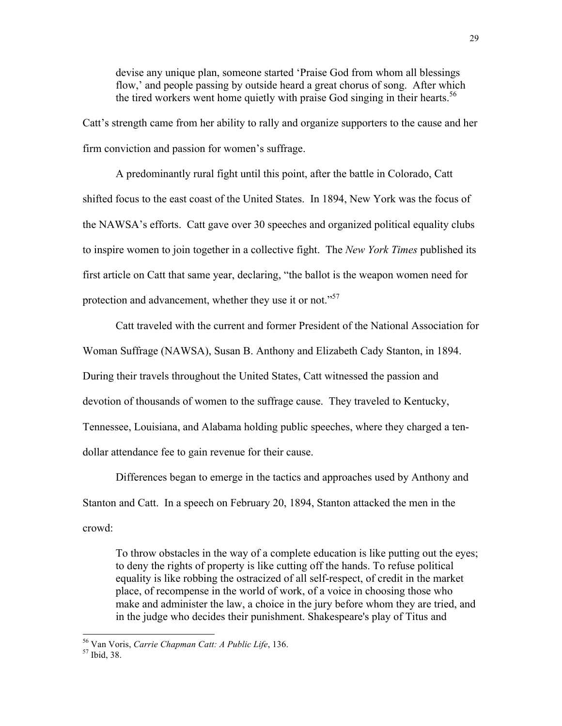devise any unique plan, someone started 'Praise God from whom all blessings flow,' and people passing by outside heard a great chorus of song. After which the tired workers went home quietly with praise God singing in their hearts.<sup>56</sup>

Catt's strength came from her ability to rally and organize supporters to the cause and her firm conviction and passion for women's suffrage.

A predominantly rural fight until this point, after the battle in Colorado, Catt shifted focus to the east coast of the United States. In 1894, New York was the focus of the NAWSA's efforts. Catt gave over 30 speeches and organized political equality clubs to inspire women to join together in a collective fight. The *New York Times* published its first article on Catt that same year, declaring, "the ballot is the weapon women need for protection and advancement, whether they use it or not."<sup>57</sup>

Catt traveled with the current and former President of the National Association for Woman Suffrage (NAWSA), Susan B. Anthony and Elizabeth Cady Stanton, in 1894. During their travels throughout the United States, Catt witnessed the passion and devotion of thousands of women to the suffrage cause. They traveled to Kentucky, Tennessee, Louisiana, and Alabama holding public speeches, where they charged a tendollar attendance fee to gain revenue for their cause.

Differences began to emerge in the tactics and approaches used by Anthony and Stanton and Catt. In a speech on February 20, 1894, Stanton attacked the men in the crowd:

To throw obstacles in the way of a complete education is like putting out the eyes; to deny the rights of property is like cutting off the hands. To refuse political equality is like robbing the ostracized of all self-respect, of credit in the market place, of recompense in the world of work, of a voice in choosing those who make and administer the law, a choice in the jury before whom they are tried, and in the judge who decides their punishment. Shakespeare's play of Titus and

 <sup>56</sup> Van Voris, *Carrie Chapman Catt: <sup>A</sup> Public Life*, 136. <sup>57</sup> Ibid, 38.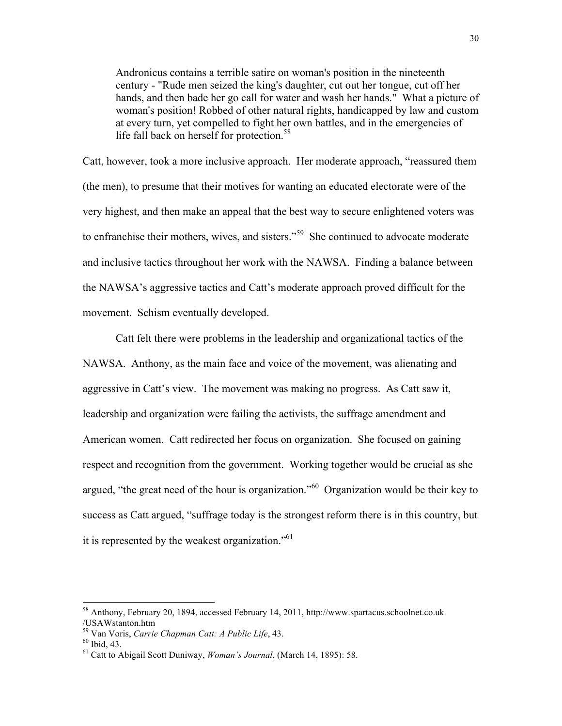Andronicus contains a terrible satire on woman's position in the nineteenth century - "Rude men seized the king's daughter, cut out her tongue, cut off her hands, and then bade her go call for water and wash her hands." What a picture of woman's position! Robbed of other natural rights, handicapped by law and custom at every turn, yet compelled to fight her own battles, and in the emergencies of life fall back on herself for protection.<sup>58</sup>

Catt, however, took a more inclusive approach. Her moderate approach, "reassured them (the men), to presume that their motives for wanting an educated electorate were of the very highest, and then make an appeal that the best way to secure enlightened voters was to enfranchise their mothers, wives, and sisters."<sup>59</sup> She continued to advocate moderate and inclusive tactics throughout her work with the NAWSA. Finding a balance between the NAWSA's aggressive tactics and Catt's moderate approach proved difficult for the movement. Schism eventually developed.

Catt felt there were problems in the leadership and organizational tactics of the NAWSA. Anthony, as the main face and voice of the movement, was alienating and aggressive in Catt's view. The movement was making no progress. As Catt saw it, leadership and organization were failing the activists, the suffrage amendment and American women. Catt redirected her focus on organization. She focused on gaining respect and recognition from the government. Working together would be crucial as she argued, "the great need of the hour is organization."<sup>60</sup> Organization would be their key to success as Catt argued, "suffrage today is the strongest reform there is in this country, but it is represented by the weakest organization.<sup> $561$ </sup>

<sup>&</sup>lt;sup>58</sup> Anthony, February 20, 1894, accessed February 14, 2011, http://www.spartacus.schoolnet.co.uk<br>/USAWstanton.htm

<sup>&</sup>lt;sup>59</sup> Van Voris, *Carrie Chapman Catt: A Public Life*, 43.<br><sup>60</sup> Ibid, 43. 61 Catt to Abigail Scott Duniway, *Woman's Journal*, (March 14, 1895): 58.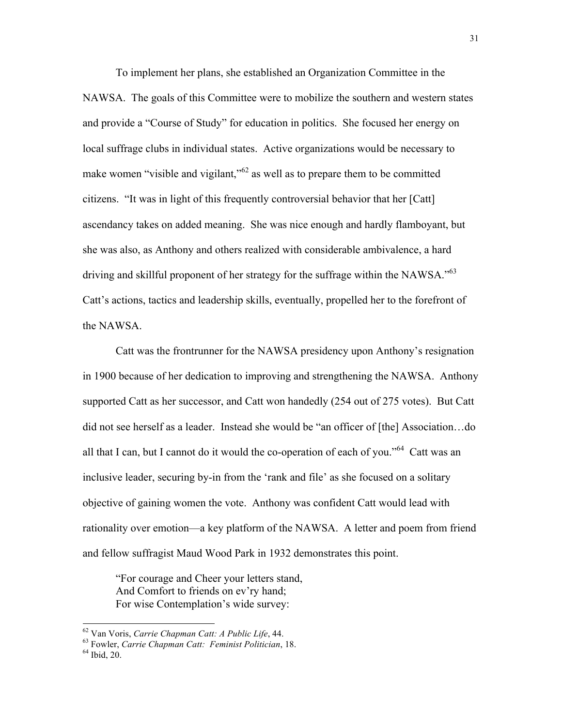To implement her plans, she established an Organization Committee in the NAWSA. The goals of this Committee were to mobilize the southern and western states and provide a "Course of Study" for education in politics. She focused her energy on local suffrage clubs in individual states. Active organizations would be necessary to make women "visible and vigilant,"<sup>62</sup> as well as to prepare them to be committed citizens. "It was in light of this frequently controversial behavior that her [Catt] ascendancy takes on added meaning. She was nice enough and hardly flamboyant, but she was also, as Anthony and others realized with considerable ambivalence, a hard driving and skillful proponent of her strategy for the suffrage within the NAWSA."<sup>63</sup> Catt's actions, tactics and leadership skills, eventually, propelled her to the forefront of the NAWSA.

Catt was the frontrunner for the NAWSA presidency upon Anthony's resignation in 1900 because of her dedication to improving and strengthening the NAWSA. Anthony supported Catt as her successor, and Catt won handedly (254 out of 275 votes). But Catt did not see herself as a leader. Instead she would be "an officer of [the] Association…do all that I can, but I cannot do it would the co-operation of each of you."<sup>64</sup> Catt was an inclusive leader, securing by-in from the 'rank and file' as she focused on a solitary objective of gaining women the vote. Anthony was confident Catt would lead with rationality over emotion—a key platform of the NAWSA. A letter and poem from friend and fellow suffragist Maud Wood Park in 1932 demonstrates this point.

"For courage and Cheer your letters stand, And Comfort to friends on ev'ry hand; For wise Contemplation's wide survey:

 <sup>62</sup> Van Voris, *Carrie Chapman Catt: <sup>A</sup> Public Life*, 44. <sup>63</sup> Fowler, *Carrie Chapman Catt: Feminist Politician*, 18. <sup>64</sup> Ibid, 20.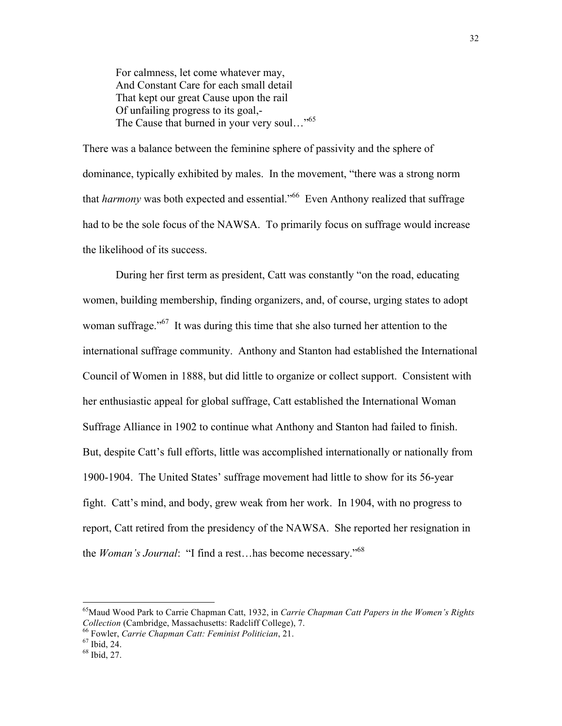For calmness, let come whatever may, And Constant Care for each small detail That kept our great Cause upon the rail Of unfailing progress to its goal,- The Cause that burned in your very soul..."<sup>65</sup>

There was a balance between the feminine sphere of passivity and the sphere of dominance, typically exhibited by males. In the movement, "there was a strong norm that *harmony* was both expected and essential."<sup>66</sup> Even Anthony realized that suffrage had to be the sole focus of the NAWSA. To primarily focus on suffrage would increase the likelihood of its success.

During her first term as president, Catt was constantly "on the road, educating women, building membership, finding organizers, and, of course, urging states to adopt woman suffrage."<sup>67</sup> It was during this time that she also turned her attention to the international suffrage community. Anthony and Stanton had established the International Council of Women in 1888, but did little to organize or collect support. Consistent with her enthusiastic appeal for global suffrage, Catt established the International Woman Suffrage Alliance in 1902 to continue what Anthony and Stanton had failed to finish. But, despite Catt's full efforts, little was accomplished internationally or nationally from 1900-1904. The United States' suffrage movement had little to show for its 56-year fight. Catt's mind, and body, grew weak from her work. In 1904, with no progress to report, Catt retired from the presidency of the NAWSA. She reported her resignation in the *Woman's Journal*: "I find a rest…has become necessary."<sup>68</sup>

 <sup>65</sup> Maud Wood Park to Carrie Chapman Catt, 1932, in *Carrie Chapman Catt Papers in the Women's Rights Collection* (Cambridge, Massachusetts: Radcliff College), 7. 66 Fowler, *Carrie Chapman Catt: Feminist Politician*, 21. 67 Ibid, 24. 68 Ibid, 27.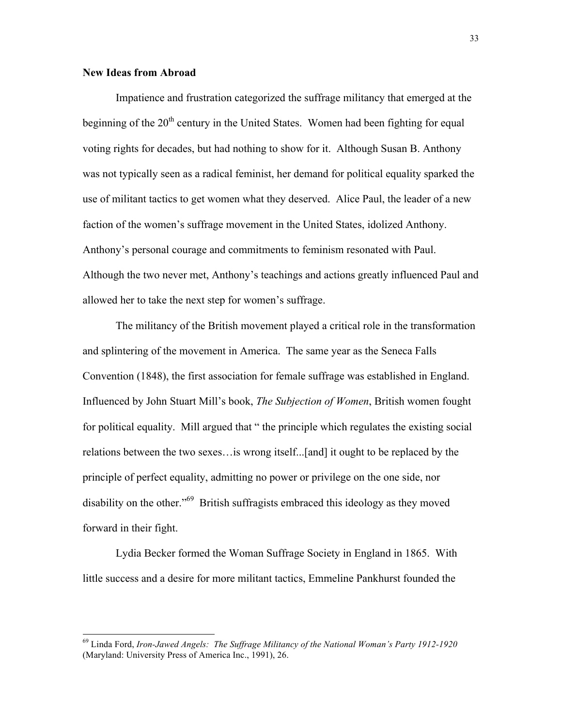## **New Ideas from Abroad**

Impatience and frustration categorized the suffrage militancy that emerged at the beginning of the 20<sup>th</sup> century in the United States. Women had been fighting for equal voting rights for decades, but had nothing to show for it. Although Susan B. Anthony was not typically seen as a radical feminist, her demand for political equality sparked the use of militant tactics to get women what they deserved. Alice Paul, the leader of a new faction of the women's suffrage movement in the United States, idolized Anthony. Anthony's personal courage and commitments to feminism resonated with Paul. Although the two never met, Anthony's teachings and actions greatly influenced Paul and allowed her to take the next step for women's suffrage.

The militancy of the British movement played a critical role in the transformation and splintering of the movement in America. The same year as the Seneca Falls Convention (1848), the first association for female suffrage was established in England. Influenced by John Stuart Mill's book, *The Subjection of Women*, British women fought for political equality. Mill argued that " the principle which regulates the existing social relations between the two sexes…is wrong itself...[and] it ought to be replaced by the principle of perfect equality, admitting no power or privilege on the one side, nor disability on the other."<sup>69</sup> British suffragists embraced this ideology as they moved forward in their fight.

Lydia Becker formed the Woman Suffrage Society in England in 1865. With little success and a desire for more militant tactics, Emmeline Pankhurst founded the

 <sup>69</sup> Linda Ford, *Iron-Jawed Angels: The Suffrage Militancy of the National Woman's Party 1912-1920* (Maryland: University Press of America Inc., 1991), 26.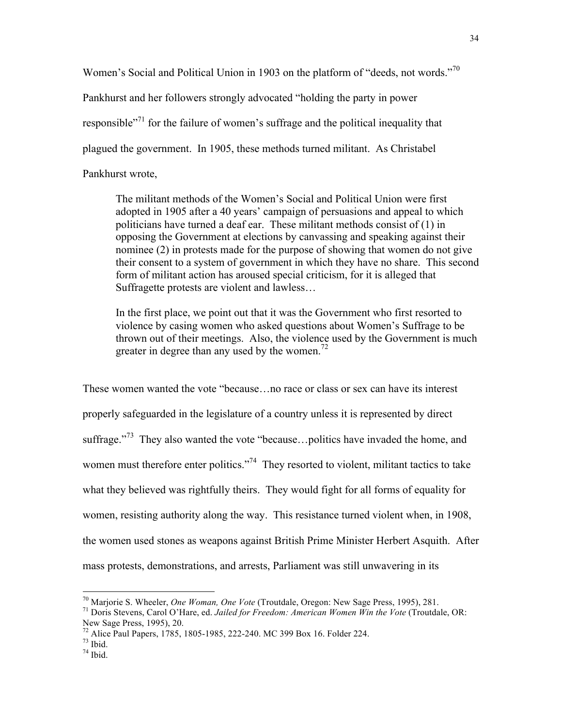Women's Social and Political Union in 1903 on the platform of "deeds, not words."<sup>70</sup>

Pankhurst and her followers strongly advocated "holding the party in power

responsible<sup>771</sup> for the failure of women's suffrage and the political inequality that

plagued the government. In 1905, these methods turned militant. As Christabel

# Pankhurst wrote,

The militant methods of the Women's Social and Political Union were first adopted in 1905 after a 40 years' campaign of persuasions and appeal to which politicians have turned a deaf ear. These militant methods consist of (1) in opposing the Government at elections by canvassing and speaking against their nominee (2) in protests made for the purpose of showing that women do not give their consent to a system of government in which they have no share. This second form of militant action has aroused special criticism, for it is alleged that Suffragette protests are violent and lawless…

In the first place, we point out that it was the Government who first resorted to violence by casing women who asked questions about Women's Suffrage to be thrown out of their meetings. Also, the violence used by the Government is much greater in degree than any used by the women.<sup>72</sup>

These women wanted the vote "because…no race or class or sex can have its interest properly safeguarded in the legislature of a country unless it is represented by direct suffrage."<sup>73</sup> They also wanted the vote "because...politics have invaded the home, and women must therefore enter politics."<sup>74</sup> They resorted to violent, militant tactics to take what they believed was rightfully theirs. They would fight for all forms of equality for women, resisting authority along the way. This resistance turned violent when, in 1908, the women used stones as weapons against British Prime Minister Herbert Asquith. After mass protests, demonstrations, and arrests, Parliament was still unwavering in its

<sup>&</sup>lt;sup>70</sup> Marjorie S. Wheeler, *One Woman, One Vote* (Troutdale, Oregon: New Sage Press, 1995), 281.<br><sup>71</sup> Doris Stevens, Carol O'Hare, ed. *Jailed for Freedom: American Women Win the Vote* (Troutdale, OR:

New Sage Press, 1995), 20.<br><sup>72</sup> Alice Paul Papers, 1785, 1805-1985, 222-240. MC 399 Box 16. Folder 224.<br><sup>73</sup> Ibid. <sup>74</sup> Ibid.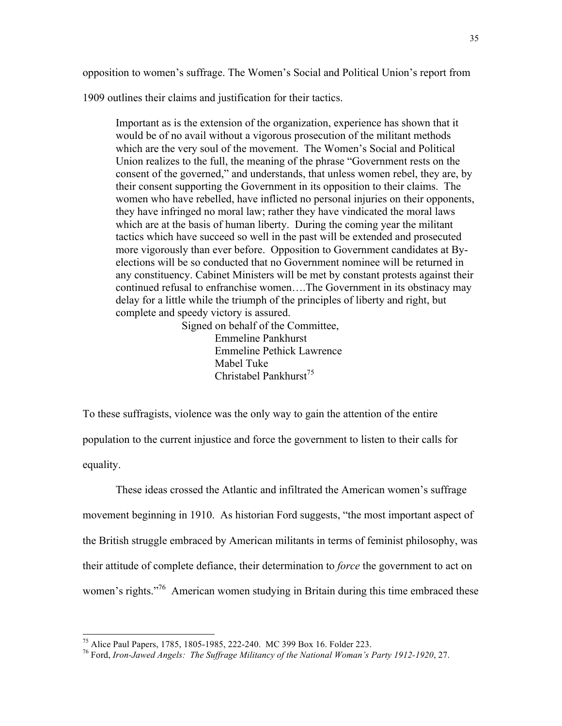opposition to women's suffrage. The Women's Social and Political Union's report from

1909 outlines their claims and justification for their tactics.

Important as is the extension of the organization, experience has shown that it would be of no avail without a vigorous prosecution of the militant methods which are the very soul of the movement. The Women's Social and Political Union realizes to the full, the meaning of the phrase "Government rests on the consent of the governed," and understands, that unless women rebel, they are, by their consent supporting the Government in its opposition to their claims. The women who have rebelled, have inflicted no personal injuries on their opponents, they have infringed no moral law; rather they have vindicated the moral laws which are at the basis of human liberty. During the coming year the militant tactics which have succeed so well in the past will be extended and prosecuted more vigorously than ever before. Opposition to Government candidates at Byelections will be so conducted that no Government nominee will be returned in any constituency. Cabinet Ministers will be met by constant protests against their continued refusal to enfranchise women….The Government in its obstinacy may delay for a little while the triumph of the principles of liberty and right, but complete and speedy victory is assured.

> Signed on behalf of the Committee, Emmeline Pankhurst Emmeline Pethick Lawrence Mabel Tuke Christabel Pankhurst<sup>75</sup>

To these suffragists, violence was the only way to gain the attention of the entire population to the current injustice and force the government to listen to their calls for equality.

These ideas crossed the Atlantic and infiltrated the American women's suffrage movement beginning in 1910. As historian Ford suggests, "the most important aspect of the British struggle embraced by American militants in terms of feminist philosophy, was their attitude of complete defiance, their determination to *force* the government to act on women's rights."<sup>76</sup> American women studying in Britain during this time embraced these

<sup>&</sup>lt;sup>75</sup> Alice Paul Papers, 1785, 1805-1985, 222-240. MC 399 Box 16. Folder 223.<br><sup>76</sup> Ford. *Iron-Jawed Angels: The Suffrage Militancy of the National Woman's Party 1912-1920, 27.*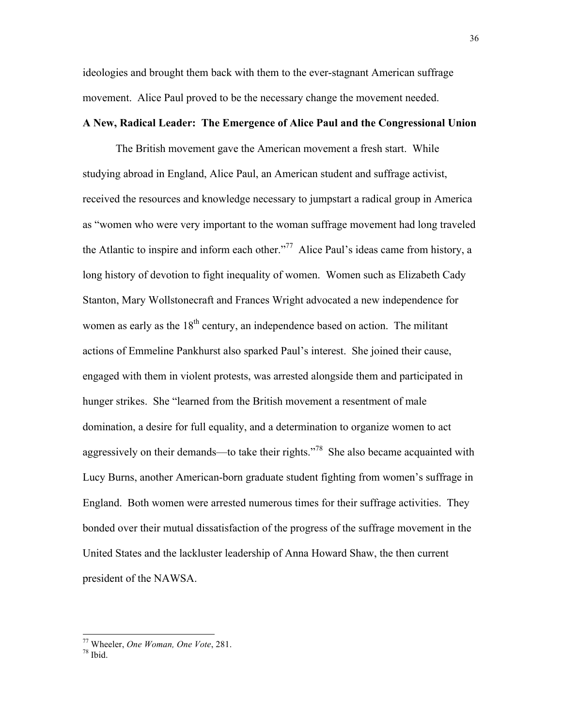ideologies and brought them back with them to the ever-stagnant American suffrage movement. Alice Paul proved to be the necessary change the movement needed.

# **A New, Radical Leader: The Emergence of Alice Paul and the Congressional Union**

The British movement gave the American movement a fresh start. While studying abroad in England, Alice Paul, an American student and suffrage activist, received the resources and knowledge necessary to jumpstart a radical group in America as "women who were very important to the woman suffrage movement had long traveled the Atlantic to inspire and inform each other."<sup>77</sup> Alice Paul's ideas came from history, a long history of devotion to fight inequality of women. Women such as Elizabeth Cady Stanton, Mary Wollstonecraft and Frances Wright advocated a new independence for women as early as the  $18<sup>th</sup>$  century, an independence based on action. The militant actions of Emmeline Pankhurst also sparked Paul's interest. She joined their cause, engaged with them in violent protests, was arrested alongside them and participated in hunger strikes. She "learned from the British movement a resentment of male domination, a desire for full equality, and a determination to organize women to act aggressively on their demands—to take their rights.<sup> $378$ </sup> She also became acquainted with Lucy Burns, another American-born graduate student fighting from women's suffrage in England. Both women were arrested numerous times for their suffrage activities. They bonded over their mutual dissatisfaction of the progress of the suffrage movement in the United States and the lackluster leadership of Anna Howard Shaw, the then current president of the NAWSA.

 <sup>77</sup> Wheeler, *One Woman, One Vote*, 281. <sup>78</sup> Ibid.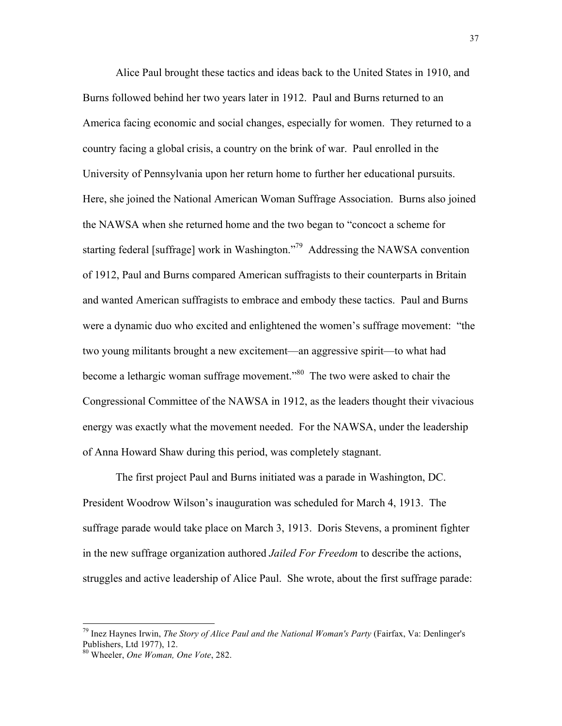Alice Paul brought these tactics and ideas back to the United States in 1910, and Burns followed behind her two years later in 1912. Paul and Burns returned to an America facing economic and social changes, especially for women. They returned to a country facing a global crisis, a country on the brink of war. Paul enrolled in the University of Pennsylvania upon her return home to further her educational pursuits. Here, she joined the National American Woman Suffrage Association. Burns also joined the NAWSA when she returned home and the two began to "concoct a scheme for starting federal [suffrage] work in Washington."<sup>79</sup> Addressing the NAWSA convention of 1912, Paul and Burns compared American suffragists to their counterparts in Britain and wanted American suffragists to embrace and embody these tactics. Paul and Burns were a dynamic duo who excited and enlightened the women's suffrage movement: "the two young militants brought a new excitement—an aggressive spirit—to what had become a lethargic woman suffrage movement."<sup>80</sup> The two were asked to chair the Congressional Committee of the NAWSA in 1912, as the leaders thought their vivacious energy was exactly what the movement needed. For the NAWSA, under the leadership of Anna Howard Shaw during this period, was completely stagnant.

The first project Paul and Burns initiated was a parade in Washington, DC. President Woodrow Wilson's inauguration was scheduled for March 4, 1913. The suffrage parade would take place on March 3, 1913. Doris Stevens, a prominent fighter in the new suffrage organization authored *Jailed For Freedom* to describe the actions, struggles and active leadership of Alice Paul. She wrote, about the first suffrage parade:

 <sup>79</sup> Inez Haynes Irwin, *The Story of Alice Paul and the National Woman's Party* (Fairfax, Va: Denlinger's Publishers, Ltd 1977), 12. <sup>80</sup> Wheeler, *One Woman, One Vote*, 282.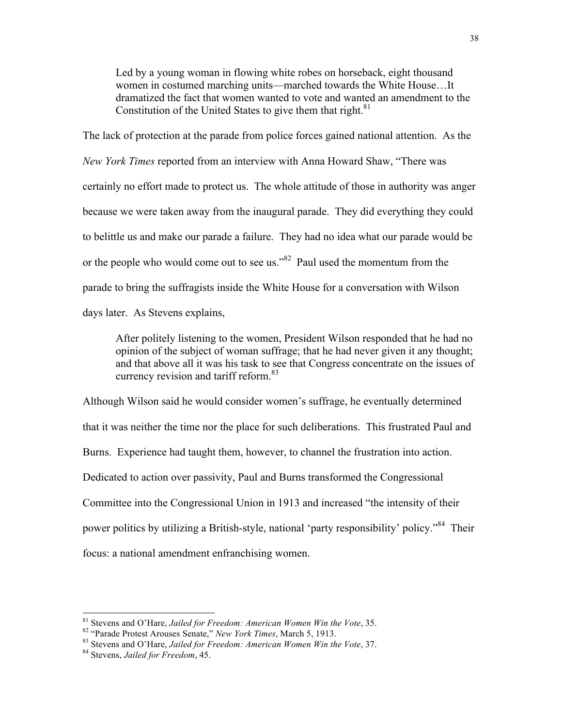Led by a young woman in flowing white robes on horseback, eight thousand women in costumed marching units—marched towards the White House…It dramatized the fact that women wanted to vote and wanted an amendment to the Constitution of the United States to give them that right.<sup>81</sup>

The lack of protection at the parade from police forces gained national attention. As the *New York Times* reported from an interview with Anna Howard Shaw, "There was certainly no effort made to protect us. The whole attitude of those in authority was anger because we were taken away from the inaugural parade. They did everything they could to belittle us and make our parade a failure. They had no idea what our parade would be or the people who would come out to see us."<sup>82</sup> Paul used the momentum from the parade to bring the suffragists inside the White House for a conversation with Wilson days later. As Stevens explains,

After politely listening to the women, President Wilson responded that he had no opinion of the subject of woman suffrage; that he had never given it any thought; and that above all it was his task to see that Congress concentrate on the issues of currency revision and tariff reform.<sup>83</sup>

Although Wilson said he would consider women's suffrage, he eventually determined that it was neither the time nor the place for such deliberations. This frustrated Paul and Burns. Experience had taught them, however, to channel the frustration into action. Dedicated to action over passivity, Paul and Burns transformed the Congressional Committee into the Congressional Union in 1913 and increased "the intensity of their power politics by utilizing a British-style, national 'party responsibility' policy."<sup>84</sup> Their focus: a national amendment enfranchising women.

<sup>&</sup>lt;sup>81</sup> Stevens and O'Hare, *Jailed for Freedom: American Women Win the Vote*, 35.<br><sup>82</sup> "Parade Protest Arouses Senate," *New York Times*, March 5, 1913.<br><sup>83</sup> Stevens and O'Hare, *Jailed for Freedom: American Women Win the V*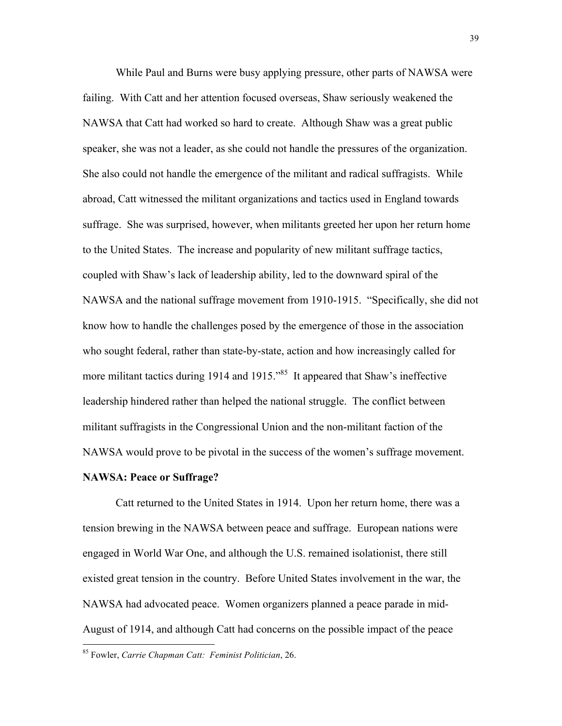While Paul and Burns were busy applying pressure, other parts of NAWSA were failing. With Catt and her attention focused overseas, Shaw seriously weakened the NAWSA that Catt had worked so hard to create. Although Shaw was a great public speaker, she was not a leader, as she could not handle the pressures of the organization. She also could not handle the emergence of the militant and radical suffragists. While abroad, Catt witnessed the militant organizations and tactics used in England towards suffrage. She was surprised, however, when militants greeted her upon her return home to the United States. The increase and popularity of new militant suffrage tactics, coupled with Shaw's lack of leadership ability, led to the downward spiral of the NAWSA and the national suffrage movement from 1910-1915. "Specifically, she did not know how to handle the challenges posed by the emergence of those in the association who sought federal, rather than state-by-state, action and how increasingly called for more militant tactics during 1914 and 1915."<sup>85</sup> It appeared that Shaw's ineffective leadership hindered rather than helped the national struggle. The conflict between militant suffragists in the Congressional Union and the non-militant faction of the NAWSA would prove to be pivotal in the success of the women's suffrage movement.

### **NAWSA: Peace or Suffrage?**

Catt returned to the United States in 1914. Upon her return home, there was a tension brewing in the NAWSA between peace and suffrage. European nations were engaged in World War One, and although the U.S. remained isolationist, there still existed great tension in the country. Before United States involvement in the war, the NAWSA had advocated peace. Women organizers planned a peace parade in mid-August of 1914, and although Catt had concerns on the possible impact of the peace

 <sup>85</sup> Fowler, *Carrie Chapman Catt: Feminist Politician*, 26.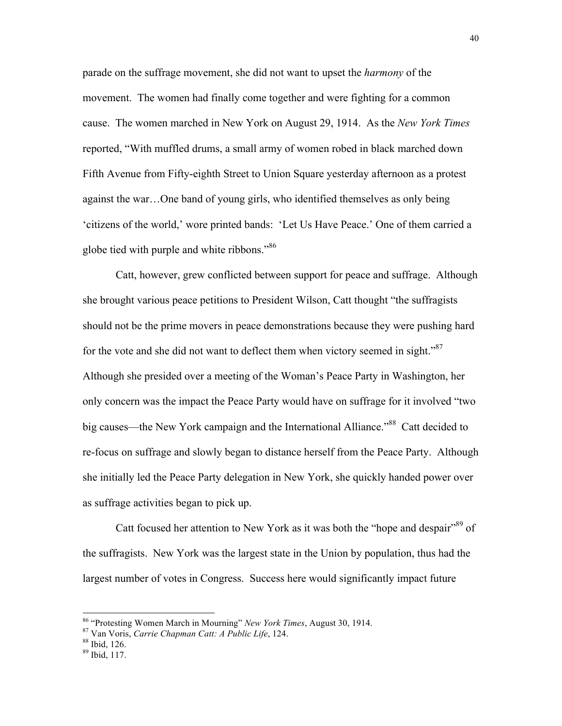parade on the suffrage movement, she did not want to upset the *harmony* of the movement. The women had finally come together and were fighting for a common cause. The women marched in New York on August 29, 1914. As the *New York Times* reported, "With muffled drums, a small army of women robed in black marched down Fifth Avenue from Fifty-eighth Street to Union Square yesterday afternoon as a protest against the war…One band of young girls, who identified themselves as only being 'citizens of the world,' wore printed bands: 'Let Us Have Peace.' One of them carried a globe tied with purple and white ribbons."<sup>86</sup>

Catt, however, grew conflicted between support for peace and suffrage. Although she brought various peace petitions to President Wilson, Catt thought "the suffragists should not be the prime movers in peace demonstrations because they were pushing hard for the vote and she did not want to deflect them when victory seemed in sight."<sup>87</sup> Although she presided over a meeting of the Woman's Peace Party in Washington, her only concern was the impact the Peace Party would have on suffrage for it involved "two big causes—the New York campaign and the International Alliance."<sup>88</sup> Catt decided to re-focus on suffrage and slowly began to distance herself from the Peace Party. Although she initially led the Peace Party delegation in New York, she quickly handed power over as suffrage activities began to pick up.

Catt focused her attention to New York as it was both the "hope and despair"<sup>89</sup> of the suffragists. New York was the largest state in the Union by population, thus had the largest number of votes in Congress. Success here would significantly impact future

 <sup>86</sup> "Protesting Women March in Mourning" *New York Times*, August 30, 1914. <sup>87</sup> Van Voris, *Carrie Chapman Catt: <sup>A</sup> Public Life*, 124. <sup>88</sup> Ibid, 126. <sup>89</sup> Ibid, 117.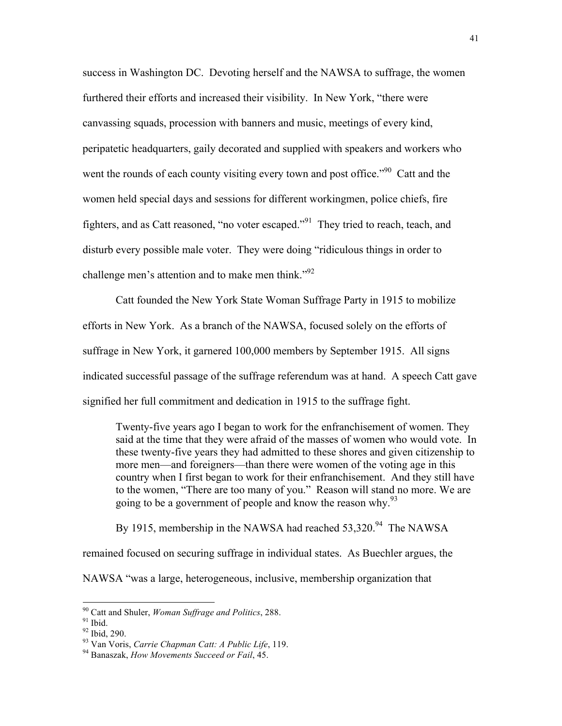success in Washington DC. Devoting herself and the NAWSA to suffrage, the women furthered their efforts and increased their visibility. In New York, "there were canvassing squads, procession with banners and music, meetings of every kind, peripatetic headquarters, gaily decorated and supplied with speakers and workers who went the rounds of each county visiting every town and post office.<sup>"90</sup> Catt and the women held special days and sessions for different workingmen, police chiefs, fire fighters, and as Catt reasoned, "no voter escaped."<sup>91</sup> They tried to reach, teach, and disturb every possible male voter. They were doing "ridiculous things in order to challenge men's attention and to make men think." $92$ 

Catt founded the New York State Woman Suffrage Party in 1915 to mobilize efforts in New York. As a branch of the NAWSA, focused solely on the efforts of suffrage in New York, it garnered 100,000 members by September 1915. All signs indicated successful passage of the suffrage referendum was at hand. A speech Catt gave signified her full commitment and dedication in 1915 to the suffrage fight.

Twenty-five years ago I began to work for the enfranchisement of women. They said at the time that they were afraid of the masses of women who would vote. In these twenty-five years they had admitted to these shores and given citizenship to more men—and foreigners—than there were women of the voting age in this country when I first began to work for their enfranchisement. And they still have to the women, "There are too many of you." Reason will stand no more. We are going to be a government of people and know the reason why.<sup>93</sup>

By 1915, membership in the NAWSA had reached 53,320.<sup>94</sup> The NAWSA

remained focused on securing suffrage in individual states. As Buechler argues, the

NAWSA "was a large, heterogeneous, inclusive, membership organization that

<sup>&</sup>lt;sup>90</sup> Catt and Shuler, *Woman Suffrage and Politics*, 288.<br><sup>91</sup> Ibid.<br><sup>92</sup> Ibid, 290.<br><sup>93</sup> Van Voris, *Carrie Chapman Catt: A Public Life*, 119.<br><sup>94</sup> Banaszak, *How Movements Succeed or Fail*, 45.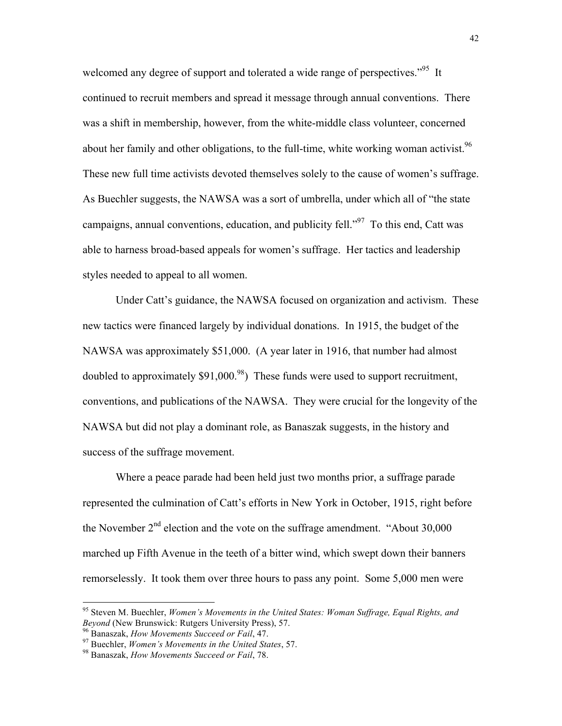welcomed any degree of support and tolerated a wide range of perspectives."<sup>95</sup> It continued to recruit members and spread it message through annual conventions. There was a shift in membership, however, from the white-middle class volunteer, concerned about her family and other obligations, to the full-time, white working woman activist.<sup>96</sup> These new full time activists devoted themselves solely to the cause of women's suffrage. As Buechler suggests, the NAWSA was a sort of umbrella, under which all of "the state campaigns, annual conventions, education, and publicity fell."<sup>97</sup> To this end, Catt was able to harness broad-based appeals for women's suffrage. Her tactics and leadership styles needed to appeal to all women.

Under Catt's guidance, the NAWSA focused on organization and activism. These new tactics were financed largely by individual donations. In 1915, the budget of the NAWSA was approximately \$51,000. (A year later in 1916, that number had almost doubled to approximately  $$91,000.^{98}$ ) These funds were used to support recruitment, conventions, and publications of the NAWSA. They were crucial for the longevity of the NAWSA but did not play a dominant role, as Banaszak suggests, in the history and success of the suffrage movement.

Where a peace parade had been held just two months prior, a suffrage parade represented the culmination of Catt's efforts in New York in October, 1915, right before the November  $2<sup>nd</sup>$  election and the vote on the suffrage amendment. "About 30,000 marched up Fifth Avenue in the teeth of a bitter wind, which swept down their banners remorselessly. It took them over three hours to pass any point. Some 5,000 men were

 <sup>95</sup> Steven M. Buechler, *Women's Movements in the United States: Woman Suffrage, Equal Rights, and*

<sup>&</sup>lt;sup>96</sup> Banaszak, *How Movements Succeed or Fail*, 47.<br><sup>97</sup> Buechler, *Women's Movements in the United States*, 57.<br><sup>98</sup> Banaszak, *How Movements Succeed or Fail*, 78.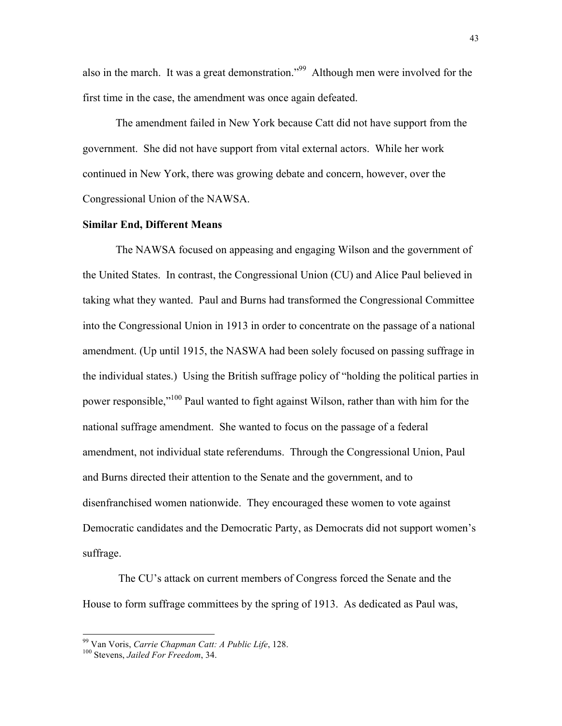also in the march. It was a great demonstration."<sup>99</sup> Although men were involved for the first time in the case, the amendment was once again defeated.

The amendment failed in New York because Catt did not have support from the government. She did not have support from vital external actors. While her work continued in New York, there was growing debate and concern, however, over the Congressional Union of the NAWSA.

### **Similar End, Different Means**

The NAWSA focused on appeasing and engaging Wilson and the government of the United States. In contrast, the Congressional Union (CU) and Alice Paul believed in taking what they wanted. Paul and Burns had transformed the Congressional Committee into the Congressional Union in 1913 in order to concentrate on the passage of a national amendment. (Up until 1915, the NASWA had been solely focused on passing suffrage in the individual states.) Using the British suffrage policy of "holding the political parties in power responsible,"<sup>100</sup> Paul wanted to fight against Wilson, rather than with him for the national suffrage amendment. She wanted to focus on the passage of a federal amendment, not individual state referendums. Through the Congressional Union, Paul and Burns directed their attention to the Senate and the government, and to disenfranchised women nationwide. They encouraged these women to vote against Democratic candidates and the Democratic Party, as Democrats did not support women's suffrage.

 The CU's attack on current members of Congress forced the Senate and the House to form suffrage committees by the spring of 1913. As dedicated as Paul was,

 <sup>99</sup> Van Voris, *Carrie Chapman Catt: <sup>A</sup> Public Life*, 128. <sup>100</sup> Stevens, *Jailed For Freedom*, 34.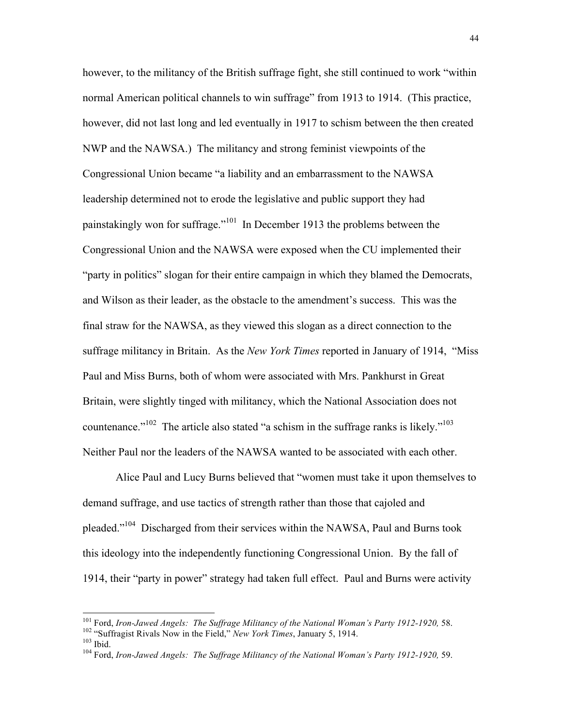however, to the militancy of the British suffrage fight, she still continued to work "within normal American political channels to win suffrage" from 1913 to 1914. (This practice, however, did not last long and led eventually in 1917 to schism between the then created NWP and the NAWSA.) The militancy and strong feminist viewpoints of the Congressional Union became "a liability and an embarrassment to the NAWSA leadership determined not to erode the legislative and public support they had painstakingly won for suffrage."<sup>101</sup> In December 1913 the problems between the Congressional Union and the NAWSA were exposed when the CU implemented their "party in politics" slogan for their entire campaign in which they blamed the Democrats, and Wilson as their leader, as the obstacle to the amendment's success. This was the final straw for the NAWSA, as they viewed this slogan as a direct connection to the suffrage militancy in Britain. As the *New York Times* reported in January of 1914, "Miss Paul and Miss Burns, both of whom were associated with Mrs. Pankhurst in Great Britain, were slightly tinged with militancy, which the National Association does not countenance."<sup>102</sup> The article also stated "a schism in the suffrage ranks is likely."<sup>103</sup> Neither Paul nor the leaders of the NAWSA wanted to be associated with each other.

Alice Paul and Lucy Burns believed that "women must take it upon themselves to demand suffrage, and use tactics of strength rather than those that cajoled and pleaded."<sup>104</sup> Discharged from their services within the NAWSA, Paul and Burns took this ideology into the independently functioning Congressional Union. By the fall of 1914, their "party in power" strategy had taken full effect. Paul and Burns were activity

<sup>&</sup>lt;sup>101</sup> Ford, *Iron-Jawed Angels: The Suffrage Militancy of the National Woman's Party 1912-1920, 58*.<br><sup>102</sup> "Suffragist Rivals Now in the Field," *New York Times*, January 5, 1914.<br><sup>103</sup> Ibid.<br><sup>104</sup> Ford, *Iron-Jawed Angel*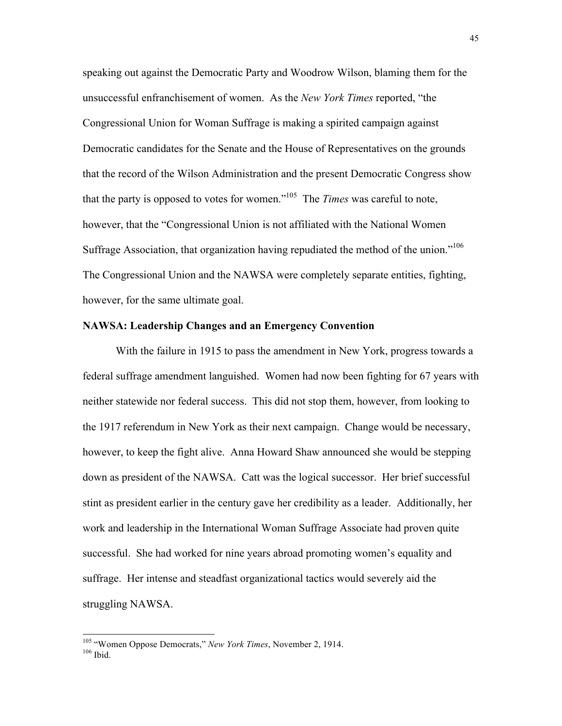speaking out against the Democratic Party and Woodrow Wilson, blaming them for the unsuccessful enfranchisement of women. As the *New York Times* reported, "the Congressional Union for Woman Suffrage is making a spirited campaign against Democratic candidates for the Senate and the House of Representatives on the grounds that the record of the Wilson Administration and the present Democratic Congress show that the party is opposed to votes for women."105 The *Times* was careful to note, however, that the "Congressional Union is not affiliated with the National Women Suffrage Association, that organization having repudiated the method of the union."<sup>106</sup> The Congressional Union and the NAWSA were completely separate entities, fighting, however, for the same ultimate goal.

### **NAWSA: Leadership Changes and an Emergency Convention**

With the failure in 1915 to pass the amendment in New York, progress towards a federal suffrage amendment languished. Women had now been fighting for 67 years with neither statewide nor federal success. This did not stop them, however, from looking to the 1917 referendum in New York as their next campaign. Change would be necessary, however, to keep the fight alive. Anna Howard Shaw announced she would be stepping down as president of the NAWSA. Catt was the logical successor. Her brief successful stint as president earlier in the century gave her credibility as a leader. Additionally, her work and leadership in the International Woman Suffrage Associate had proven quite successful. She had worked for nine years abroad promoting women's equality and suffrage. Her intense and steadfast organizational tactics would severely aid the struggling NAWSA.

<sup>&</sup>lt;sup>105</sup> "Women Oppose Democrats," *New York Times*, November 2, 1914.<br><sup>106</sup> Ibid.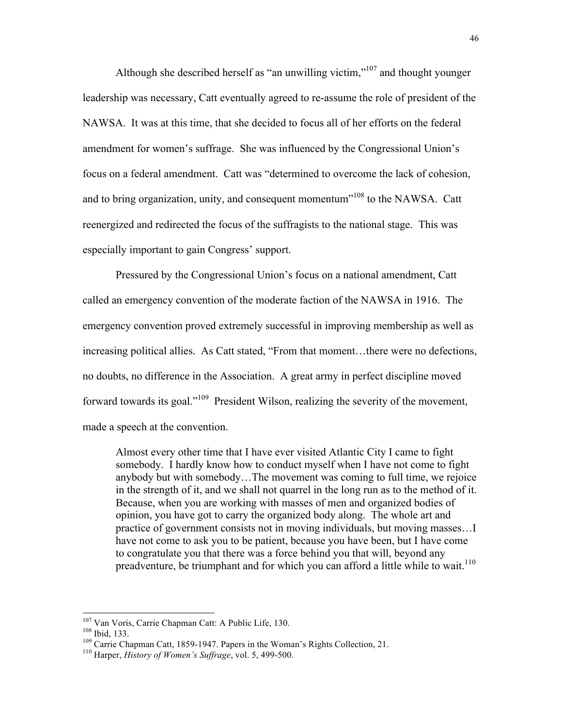Although she described herself as "an unwilling victim,"<sup>107</sup> and thought younger leadership was necessary, Catt eventually agreed to re-assume the role of president of the NAWSA. It was at this time, that she decided to focus all of her efforts on the federal amendment for women's suffrage. She was influenced by the Congressional Union's focus on a federal amendment. Catt was "determined to overcome the lack of cohesion, and to bring organization, unity, and consequent momentum"<sup>108</sup> to the NAWSA. Catt reenergized and redirected the focus of the suffragists to the national stage. This was especially important to gain Congress' support.

Pressured by the Congressional Union's focus on a national amendment, Catt called an emergency convention of the moderate faction of the NAWSA in 1916. The emergency convention proved extremely successful in improving membership as well as increasing political allies. As Catt stated, "From that moment…there were no defections, no doubts, no difference in the Association. A great army in perfect discipline moved forward towards its goal."<sup>109</sup> President Wilson, realizing the severity of the movement, made a speech at the convention.

Almost every other time that I have ever visited Atlantic City I came to fight somebody. I hardly know how to conduct myself when I have not come to fight anybody but with somebody…The movement was coming to full time, we rejoice in the strength of it, and we shall not quarrel in the long run as to the method of it. Because, when you are working with masses of men and organized bodies of opinion, you have got to carry the organized body along. The whole art and practice of government consists not in moving individuals, but moving masses…I have not come to ask you to be patient, because you have been, but I have come to congratulate you that there was a force behind you that will, beyond any preadventure, be triumphant and for which you can afford a little while to wait.<sup>110</sup>

<sup>&</sup>lt;sup>107</sup> Van Voris, Carrie Chapman Catt: A Public Life, 130.<br><sup>108</sup> Ibid, 133.<br><sup>109</sup> Carrie Chapman Catt, 1859-1947. Papers in the Woman's Rights Collection, 21.<br><sup>110</sup> Harper, *History of Women's Suffrage*, vol. 5, 499-500.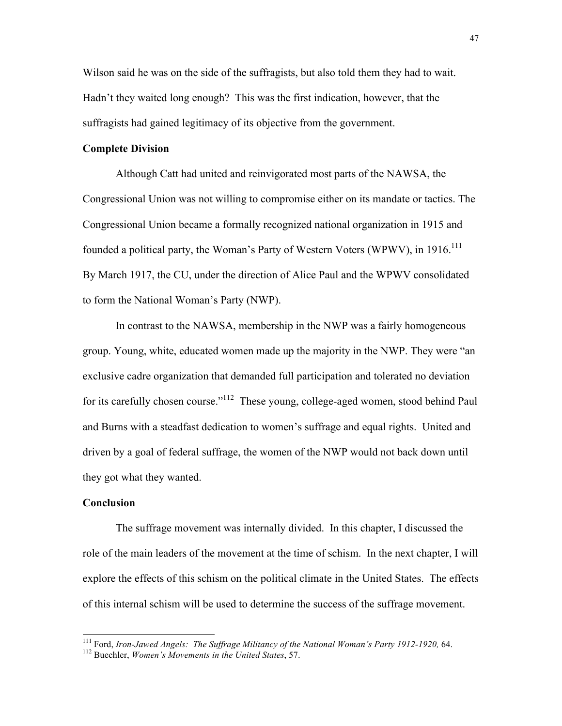Wilson said he was on the side of the suffragists, but also told them they had to wait. Hadn't they waited long enough? This was the first indication, however, that the suffragists had gained legitimacy of its objective from the government.

## **Complete Division**

Although Catt had united and reinvigorated most parts of the NAWSA, the Congressional Union was not willing to compromise either on its mandate or tactics. The Congressional Union became a formally recognized national organization in 1915 and founded a political party, the Woman's Party of Western Voters (WPWV), in 1916.<sup>111</sup> By March 1917, the CU, under the direction of Alice Paul and the WPWV consolidated to form the National Woman's Party (NWP).

In contrast to the NAWSA, membership in the NWP was a fairly homogeneous group. Young, white, educated women made up the majority in the NWP. They were "an exclusive cadre organization that demanded full participation and tolerated no deviation for its carefully chosen course."<sup>112</sup> These young, college-aged women, stood behind Paul and Burns with a steadfast dedication to women's suffrage and equal rights. United and driven by a goal of federal suffrage, the women of the NWP would not back down until they got what they wanted.

## **Conclusion**

The suffrage movement was internally divided. In this chapter, I discussed the role of the main leaders of the movement at the time of schism. In the next chapter, I will explore the effects of this schism on the political climate in the United States. The effects of this internal schism will be used to determine the success of the suffrage movement.

<sup>&</sup>lt;sup>111</sup> Ford, *Iron-Jawed Angels: The Suffrage Militancy of the National Woman's Party 1912-1920, 64.*  $^{112}$  Buechler, *Women's Movements in the United States*, 57.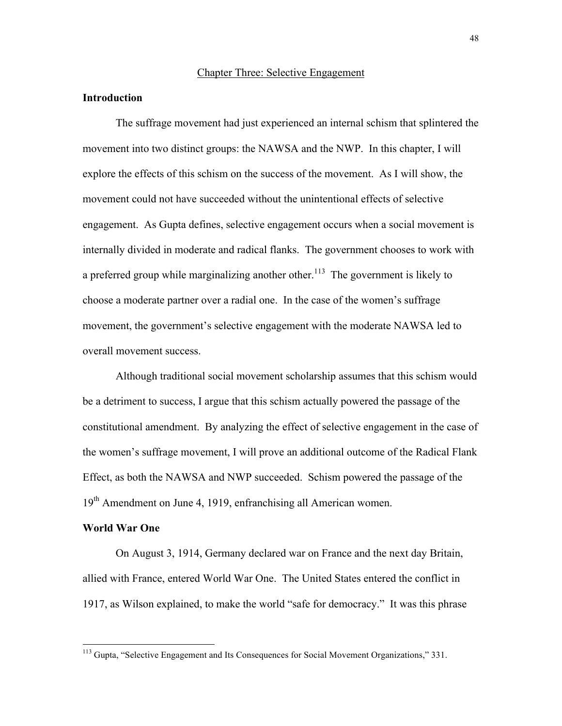### Chapter Three: Selective Engagement

### **Introduction**

The suffrage movement had just experienced an internal schism that splintered the movement into two distinct groups: the NAWSA and the NWP. In this chapter, I will explore the effects of this schism on the success of the movement. As I will show, the movement could not have succeeded without the unintentional effects of selective engagement. As Gupta defines, selective engagement occurs when a social movement is internally divided in moderate and radical flanks. The government chooses to work with a preferred group while marginalizing another other.<sup>113</sup> The government is likely to choose a moderate partner over a radial one. In the case of the women's suffrage movement, the government's selective engagement with the moderate NAWSA led to overall movement success.

Although traditional social movement scholarship assumes that this schism would be a detriment to success, I argue that this schism actually powered the passage of the constitutional amendment. By analyzing the effect of selective engagement in the case of the women's suffrage movement, I will prove an additional outcome of the Radical Flank Effect, as both the NAWSA and NWP succeeded. Schism powered the passage of the 19<sup>th</sup> Amendment on June 4, 1919, enfranchising all American women.

### **World War One**

On August 3, 1914, Germany declared war on France and the next day Britain, allied with France, entered World War One. The United States entered the conflict in 1917, as Wilson explained, to make the world "safe for democracy." It was this phrase

<sup>&</sup>lt;sup>113</sup> Gupta, "Selective Engagement and Its Consequences for Social Movement Organizations," 331.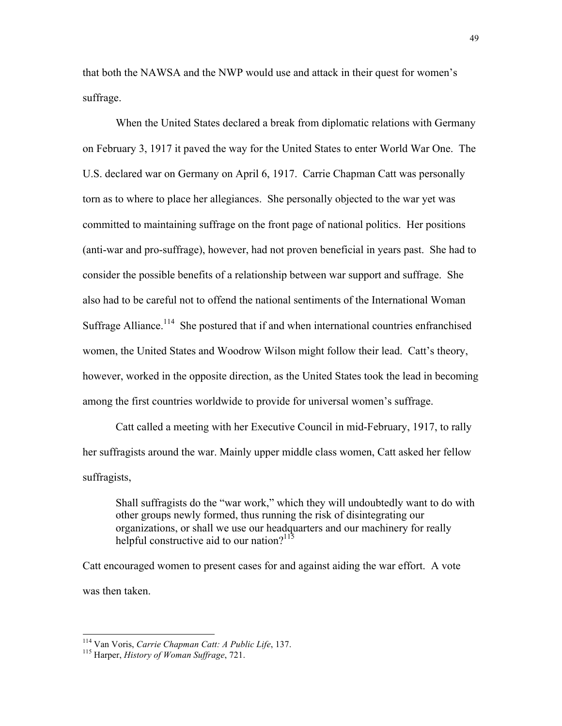that both the NAWSA and the NWP would use and attack in their quest for women's suffrage.

When the United States declared a break from diplomatic relations with Germany on February 3, 1917 it paved the way for the United States to enter World War One. The U.S. declared war on Germany on April 6, 1917. Carrie Chapman Catt was personally torn as to where to place her allegiances. She personally objected to the war yet was committed to maintaining suffrage on the front page of national politics. Her positions (anti-war and pro-suffrage), however, had not proven beneficial in years past. She had to consider the possible benefits of a relationship between war support and suffrage. She also had to be careful not to offend the national sentiments of the International Woman Suffrage Alliance.<sup>114</sup> She postured that if and when international countries enfranchised women, the United States and Woodrow Wilson might follow their lead. Catt's theory, however, worked in the opposite direction, as the United States took the lead in becoming among the first countries worldwide to provide for universal women's suffrage.

Catt called a meeting with her Executive Council in mid-February, 1917, to rally her suffragists around the war. Mainly upper middle class women, Catt asked her fellow suffragists,

Shall suffragists do the "war work," which they will undoubtedly want to do with other groups newly formed, thus running the risk of disintegrating our organizations, or shall we use our headquarters and our machinery for really helpful constructive aid to our nation? $115$ 

Catt encouraged women to present cases for and against aiding the war effort. A vote was then taken.

 <sup>114</sup> Van Voris, *Carrie Chapman Catt: <sup>A</sup> Public Life*, 137. <sup>115</sup> Harper, *History of Woman Suffrage*, 721.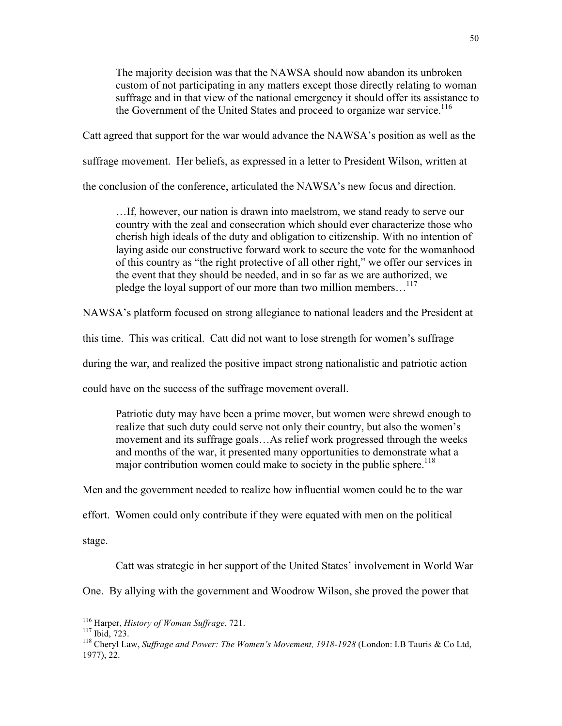The majority decision was that the NAWSA should now abandon its unbroken custom of not participating in any matters except those directly relating to woman suffrage and in that view of the national emergency it should offer its assistance to the Government of the United States and proceed to organize war service.<sup>116</sup>

Catt agreed that support for the war would advance the NAWSA's position as well as the

suffrage movement. Her beliefs, as expressed in a letter to President Wilson, written at

the conclusion of the conference, articulated the NAWSA's new focus and direction.

…If, however, our nation is drawn into maelstrom, we stand ready to serve our country with the zeal and consecration which should ever characterize those who cherish high ideals of the duty and obligation to citizenship. With no intention of laying aside our constructive forward work to secure the vote for the womanhood of this country as "the right protective of all other right," we offer our services in the event that they should be needed, and in so far as we are authorized, we pledge the loyal support of our more than two million members...<sup>117</sup>

NAWSA's platform focused on strong allegiance to national leaders and the President at

this time. This was critical. Catt did not want to lose strength for women's suffrage

during the war, and realized the positive impact strong nationalistic and patriotic action

could have on the success of the suffrage movement overall.

Patriotic duty may have been a prime mover, but women were shrewd enough to realize that such duty could serve not only their country, but also the women's movement and its suffrage goals…As relief work progressed through the weeks and months of the war, it presented many opportunities to demonstrate what a major contribution women could make to society in the public sphere.<sup>118</sup>

Men and the government needed to realize how influential women could be to the war

effort. Women could only contribute if they were equated with men on the political

stage.

Catt was strategic in her support of the United States' involvement in World War

One. By allying with the government and Woodrow Wilson, she proved the power that

<sup>&</sup>lt;sup>116</sup> Harper, *History of Woman Suffrage*, 721.<br><sup>117</sup> Ibid, 723.<br><sup>118</sup> Cheryl Law, *Suffrage and Power: The Women's Movement, 1918-1928* (London: I.B Tauris & Co Ltd, 1977), 22.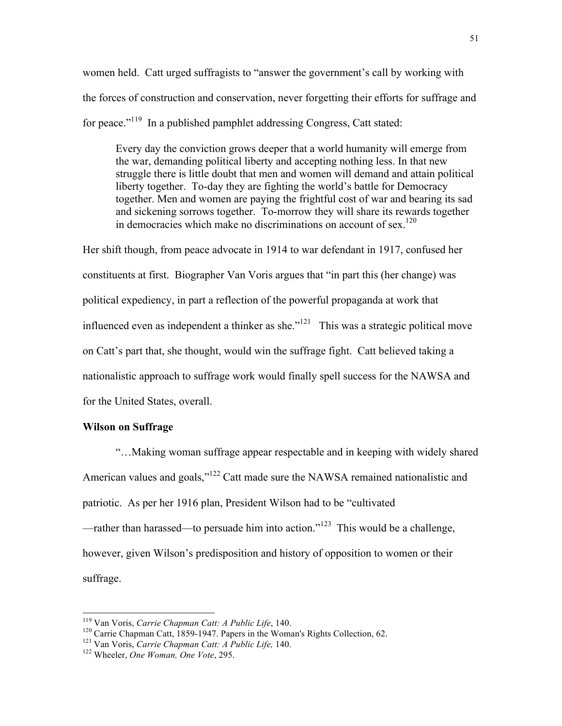women held. Catt urged suffragists to "answer the government's call by working with the forces of construction and conservation, never forgetting their efforts for suffrage and for peace."<sup>119</sup> In a published pamphlet addressing Congress, Catt stated:

Every day the conviction grows deeper that a world humanity will emerge from the war, demanding political liberty and accepting nothing less. In that new struggle there is little doubt that men and women will demand and attain political liberty together. To-day they are fighting the world's battle for Democracy together. Men and women are paying the frightful cost of war and bearing its sad and sickening sorrows together. To-morrow they will share its rewards together in democracies which make no discriminations on account of  $sex$ .<sup>120</sup>

Her shift though, from peace advocate in 1914 to war defendant in 1917, confused her constituents at first. Biographer Van Voris argues that "in part this (her change) was political expediency, in part a reflection of the powerful propaganda at work that influenced even as independent a thinker as she. $121$  This was a strategic political move on Catt's part that, she thought, would win the suffrage fight. Catt believed taking a nationalistic approach to suffrage work would finally spell success for the NAWSA and for the United States, overall.

### **Wilson on Suffrage**

"…Making woman suffrage appear respectable and in keeping with widely shared American values and goals,"<sup>122</sup> Catt made sure the NAWSA remained nationalistic and patriotic. As per her 1916 plan, President Wilson had to be "cultivated —rather than harassed—to persuade him into action."<sup>123</sup> This would be a challenge, however, given Wilson's predisposition and history of opposition to women or their suffrage.

<sup>&</sup>lt;sup>119</sup> Van Voris, *Carrie Chapman Catt: A Public Life*, 140.<br><sup>120</sup> Carrie Chapman Catt, 1859-1947. Papers in the Woman's Rights Collection, 62.<br><sup>121</sup> Van Voris, *Carrie Chapman Catt: A Public Life*, 140.<br><sup>122</sup> Wheeler, *On*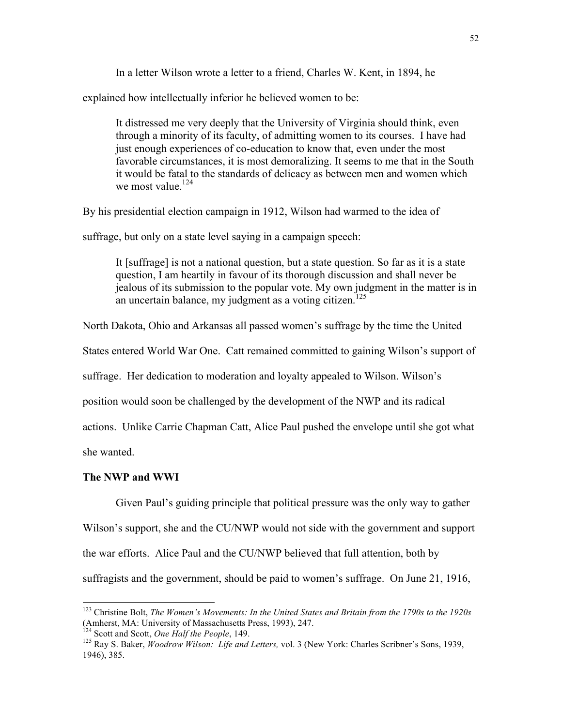In a letter Wilson wrote a letter to a friend, Charles W. Kent, in 1894, he

explained how intellectually inferior he believed women to be:

It distressed me very deeply that the University of Virginia should think, even through a minority of its faculty, of admitting women to its courses. I have had just enough experiences of co-education to know that, even under the most favorable circumstances, it is most demoralizing. It seems to me that in the South it would be fatal to the standards of delicacy as between men and women which we most value. $124$ 

By his presidential election campaign in 1912, Wilson had warmed to the idea of

suffrage, but only on a state level saying in a campaign speech:

It [suffrage] is not a national question, but a state question. So far as it is a state question, I am heartily in favour of its thorough discussion and shall never be jealous of its submission to the popular vote. My own judgment in the matter is in an uncertain balance, my judgment as a voting citizen.<sup>125</sup>

North Dakota, Ohio and Arkansas all passed women's suffrage by the time the United

States entered World War One. Catt remained committed to gaining Wilson's support of

suffrage. Her dedication to moderation and loyalty appealed to Wilson. Wilson's

position would soon be challenged by the development of the NWP and its radical

actions. Unlike Carrie Chapman Catt, Alice Paul pushed the envelope until she got what

she wanted.

### **The NWP and WWI**

Given Paul's guiding principle that political pressure was the only way to gather

Wilson's support, she and the CU/NWP would not side with the government and support

the war efforts. Alice Paul and the CU/NWP believed that full attention, both by

suffragists and the government, should be paid to women's suffrage. On June 21, 1916,

 <sup>123</sup> Christine Bolt, *The Women's Movements: In the United States and Britain from the 1790s to the 1920s*

<sup>&</sup>lt;sup>125</sup> Ray S. Baker, *Woodrow Wilson: Life and Letters*, vol. 3 (New York: Charles Scribner's Sons, 1939, 1946), 385.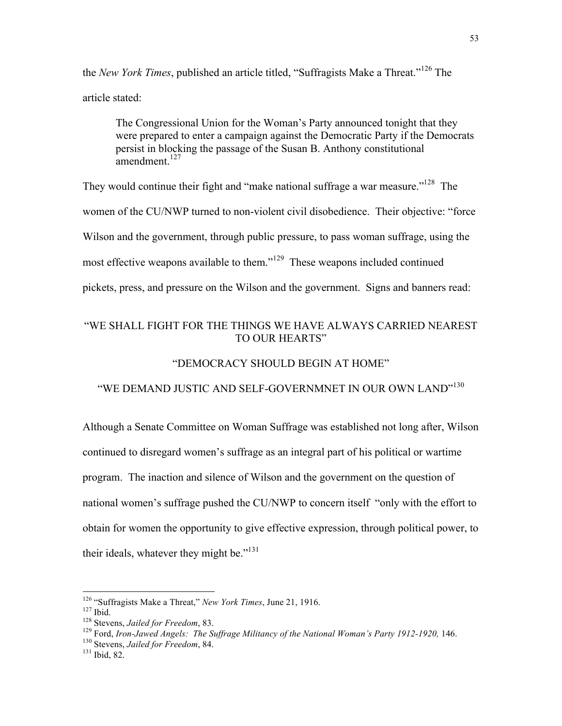the *New York Times*, published an article titled, "Suffragists Make a Threat."<sup>126</sup> The article stated:

The Congressional Union for the Woman's Party announced tonight that they were prepared to enter a campaign against the Democratic Party if the Democrats persist in blocking the passage of the Susan B. Anthony constitutional amendment $^{127}$ 

They would continue their fight and "make national suffrage a war measure."<sup>128</sup> The women of the CU/NWP turned to non-violent civil disobedience. Their objective: "force Wilson and the government, through public pressure, to pass woman suffrage, using the most effective weapons available to them."<sup>129</sup> These weapons included continued pickets, press, and pressure on the Wilson and the government. Signs and banners read:

# "WE SHALL FIGHT FOR THE THINGS WE HAVE ALWAYS CARRIED NEAREST TO OUR HEARTS"

# "DEMOCRACY SHOULD BEGIN AT HOME"

# "WE DEMAND JUSTIC AND SELF-GOVERNMNET IN OUR OWN LAND"<sup>130</sup>

Although a Senate Committee on Woman Suffrage was established not long after, Wilson continued to disregard women's suffrage as an integral part of his political or wartime program. The inaction and silence of Wilson and the government on the question of national women's suffrage pushed the CU/NWP to concern itself "only with the effort to obtain for women the opportunity to give effective expression, through political power, to their ideals, whatever they might be."<sup>131</sup>

<sup>&</sup>lt;sup>126</sup> "Suffragists Make a Threat," *New York Times*, June 21, 1916.<br><sup>127</sup> Ibid.<br><sup>128</sup> Stevens, *Jailed for Freedom*, 83.<br><sup>128</sup> Ford, *Iron-Jawed Angels: The Suffrage Militancy of the National Woman's Party 1912-1920*, 146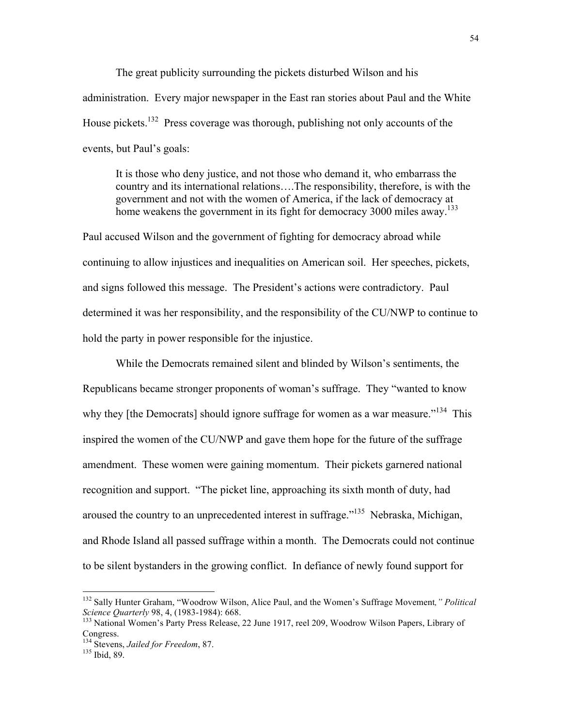The great publicity surrounding the pickets disturbed Wilson and his administration. Every major newspaper in the East ran stories about Paul and the White House pickets.<sup>132</sup> Press coverage was thorough, publishing not only accounts of the events, but Paul's goals:

It is those who deny justice, and not those who demand it, who embarrass the country and its international relations….The responsibility, therefore, is with the government and not with the women of America, if the lack of democracy at home weakens the government in its fight for democracy 3000 miles away.<sup>133</sup>

Paul accused Wilson and the government of fighting for democracy abroad while continuing to allow injustices and inequalities on American soil. Her speeches, pickets, and signs followed this message. The President's actions were contradictory. Paul determined it was her responsibility, and the responsibility of the CU/NWP to continue to hold the party in power responsible for the injustice.

While the Democrats remained silent and blinded by Wilson's sentiments, the Republicans became stronger proponents of woman's suffrage. They "wanted to know why they [the Democrats] should ignore suffrage for women as a war measure."<sup>134</sup> This inspired the women of the CU/NWP and gave them hope for the future of the suffrage amendment. These women were gaining momentum. Their pickets garnered national recognition and support. "The picket line, approaching its sixth month of duty, had aroused the country to an unprecedented interest in suffrage."<sup>135</sup> Nebraska, Michigan, and Rhode Island all passed suffrage within a month. The Democrats could not continue to be silent bystanders in the growing conflict. In defiance of newly found support for

 <sup>132</sup> Sally Hunter Graham, "Woodrow Wilson, Alice Paul, and the Women's Suffrage Movement*," Political*

<sup>&</sup>lt;sup>133</sup> National Women's Party Press Release, 22 June 1917, reel 209, Woodrow Wilson Papers, Library of Congress. <sup>134</sup> Stevens, *Jailed for Freedom*, 87. <sup>135</sup> Ibid, 89.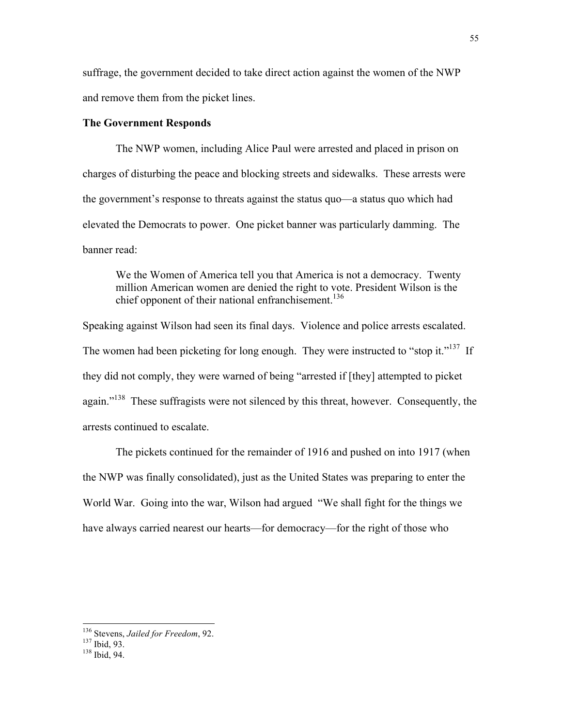suffrage, the government decided to take direct action against the women of the NWP and remove them from the picket lines.

## **The Government Responds**

The NWP women, including Alice Paul were arrested and placed in prison on charges of disturbing the peace and blocking streets and sidewalks. These arrests were the government's response to threats against the status quo—a status quo which had elevated the Democrats to power. One picket banner was particularly damming. The banner read:

We the Women of America tell you that America is not a democracy. Twenty million American women are denied the right to vote. President Wilson is the chief opponent of their national enfranchisement.<sup>136</sup>

Speaking against Wilson had seen its final days. Violence and police arrests escalated. The women had been picketing for long enough. They were instructed to "stop it."<sup>137</sup> If they did not comply, they were warned of being "arrested if [they] attempted to picket again."<sup>138</sup> These suffragists were not silenced by this threat, however. Consequently, the arrests continued to escalate.

The pickets continued for the remainder of 1916 and pushed on into 1917 (when the NWP was finally consolidated), just as the United States was preparing to enter the World War. Going into the war, Wilson had argued "We shall fight for the things we have always carried nearest our hearts—for democracy—for the right of those who

<sup>&</sup>lt;sup>136</sup> Stevens, *Jailed for Freedom*, 92.<br><sup>137</sup> Ibid, 93.<br><sup>138</sup> Ibid, 94.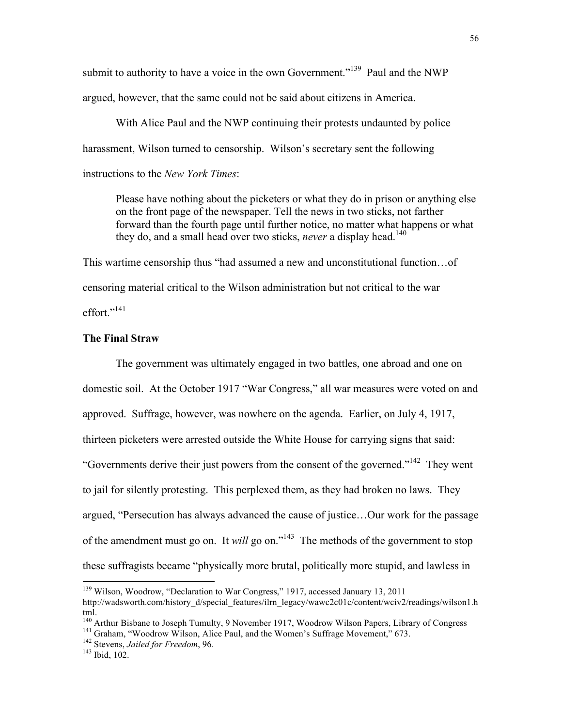submit to authority to have a voice in the own Government."<sup>139</sup> Paul and the NWP argued, however, that the same could not be said about citizens in America.

With Alice Paul and the NWP continuing their protests undaunted by police harassment, Wilson turned to censorship. Wilson's secretary sent the following instructions to the *New York Times*:

Please have nothing about the picketers or what they do in prison or anything else on the front page of the newspaper. Tell the news in two sticks, not farther forward than the fourth page until further notice, no matter what happens or what they do, and a small head over two sticks, *never* a display head.<sup>140</sup>

This wartime censorship thus "had assumed a new and unconstitutional function…of censoring material critical to the Wilson administration but not critical to the war effort."<sup>141</sup>

# **The Final Straw**

The government was ultimately engaged in two battles, one abroad and one on domestic soil. At the October 1917 "War Congress," all war measures were voted on and approved. Suffrage, however, was nowhere on the agenda. Earlier, on July 4, 1917, thirteen picketers were arrested outside the White House for carrying signs that said: "Governments derive their just powers from the consent of the governed."<sup>142</sup> They went to jail for silently protesting. This perplexed them, as they had broken no laws. They argued, "Persecution has always advanced the cause of justice…Our work for the passage of the amendment must go on. It *will* go on."<sup>143</sup> The methods of the government to stop these suffragists became "physically more brutal, politically more stupid, and lawless in

 <sup>139</sup> Wilson, Woodrow, "Declaration to War Congress," 1917, accessed January 13, <sup>2011</sup>

http://wadsworth.com/history\_d/special\_features/ilrn\_legacy/wawc2c01c/content/wciv2/readings/wilson1.h

<sup>&</sup>lt;sup>140</sup> Arthur Bisbane to Joseph Tumulty, 9 November 1917, Woodrow Wilson Papers, Library of Congress<br><sup>141</sup> Graham, "Woodrow Wilson, Alice Paul, and the Women's Suffrage Movement," 673.<br><sup>142</sup> Stevens, *Jailed for Freedom*, 9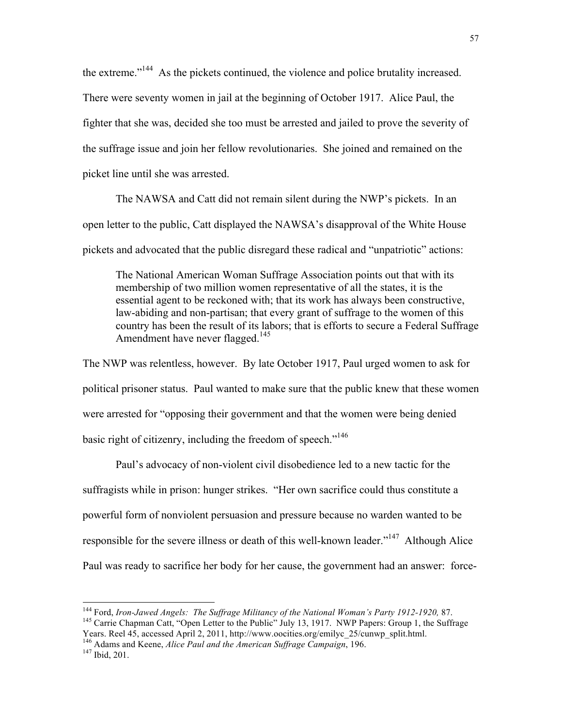the extreme."<sup>144</sup> As the pickets continued, the violence and police brutality increased. There were seventy women in jail at the beginning of October 1917. Alice Paul, the fighter that she was, decided she too must be arrested and jailed to prove the severity of the suffrage issue and join her fellow revolutionaries. She joined and remained on the picket line until she was arrested.

The NAWSA and Catt did not remain silent during the NWP's pickets. In an open letter to the public, Catt displayed the NAWSA's disapproval of the White House pickets and advocated that the public disregard these radical and "unpatriotic" actions:

The National American Woman Suffrage Association points out that with its membership of two million women representative of all the states, it is the essential agent to be reckoned with; that its work has always been constructive, law-abiding and non-partisan; that every grant of suffrage to the women of this country has been the result of its labors; that is efforts to secure a Federal Suffrage Amendment have never flagged.<sup>145</sup>

The NWP was relentless, however. By late October 1917, Paul urged women to ask for political prisoner status. Paul wanted to make sure that the public knew that these women were arrested for "opposing their government and that the women were being denied basic right of citizenry, including the freedom of speech."<sup>146</sup>

Paul's advocacy of non-violent civil disobedience led to a new tactic for the suffragists while in prison: hunger strikes. "Her own sacrifice could thus constitute a powerful form of nonviolent persuasion and pressure because no warden wanted to be responsible for the severe illness or death of this well-known leader."<sup>147</sup> Although Alice Paul was ready to sacrifice her body for her cause, the government had an answer: force-

<sup>&</sup>lt;sup>144</sup> Ford, *Iron-Jawed Angels: The Suffrage Militancy of the National Woman's Party 1912-1920*, 87.<br><sup>145</sup> Carrie Chapman Catt, "Open Letter to the Public" July 13, 1917. NWP Papers: Group 1, the Suffrage Years. Reel 45,

<sup>&</sup>lt;sup>146</sup> Adams and Keene, *Alice Paul and the American Suffrage Campaign*, 196.<br><sup>147</sup> Ibid. 201.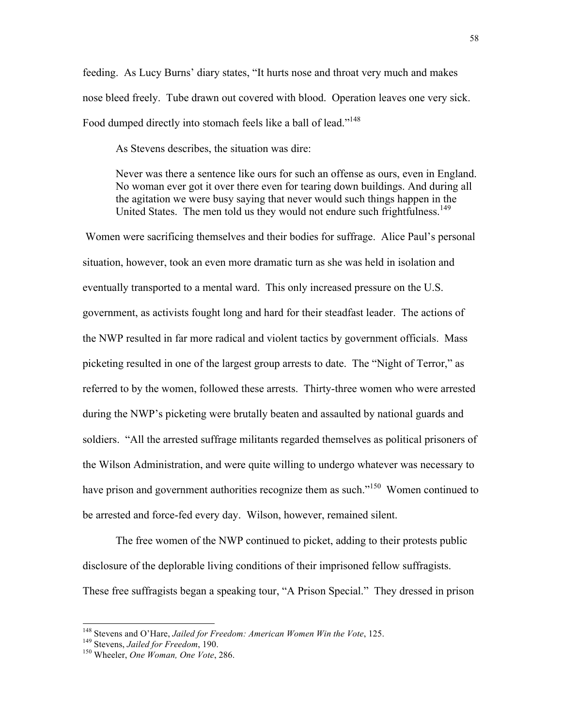feeding. As Lucy Burns' diary states, "It hurts nose and throat very much and makes nose bleed freely. Tube drawn out covered with blood. Operation leaves one very sick. Food dumped directly into stomach feels like a ball of lead."<sup>148</sup>

As Stevens describes, the situation was dire:

Never was there a sentence like ours for such an offense as ours, even in England. No woman ever got it over there even for tearing down buildings. And during all the agitation we were busy saying that never would such things happen in the United States. The men told us they would not endure such frightfulness.<sup>149</sup>

 Women were sacrificing themselves and their bodies for suffrage. Alice Paul's personal situation, however, took an even more dramatic turn as she was held in isolation and eventually transported to a mental ward. This only increased pressure on the U.S. government, as activists fought long and hard for their steadfast leader. The actions of the NWP resulted in far more radical and violent tactics by government officials. Mass picketing resulted in one of the largest group arrests to date. The "Night of Terror," as referred to by the women, followed these arrests. Thirty-three women who were arrested during the NWP's picketing were brutally beaten and assaulted by national guards and soldiers. "All the arrested suffrage militants regarded themselves as political prisoners of the Wilson Administration, and were quite willing to undergo whatever was necessary to have prison and government authorities recognize them as such."<sup>150</sup> Women continued to be arrested and force-fed every day. Wilson, however, remained silent.

The free women of the NWP continued to picket, adding to their protests public disclosure of the deplorable living conditions of their imprisoned fellow suffragists. These free suffragists began a speaking tour, "A Prison Special." They dressed in prison

<sup>&</sup>lt;sup>148</sup> Stevens and O'Hare, *Jailed for Freedom: American Women Win the Vote*, 125.<br><sup>149</sup> Stevens, *Jailed for Freedom*, 190.<br><sup>150</sup> Wheeler, *One Woman*, *One Vote*, 286.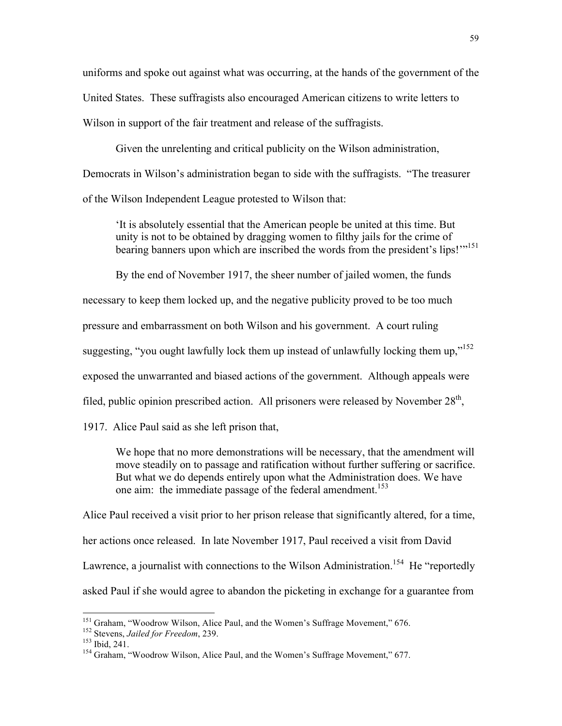uniforms and spoke out against what was occurring, at the hands of the government of the United States. These suffragists also encouraged American citizens to write letters to Wilson in support of the fair treatment and release of the suffragists.

Given the unrelenting and critical publicity on the Wilson administration, Democrats in Wilson's administration began to side with the suffragists. "The treasurer of the Wilson Independent League protested to Wilson that:

'It is absolutely essential that the American people be united at this time. But unity is not to be obtained by dragging women to filthy jails for the crime of bearing banners upon which are inscribed the words from the president's lips!"<sup>151</sup>

By the end of November 1917, the sheer number of jailed women, the funds

necessary to keep them locked up, and the negative publicity proved to be too much

pressure and embarrassment on both Wilson and his government. A court ruling

suggesting, "you ought lawfully lock them up instead of unlawfully locking them up,"<sup>152</sup>

exposed the unwarranted and biased actions of the government. Although appeals were

filed, public opinion prescribed action. All prisoners were released by November  $28<sup>th</sup>$ ,

1917. Alice Paul said as she left prison that,

We hope that no more demonstrations will be necessary, that the amendment will move steadily on to passage and ratification without further suffering or sacrifice. But what we do depends entirely upon what the Administration does. We have one aim: the immediate passage of the federal amendment.<sup>153</sup>

Alice Paul received a visit prior to her prison release that significantly altered, for a time,

her actions once released. In late November 1917, Paul received a visit from David

Lawrence, a journalist with connections to the Wilson Administration.<sup>154</sup> He "reportedly

asked Paul if she would agree to abandon the picketing in exchange for a guarantee from

<sup>&</sup>lt;sup>151</sup> Graham, "Woodrow Wilson, Alice Paul, and the Women's Suffrage Movement," 676.<br><sup>152</sup> Stevens, *Jailed for Freedom*, 239.<br><sup>153</sup> Ibid, 241.<br><sup>154</sup> Graham, "Woodrow Wilson, Alice Paul, and the Women's Suffrage Movement,"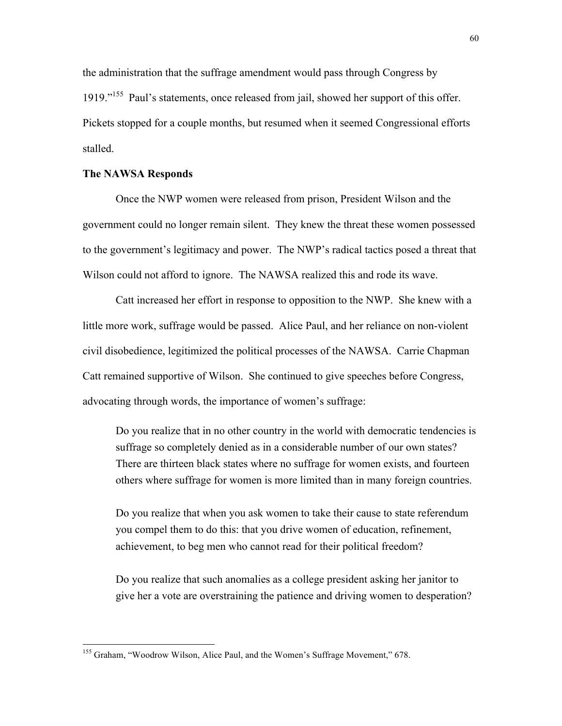the administration that the suffrage amendment would pass through Congress by 1919."<sup>155</sup> Paul's statements, once released from jail, showed her support of this offer. Pickets stopped for a couple months, but resumed when it seemed Congressional efforts stalled.

#### **The NAWSA Responds**

Once the NWP women were released from prison, President Wilson and the government could no longer remain silent. They knew the threat these women possessed to the government's legitimacy and power. The NWP's radical tactics posed a threat that Wilson could not afford to ignore. The NAWSA realized this and rode its wave.

Catt increased her effort in response to opposition to the NWP. She knew with a little more work, suffrage would be passed. Alice Paul, and her reliance on non-violent civil disobedience, legitimized the political processes of the NAWSA. Carrie Chapman Catt remained supportive of Wilson. She continued to give speeches before Congress, advocating through words, the importance of women's suffrage:

Do you realize that in no other country in the world with democratic tendencies is suffrage so completely denied as in a considerable number of our own states? There are thirteen black states where no suffrage for women exists, and fourteen others where suffrage for women is more limited than in many foreign countries.

Do you realize that when you ask women to take their cause to state referendum you compel them to do this: that you drive women of education, refinement, achievement, to beg men who cannot read for their political freedom?

Do you realize that such anomalies as a college president asking her janitor to give her a vote are overstraining the patience and driving women to desperation?

<sup>&</sup>lt;sup>155</sup> Graham, "Woodrow Wilson, Alice Paul, and the Women's Suffrage Movement," 678.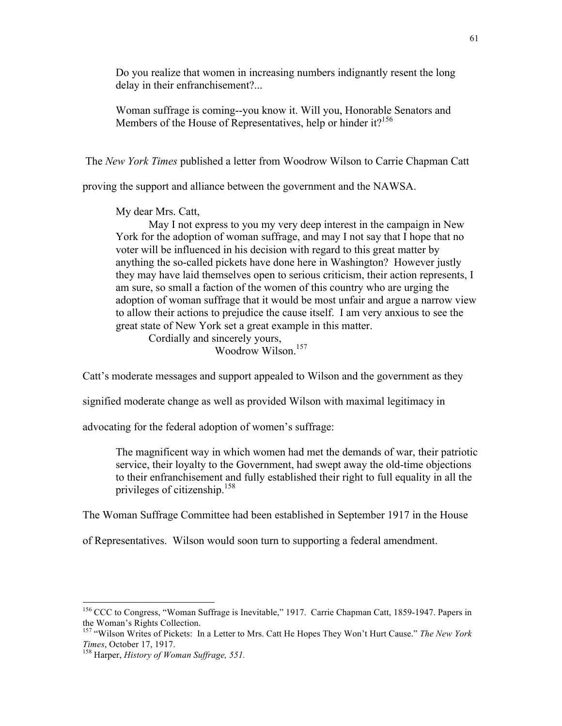Do you realize that women in increasing numbers indignantly resent the long delay in their enfranchisement?...

Woman suffrage is coming--you know it. Will you, Honorable Senators and Members of the House of Representatives, help or hinder it?<sup>156</sup>

The *New York Times* published a letter from Woodrow Wilson to Carrie Chapman Catt

proving the support and alliance between the government and the NAWSA.

My dear Mrs. Catt,

May I not express to you my very deep interest in the campaign in New York for the adoption of woman suffrage, and may I not say that I hope that no voter will be influenced in his decision with regard to this great matter by anything the so-called pickets have done here in Washington? However justly they may have laid themselves open to serious criticism, their action represents, I am sure, so small a faction of the women of this country who are urging the adoption of woman suffrage that it would be most unfair and argue a narrow view to allow their actions to prejudice the cause itself. I am very anxious to see the great state of New York set a great example in this matter.

Cordially and sincerely yours,

Woodrow Wilson.157

Catt's moderate messages and support appealed to Wilson and the government as they

signified moderate change as well as provided Wilson with maximal legitimacy in

advocating for the federal adoption of women's suffrage:

The magnificent way in which women had met the demands of war, their patriotic service, their loyalty to the Government, had swept away the old-time objections to their enfranchisement and fully established their right to full equality in all the privileges of citizenship. $158$ 

The Woman Suffrage Committee had been established in September 1917 in the House

of Representatives. Wilson would soon turn to supporting a federal amendment.

<sup>&</sup>lt;sup>156</sup> CCC to Congress, "Woman Suffrage is Inevitable," 1917. Carrie Chapman Catt, 1859-1947. Papers in the Woman's Rights Collection.

<sup>&</sup>lt;sup>157</sup> "Wilson Writes of Pickets: In a Letter to Mrs. Catt He Hopes They Won't Hurt Cause." The New York *Times*, October 17, 1917. <sup>158</sup> Harper, *History of Woman Suffrage, 551.*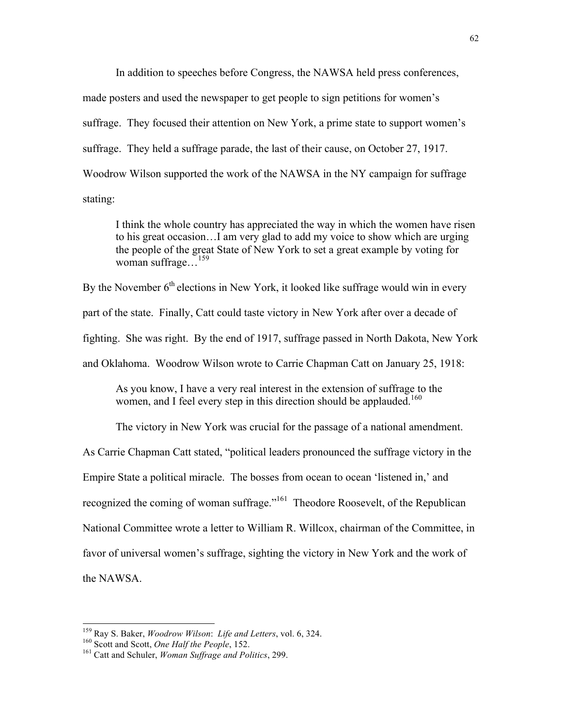In addition to speeches before Congress, the NAWSA held press conferences, made posters and used the newspaper to get people to sign petitions for women's suffrage. They focused their attention on New York, a prime state to support women's suffrage. They held a suffrage parade, the last of their cause, on October 27, 1917. Woodrow Wilson supported the work of the NAWSA in the NY campaign for suffrage stating:

I think the whole country has appreciated the way in which the women have risen to his great occasion…I am very glad to add my voice to show which are urging the people of the great State of New York to set a great example by voting for woman suffrage...<sup>159</sup>

By the November  $6<sup>th</sup>$  elections in New York, it looked like suffrage would win in every part of the state. Finally, Catt could taste victory in New York after over a decade of fighting. She was right. By the end of 1917, suffrage passed in North Dakota, New York and Oklahoma. Woodrow Wilson wrote to Carrie Chapman Catt on January 25, 1918:

As you know, I have a very real interest in the extension of suffrage to the women, and I feel every step in this direction should be applauded.<sup>160</sup>

The victory in New York was crucial for the passage of a national amendment.

As Carrie Chapman Catt stated, "political leaders pronounced the suffrage victory in the

Empire State a political miracle. The bosses from ocean to ocean 'listened in,' and

recognized the coming of woman suffrage."<sup>161</sup> Theodore Roosevelt, of the Republican

National Committee wrote a letter to William R. Willcox, chairman of the Committee, in

favor of universal women's suffrage, sighting the victory in New York and the work of

the NAWSA.

<sup>&</sup>lt;sup>159</sup> Ray S. Baker, *Woodrow Wilson: Life and Letters*, vol. 6, 324.<br><sup>160</sup> Scott and Scott, *One Half the People*, 152.<br><sup>161</sup> Catt and Schuler, *Woman Suffrage and Politics*, 299.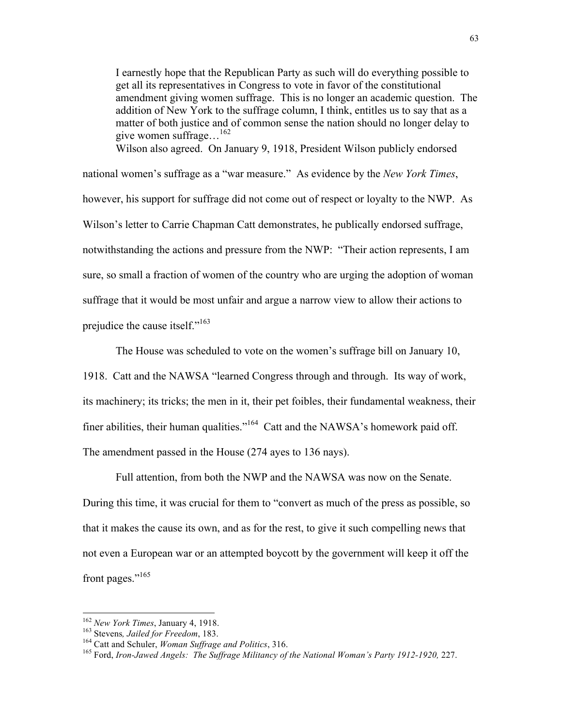I earnestly hope that the Republican Party as such will do everything possible to get all its representatives in Congress to vote in favor of the constitutional amendment giving women suffrage. This is no longer an academic question. The addition of New York to the suffrage column, I think, entitles us to say that as a matter of both justice and of common sense the nation should no longer delay to give women suffrage...<sup>162</sup> Wilson also agreed. On January 9, 1918, President Wilson publicly endorsed

national women's suffrage as a "war measure." As evidence by the *New York Times*, however, his support for suffrage did not come out of respect or loyalty to the NWP. As Wilson's letter to Carrie Chapman Catt demonstrates, he publically endorsed suffrage, notwithstanding the actions and pressure from the NWP: "Their action represents, I am sure, so small a fraction of women of the country who are urging the adoption of woman suffrage that it would be most unfair and argue a narrow view to allow their actions to prejudice the cause itself."163

The House was scheduled to vote on the women's suffrage bill on January 10,

1918. Catt and the NAWSA "learned Congress through and through. Its way of work, its machinery; its tricks; the men in it, their pet foibles, their fundamental weakness, their finer abilities, their human qualities."<sup>164</sup> Catt and the NAWSA's homework paid off. The amendment passed in the House (274 ayes to 136 nays).

Full attention, from both the NWP and the NAWSA was now on the Senate. During this time, it was crucial for them to "convert as much of the press as possible, so that it makes the cause its own, and as for the rest, to give it such compelling news that not even a European war or an attempted boycott by the government will keep it off the front pages."<sup>165</sup>

<sup>&</sup>lt;sup>162</sup> New York Times, January 4, 1918.<br><sup>163</sup> Stevens, *Jailed for Freedom*, 183.<br><sup>164</sup> Catt and Schuler, *Woman Suffrage and Politics*, 316.<br><sup>165</sup> Ford, *Iron-Jawed Angels: The Suffrage Militancy of the National Woman's P*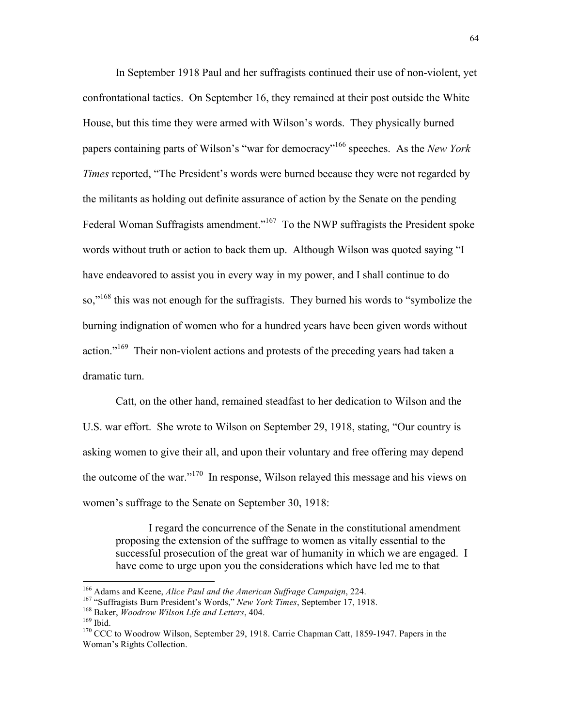In September 1918 Paul and her suffragists continued their use of non-violent, yet confrontational tactics. On September 16, they remained at their post outside the White House, but this time they were armed with Wilson's words. They physically burned papers containing parts of Wilson's "war for democracy"<sup>166</sup> speeches. As the *New York Times* reported, "The President's words were burned because they were not regarded by the militants as holding out definite assurance of action by the Senate on the pending Federal Woman Suffragists amendment."<sup>167</sup> To the NWP suffragists the President spoke words without truth or action to back them up. Although Wilson was quoted saying "I have endeavored to assist you in every way in my power, and I shall continue to do so,"<sup>168</sup> this was not enough for the suffragists. They burned his words to "symbolize the burning indignation of women who for a hundred years have been given words without action."<sup>169</sup> Their non-violent actions and protests of the preceding years had taken a dramatic turn.

Catt, on the other hand, remained steadfast to her dedication to Wilson and the U.S. war effort. She wrote to Wilson on September 29, 1918, stating, "Our country is asking women to give their all, and upon their voluntary and free offering may depend the outcome of the war."<sup>170</sup> In response, Wilson relayed this message and his views on women's suffrage to the Senate on September 30, 1918:

I regard the concurrence of the Senate in the constitutional amendment proposing the extension of the suffrage to women as vitally essential to the successful prosecution of the great war of humanity in which we are engaged. I have come to urge upon you the considerations which have led me to that

<sup>&</sup>lt;sup>166</sup> Adams and Keene, *Alice Paul and the American Suffrage Campaign*, 224.<br><sup>167</sup> "Suffragists Burn President's Words," *New York Times*, September 17, 1918.<br><sup>168</sup> Baker, *Woodrow Wilson Life and Letters*, 404.<br><sup>170</sup> CCC Woman's Rights Collection.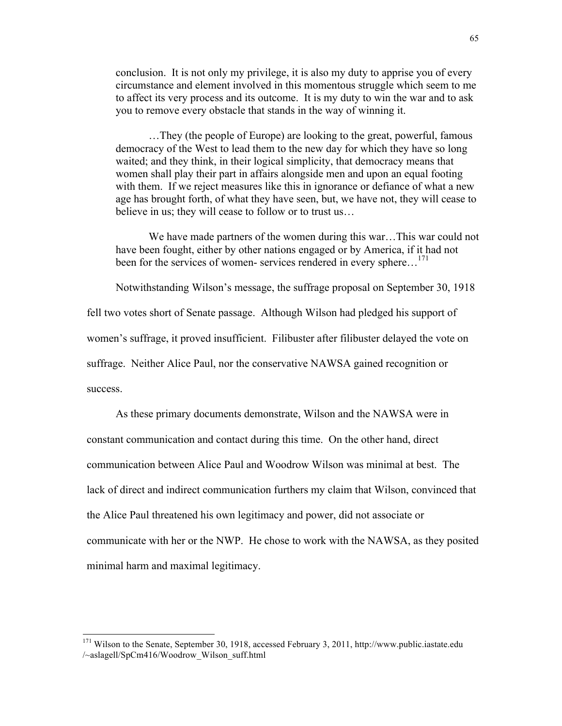conclusion. It is not only my privilege, it is also my duty to apprise you of every circumstance and element involved in this momentous struggle which seem to me to affect its very process and its outcome. It is my duty to win the war and to ask you to remove every obstacle that stands in the way of winning it.

…They (the people of Europe) are looking to the great, powerful, famous democracy of the West to lead them to the new day for which they have so long waited; and they think, in their logical simplicity, that democracy means that women shall play their part in affairs alongside men and upon an equal footing with them. If we reject measures like this in ignorance or defiance of what a new age has brought forth, of what they have seen, but, we have not, they will cease to believe in us; they will cease to follow or to trust us…

We have made partners of the women during this war...This war could not have been fought, either by other nations engaged or by America, if it had not been for the services of women- services rendered in every sphere...<sup>171</sup>

Notwithstanding Wilson's message, the suffrage proposal on September 30, 1918

fell two votes short of Senate passage. Although Wilson had pledged his support of women's suffrage, it proved insufficient. Filibuster after filibuster delayed the vote on suffrage. Neither Alice Paul, nor the conservative NAWSA gained recognition or success.

As these primary documents demonstrate, Wilson and the NAWSA were in constant communication and contact during this time. On the other hand, direct communication between Alice Paul and Woodrow Wilson was minimal at best. The lack of direct and indirect communication furthers my claim that Wilson, convinced that the Alice Paul threatened his own legitimacy and power, did not associate or communicate with her or the NWP. He chose to work with the NAWSA, as they posited minimal harm and maximal legitimacy.

 <sup>171</sup> Wilson to the Senate, September 30, 1918, accessed February 3, 2011, http://www.public.iastate.edu /~aslagell/SpCm416/Woodrow\_Wilson\_suff.html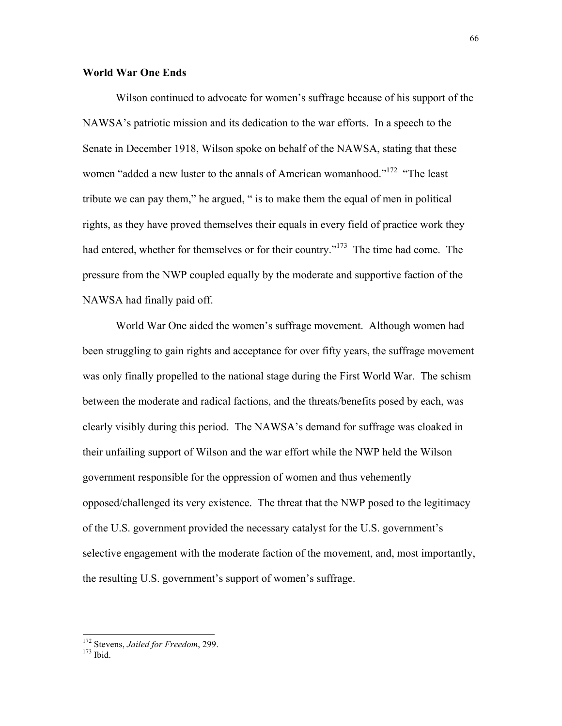### **World War One Ends**

Wilson continued to advocate for women's suffrage because of his support of the NAWSA's patriotic mission and its dedication to the war efforts. In a speech to the Senate in December 1918, Wilson spoke on behalf of the NAWSA, stating that these women "added a new luster to the annals of American womanhood."<sup>172</sup> "The least tribute we can pay them," he argued, " is to make them the equal of men in political rights, as they have proved themselves their equals in every field of practice work they had entered, whether for themselves or for their country."<sup>173</sup> The time had come. The pressure from the NWP coupled equally by the moderate and supportive faction of the NAWSA had finally paid off.

World War One aided the women's suffrage movement. Although women had been struggling to gain rights and acceptance for over fifty years, the suffrage movement was only finally propelled to the national stage during the First World War. The schism between the moderate and radical factions, and the threats/benefits posed by each, was clearly visibly during this period. The NAWSA's demand for suffrage was cloaked in their unfailing support of Wilson and the war effort while the NWP held the Wilson government responsible for the oppression of women and thus vehemently opposed/challenged its very existence. The threat that the NWP posed to the legitimacy of the U.S. government provided the necessary catalyst for the U.S. government's selective engagement with the moderate faction of the movement, and, most importantly, the resulting U.S. government's support of women's suffrage.

<sup>&</sup>lt;sup>172</sup> Stevens, *Jailed for Freedom*, 299.<br><sup>173</sup> Ibid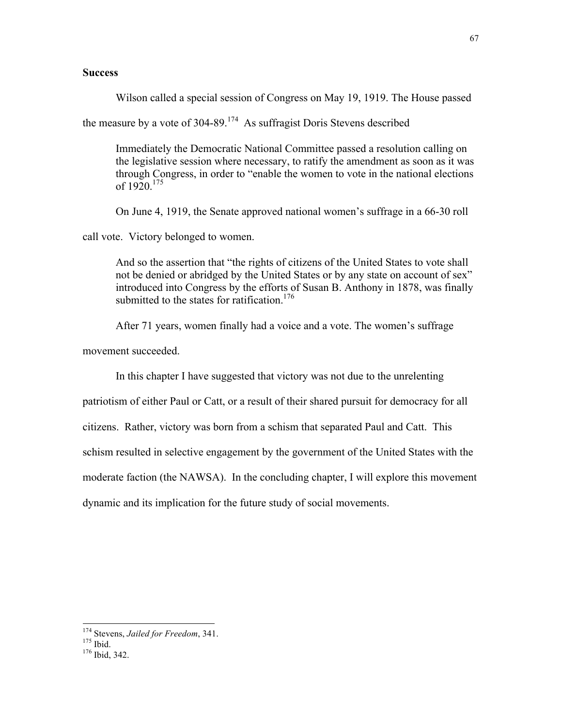# **Success**

Wilson called a special session of Congress on May 19, 1919. The House passed

the measure by a vote of 304-89.<sup>174</sup> As suffragist Doris Stevens described

Immediately the Democratic National Committee passed a resolution calling on the legislative session where necessary, to ratify the amendment as soon as it was through Congress, in order to "enable the women to vote in the national elections of  $1920^{175}$ 

On June 4, 1919, the Senate approved national women's suffrage in a 66-30 roll

call vote. Victory belonged to women.

And so the assertion that "the rights of citizens of the United States to vote shall not be denied or abridged by the United States or by any state on account of sex" introduced into Congress by the efforts of Susan B. Anthony in 1878, was finally submitted to the states for ratification  $176$ 

After 71 years, women finally had a voice and a vote. The women's suffrage

movement succeeded.

In this chapter I have suggested that victory was not due to the unrelenting

patriotism of either Paul or Catt, or a result of their shared pursuit for democracy for all

citizens. Rather, victory was born from a schism that separated Paul and Catt. This

schism resulted in selective engagement by the government of the United States with the

moderate faction (the NAWSA). In the concluding chapter, I will explore this movement

dynamic and its implication for the future study of social movements.

<sup>&</sup>lt;sup>174</sup> Stevens, *Jailed for Freedom*, 341.<br><sup>175</sup> Ibid.<br><sup>176</sup> Ibid. 342.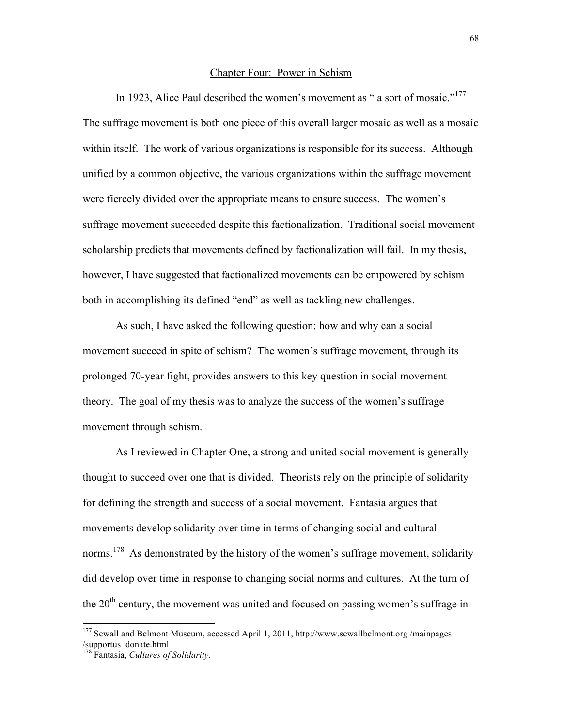### Chapter Four: Power in Schism

In 1923, Alice Paul described the women's movement as " a sort of mosaic."<sup>177</sup> The suffrage movement is both one piece of this overall larger mosaic as well as a mosaic within itself. The work of various organizations is responsible for its success. Although unified by a common objective, the various organizations within the suffrage movement were fiercely divided over the appropriate means to ensure success. The women's suffrage movement succeeded despite this factionalization. Traditional social movement scholarship predicts that movements defined by factionalization will fail. In my thesis, however, I have suggested that factionalized movements can be empowered by schism both in accomplishing its defined "end" as well as tackling new challenges.

As such, I have asked the following question: how and why can a social movement succeed in spite of schism? The women's suffrage movement, through its prolonged 70-year fight, provides answers to this key question in social movement theory. The goal of my thesis was to analyze the success of the women's suffrage movement through schism.

As I reviewed in Chapter One, a strong and united social movement is generally thought to succeed over one that is divided. Theorists rely on the principle of solidarity for defining the strength and success of a social movement. Fantasia argues that movements develop solidarity over time in terms of changing social and cultural norms.<sup>178</sup> As demonstrated by the history of the women's suffrage movement, solidarity did develop over time in response to changing social norms and cultures. At the turn of the  $20<sup>th</sup>$  century, the movement was united and focused on passing women's suffrage in

 $177$  Sewall and Belmont Museum, accessed April 1, 2011, http://www.sewallbelmont.org /mainpages /supportus\_donate.html

<sup>&</sup>lt;sup>178</sup> Fantasia, *Cultures of Solidarity*.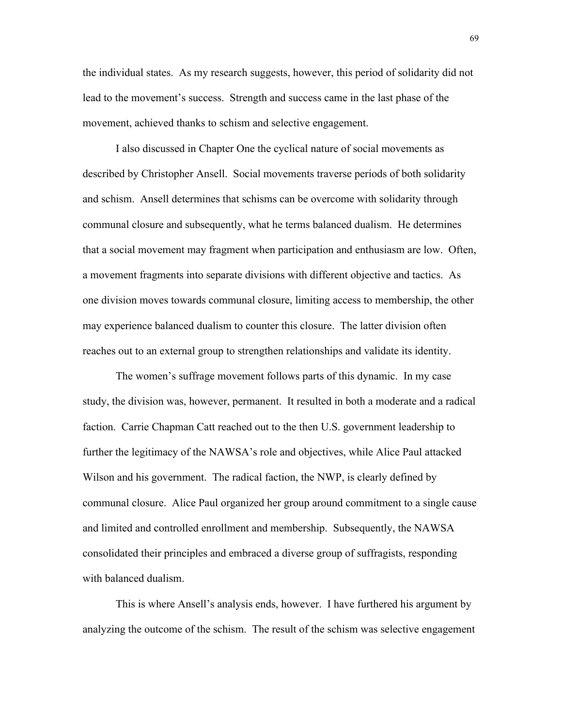the individual states. As my research suggests, however, this period of solidarity did not lead to the movement's success. Strength and success came in the last phase of the movement, achieved thanks to schism and selective engagement.

I also discussed in Chapter One the cyclical nature of social movements as described by Christopher Ansell. Social movements traverse periods of both solidarity and schism. Ansell determines that schisms can be overcome with solidarity through communal closure and subsequently, what he terms balanced dualism. He determines that a social movement may fragment when participation and enthusiasm are low. Often, a movement fragments into separate divisions with different objective and tactics. As one division moves towards communal closure, limiting access to membership, the other may experience balanced dualism to counter this closure. The latter division often reaches out to an external group to strengthen relationships and validate its identity.

The women's suffrage movement follows parts of this dynamic. In my case study, the division was, however, permanent. It resulted in both a moderate and a radical faction. Carrie Chapman Catt reached out to the then U.S. government leadership to further the legitimacy of the NAWSA's role and objectives, while Alice Paul attacked Wilson and his government. The radical faction, the NWP, is clearly defined by communal closure. Alice Paul organized her group around commitment to a single cause and limited and controlled enrollment and membership. Subsequently, the NAWSA consolidated their principles and embraced a diverse group of suffragists, responding with balanced dualism.

This is where Ansell's analysis ends, however. I have furthered his argument by analyzing the outcome of the schism. The result of the schism was selective engagement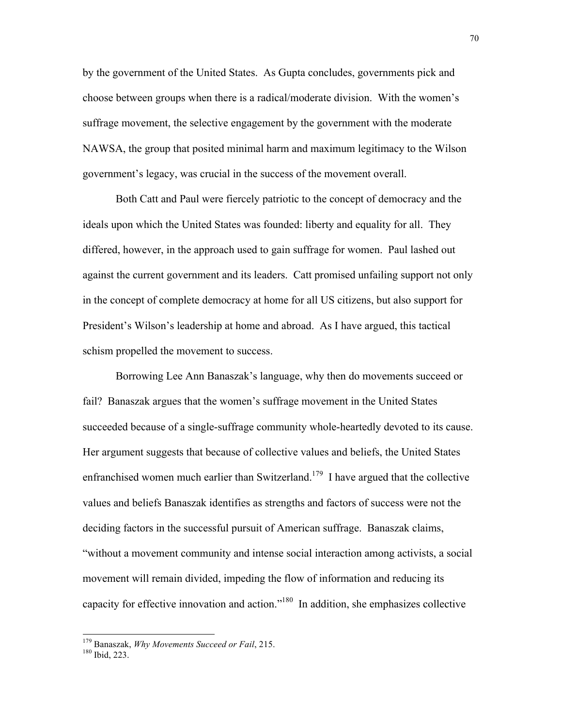by the government of the United States. As Gupta concludes, governments pick and choose between groups when there is a radical/moderate division. With the women's suffrage movement, the selective engagement by the government with the moderate NAWSA, the group that posited minimal harm and maximum legitimacy to the Wilson government's legacy, was crucial in the success of the movement overall.

Both Catt and Paul were fiercely patriotic to the concept of democracy and the ideals upon which the United States was founded: liberty and equality for all. They differed, however, in the approach used to gain suffrage for women. Paul lashed out against the current government and its leaders. Catt promised unfailing support not only in the concept of complete democracy at home for all US citizens, but also support for President's Wilson's leadership at home and abroad. As I have argued, this tactical schism propelled the movement to success.

Borrowing Lee Ann Banaszak's language, why then do movements succeed or fail? Banaszak argues that the women's suffrage movement in the United States succeeded because of a single-suffrage community whole-heartedly devoted to its cause. Her argument suggests that because of collective values and beliefs, the United States enfranchised women much earlier than Switzerland.<sup>179</sup> I have argued that the collective values and beliefs Banaszak identifies as strengths and factors of success were not the deciding factors in the successful pursuit of American suffrage. Banaszak claims, "without a movement community and intense social interaction among activists, a social movement will remain divided, impeding the flow of information and reducing its capacity for effective innovation and action."<sup>180</sup> In addition, she emphasizes collective

 <sup>179</sup> Banaszak, *Why Movements Succeed or Fail*, 215. <sup>180</sup> Ibid, 223.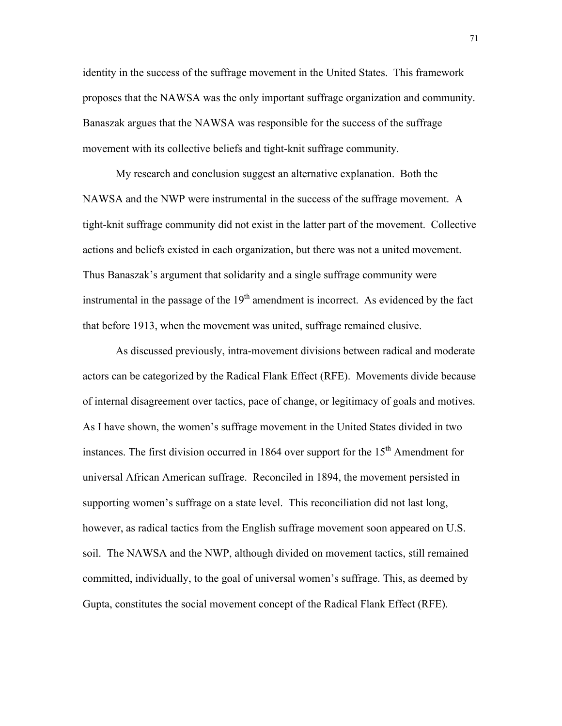identity in the success of the suffrage movement in the United States. This framework proposes that the NAWSA was the only important suffrage organization and community. Banaszak argues that the NAWSA was responsible for the success of the suffrage movement with its collective beliefs and tight-knit suffrage community.

My research and conclusion suggest an alternative explanation. Both the NAWSA and the NWP were instrumental in the success of the suffrage movement. A tight-knit suffrage community did not exist in the latter part of the movement. Collective actions and beliefs existed in each organization, but there was not a united movement. Thus Banaszak's argument that solidarity and a single suffrage community were instrumental in the passage of the  $19<sup>th</sup>$  amendment is incorrect. As evidenced by the fact that before 1913, when the movement was united, suffrage remained elusive.

As discussed previously, intra-movement divisions between radical and moderate actors can be categorized by the Radical Flank Effect (RFE). Movements divide because of internal disagreement over tactics, pace of change, or legitimacy of goals and motives. As I have shown, the women's suffrage movement in the United States divided in two instances. The first division occurred in 1864 over support for the  $15<sup>th</sup>$  Amendment for universal African American suffrage. Reconciled in 1894, the movement persisted in supporting women's suffrage on a state level. This reconciliation did not last long, however, as radical tactics from the English suffrage movement soon appeared on U.S. soil. The NAWSA and the NWP, although divided on movement tactics, still remained committed, individually, to the goal of universal women's suffrage. This, as deemed by Gupta, constitutes the social movement concept of the Radical Flank Effect (RFE).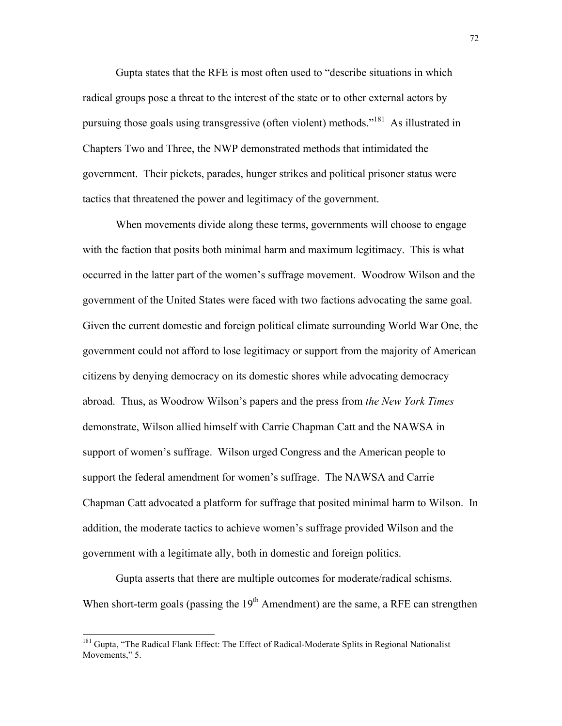Gupta states that the RFE is most often used to "describe situations in which radical groups pose a threat to the interest of the state or to other external actors by pursuing those goals using transgressive (often violent) methods."<sup>181</sup> As illustrated in Chapters Two and Three, the NWP demonstrated methods that intimidated the government. Their pickets, parades, hunger strikes and political prisoner status were tactics that threatened the power and legitimacy of the government.

When movements divide along these terms, governments will choose to engage with the faction that posits both minimal harm and maximum legitimacy. This is what occurred in the latter part of the women's suffrage movement. Woodrow Wilson and the government of the United States were faced with two factions advocating the same goal. Given the current domestic and foreign political climate surrounding World War One, the government could not afford to lose legitimacy or support from the majority of American citizens by denying democracy on its domestic shores while advocating democracy abroad. Thus, as Woodrow Wilson's papers and the press from *the New York Times*  demonstrate, Wilson allied himself with Carrie Chapman Catt and the NAWSA in support of women's suffrage. Wilson urged Congress and the American people to support the federal amendment for women's suffrage. The NAWSA and Carrie Chapman Catt advocated a platform for suffrage that posited minimal harm to Wilson. In addition, the moderate tactics to achieve women's suffrage provided Wilson and the government with a legitimate ally, both in domestic and foreign politics.

Gupta asserts that there are multiple outcomes for moderate/radical schisms. When short-term goals (passing the  $19<sup>th</sup>$  Amendment) are the same, a RFE can strengthen

<sup>&</sup>lt;sup>181</sup> Gupta, "The Radical Flank Effect: The Effect of Radical-Moderate Splits in Regional Nationalist Movements," 5.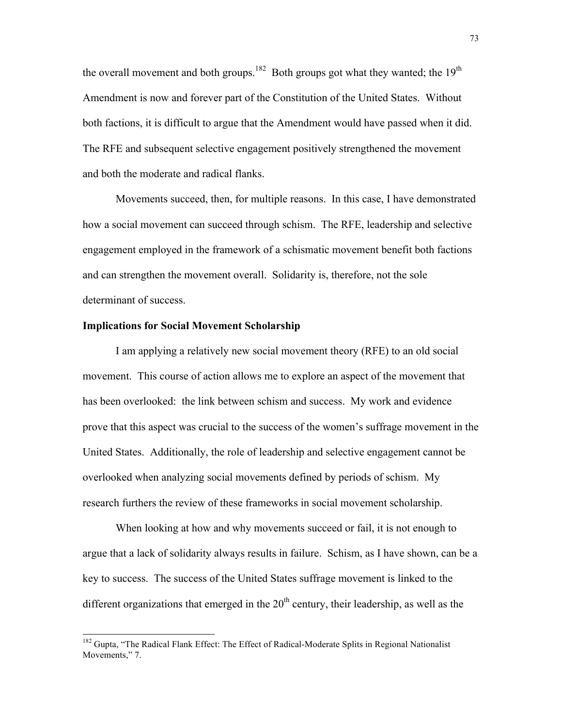the overall movement and both groups.<sup>182</sup> Both groups got what they wanted; the  $19<sup>th</sup>$ Amendment is now and forever part of the Constitution of the United States. Without both factions, it is difficult to argue that the Amendment would have passed when it did. The RFE and subsequent selective engagement positively strengthened the movement and both the moderate and radical flanks.

Movements succeed, then, for multiple reasons. In this case, I have demonstrated how a social movement can succeed through schism. The RFE, leadership and selective engagement employed in the framework of a schismatic movement benefit both factions and can strengthen the movement overall. Solidarity is, therefore, not the sole determinant of success.

## **Implications for Social Movement Scholarship**

I am applying a relatively new social movement theory (RFE) to an old social movement. This course of action allows me to explore an aspect of the movement that has been overlooked: the link between schism and success. My work and evidence prove that this aspect was crucial to the success of the women's suffrage movement in the United States. Additionally, the role of leadership and selective engagement cannot be overlooked when analyzing social movements defined by periods of schism. My research furthers the review of these frameworks in social movement scholarship.

When looking at how and why movements succeed or fail, it is not enough to argue that a lack of solidarity always results in failure. Schism, as I have shown, can be a key to success. The success of the United States suffrage movement is linked to the different organizations that emerged in the  $20<sup>th</sup>$  century, their leadership, as well as the

<sup>&</sup>lt;sup>182</sup> Gupta, "The Radical Flank Effect: The Effect of Radical-Moderate Splits in Regional Nationalist Movements," 7.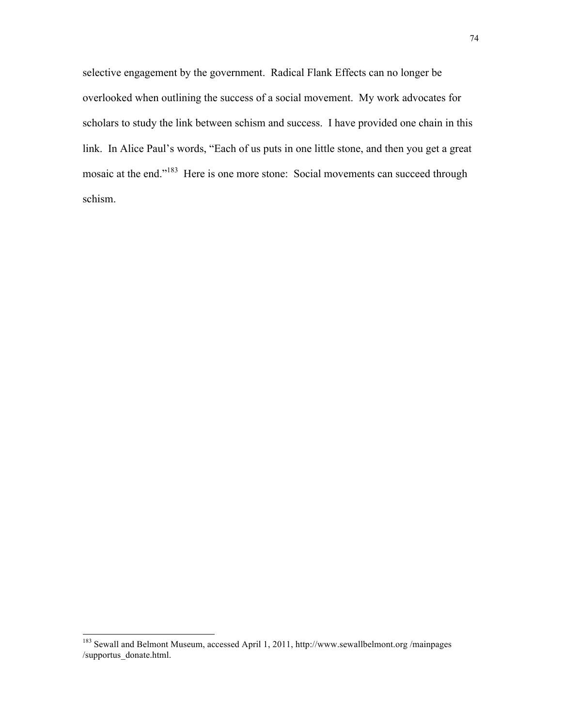selective engagement by the government. Radical Flank Effects can no longer be overlooked when outlining the success of a social movement. My work advocates for scholars to study the link between schism and success. I have provided one chain in this link. In Alice Paul's words, "Each of us puts in one little stone, and then you get a great mosaic at the end."<sup>183</sup> Here is one more stone: Social movements can succeed through schism.

 <sup>183</sup> Sewall and Belmont Museum, accessed April 1, 2011, http://www.sewallbelmont.org /mainpages /supportus\_donate.html.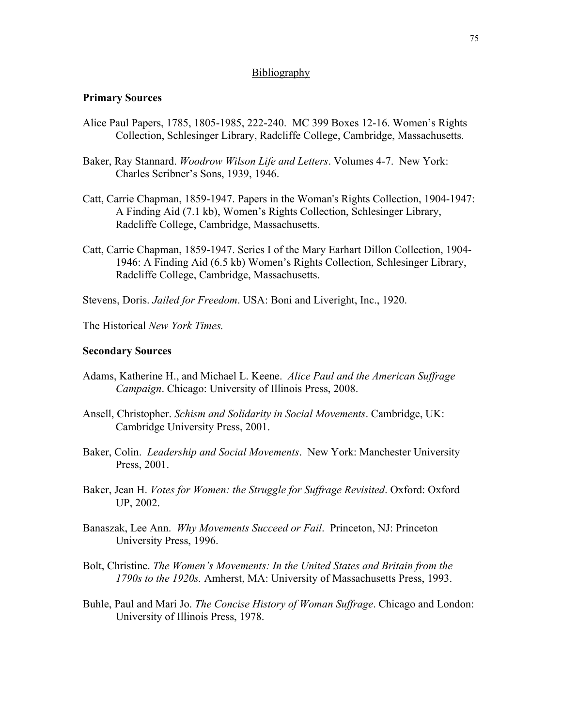## **Bibliography**

## **Primary Sources**

- Alice Paul Papers, 1785, 1805-1985, 222-240. MC 399 Boxes 12-16. Women's Rights Collection, Schlesinger Library, Radcliffe College, Cambridge, Massachusetts.
- Baker, Ray Stannard. *Woodrow Wilson Life and Letters*. Volumes 4-7. New York: Charles Scribner's Sons, 1939, 1946.
- Catt, Carrie Chapman, 1859-1947. Papers in the Woman's Rights Collection, 1904-1947: A Finding Aid (7.1 kb), Women's Rights Collection, Schlesinger Library, Radcliffe College, Cambridge, Massachusetts.
- Catt, Carrie Chapman, 1859-1947. Series I of the Mary Earhart Dillon Collection, 1904- 1946: A Finding Aid (6.5 kb) Women's Rights Collection, Schlesinger Library, Radcliffe College, Cambridge, Massachusetts.

Stevens, Doris. *Jailed for Freedom*. USA: Boni and Liveright, Inc., 1920.

The Historical *New York Times.*

## **Secondary Sources**

- Adams, Katherine H., and Michael L. Keene. *Alice Paul and the American Suffrage Campaign*. Chicago: University of Illinois Press, 2008.
- Ansell, Christopher. *Schism and Solidarity in Social Movements*. Cambridge, UK: Cambridge University Press, 2001.
- Baker, Colin. *Leadership and Social Movements*. New York: Manchester University Press, 2001.
- Baker, Jean H. *Votes for Women: the Struggle for Suffrage Revisited*. Oxford: Oxford UP, 2002.
- Banaszak, Lee Ann. *Why Movements Succeed or Fail*. Princeton, NJ: Princeton University Press, 1996.
- Bolt, Christine. *The Women's Movements: In the United States and Britain from the 1790s to the 1920s.* Amherst, MA: University of Massachusetts Press, 1993.
- Buhle, Paul and Mari Jo. *The Concise History of Woman Suffrage*. Chicago and London: University of Illinois Press, 1978.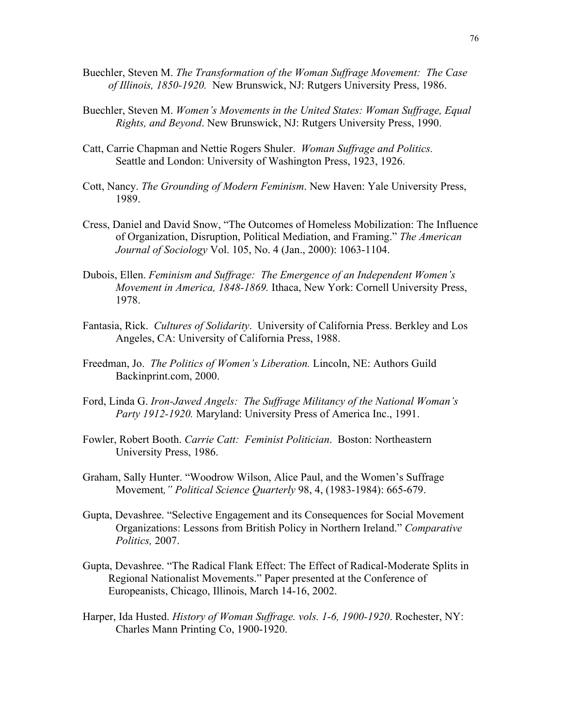- Buechler, Steven M. *The Transformation of the Woman Suffrage Movement: The Case of Illinois, 1850-1920.* New Brunswick, NJ: Rutgers University Press, 1986.
- Buechler, Steven M. *Women's Movements in the United States: Woman Suffrage, Equal Rights, and Beyond*. New Brunswick, NJ: Rutgers University Press, 1990.
- Catt, Carrie Chapman and Nettie Rogers Shuler. *Woman Suffrage and Politics.* Seattle and London: University of Washington Press, 1923, 1926.
- Cott, Nancy. *The Grounding of Modern Feminism*. New Haven: Yale University Press, 1989.
- Cress, Daniel and David Snow, "The Outcomes of Homeless Mobilization: The Influence of Organization, Disruption, Political Mediation, and Framing." *The American Journal of Sociology* Vol. 105, No. 4 (Jan., 2000): 1063-1104.
- Dubois, Ellen. *Feminism and Suffrage: The Emergence of an Independent Women's Movement in America, 1848-1869.* Ithaca, New York: Cornell University Press, 1978.
- Fantasia, Rick. *Cultures of Solidarity*. University of California Press. Berkley and Los Angeles, CA: University of California Press, 1988.
- Freedman, Jo. *The Politics of Women's Liberation.* Lincoln, NE: Authors Guild Backinprint.com, 2000.
- Ford, Linda G. *Iron-Jawed Angels: The Suffrage Militancy of the National Woman's Party 1912-1920.* Maryland: University Press of America Inc., 1991.
- Fowler, Robert Booth. *Carrie Catt: Feminist Politician*. Boston: Northeastern University Press, 1986.
- Graham, Sally Hunter. "Woodrow Wilson, Alice Paul, and the Women's Suffrage Movement*," Political Science Quarterly* 98, 4, (1983-1984): 665-679.
- Gupta, Devashree. "Selective Engagement and its Consequences for Social Movement Organizations: Lessons from British Policy in Northern Ireland." *Comparative Politics,* 2007.
- Gupta, Devashree. "The Radical Flank Effect: The Effect of Radical-Moderate Splits in Regional Nationalist Movements." Paper presented at the Conference of Europeanists, Chicago, Illinois, March 14-16, 2002.
- Harper, Ida Husted. *History of Woman Suffrage. vols. 1-6, 1900-1920*. Rochester, NY: Charles Mann Printing Co, 1900-1920.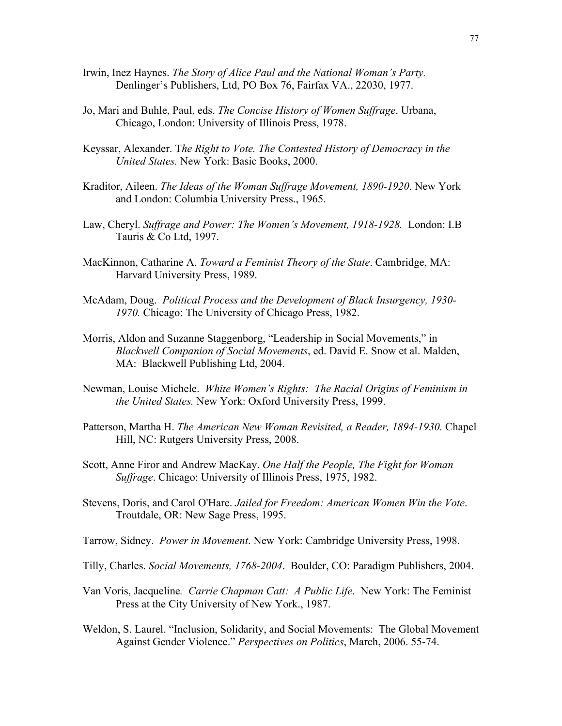- Irwin, Inez Haynes. *The Story of Alice Paul and the National Woman's Party.* Denlinger's Publishers, Ltd, PO Box 76, Fairfax VA., 22030, 1977.
- Jo, Mari and Buhle, Paul, eds. *The Concise History of Women Suffrage*. Urbana, Chicago, London: University of Illinois Press, 1978.
- Keyssar, Alexander. T*he Right to Vote. The Contested History of Democracy in the United States.* New York: Basic Books, 2000.
- Kraditor, Aileen. *The Ideas of the Woman Suffrage Movement, 1890-1920*. New York and London: Columbia University Press., 1965.
- Law, Cheryl. *Suffrage and Power: The Women's Movement, 1918-1928.* London: I.B Tauris & Co Ltd, 1997.
- MacKinnon, Catharine A. *Toward a Feminist Theory of the State*. Cambridge, MA: Harvard University Press, 1989.
- McAdam, Doug. *Political Process and the Development of Black Insurgency, 1930- 1970.* Chicago: The University of Chicago Press, 1982.
- Morris, Aldon and Suzanne Staggenborg, "Leadership in Social Movements," in *Blackwell Companion of Social Movements*, ed. David E. Snow et al. Malden, MA: Blackwell Publishing Ltd, 2004.
- Newman, Louise Michele. *White Women's Rights: The Racial Origins of Feminism in the United States.* New York: Oxford University Press, 1999.
- Patterson, Martha H. *The American New Woman Revisited, a Reader, 1894-1930.* Chapel Hill, NC: Rutgers University Press, 2008.
- Scott, Anne Firor and Andrew MacKay. *One Half the People, The Fight for Woman Suffrage*. Chicago: University of Illinois Press, 1975, 1982.
- Stevens, Doris, and Carol O'Hare. *Jailed for Freedom: American Women Win the Vote*. Troutdale, OR: New Sage Press, 1995.
- Tarrow, Sidney. *Power in Movement*. New York: Cambridge University Press, 1998.
- Tilly, Charles. *Social Movements, 1768-2004*. Boulder, CO: Paradigm Publishers, 2004.
- Van Voris, Jacqueline*. Carrie Chapman Catt: A Public Life*. New York: The Feminist Press at the City University of New York., 1987.
- Weldon, S. Laurel. "Inclusion, Solidarity, and Social Movements: The Global Movement Against Gender Violence." *Perspectives on Politics*, March, 2006. 55-74.